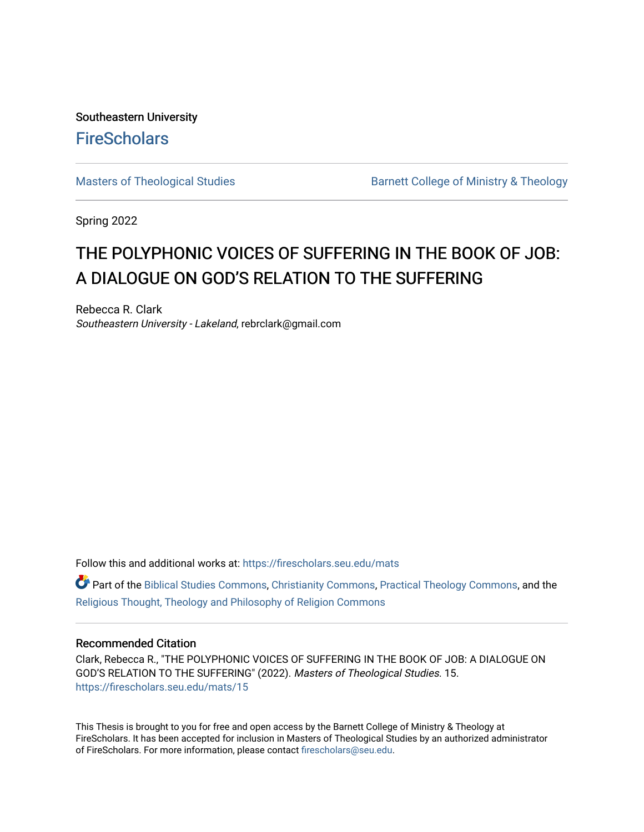Southeastern University **FireScholars** 

[Masters of Theological Studies](https://firescholars.seu.edu/mats) **Barnett College of Ministry & Theology** 

Spring 2022

# THE POLYPHONIC VOICES OF SUFFERING IN THE BOOK OF JOB: A DIALOGUE ON GOD'S RELATION TO THE SUFFERING

Rebecca R. Clark Southeastern University - Lakeland, rebrclark@gmail.com

Follow this and additional works at: [https://firescholars.seu.edu/mats](https://firescholars.seu.edu/mats?utm_source=firescholars.seu.edu%2Fmats%2F15&utm_medium=PDF&utm_campaign=PDFCoverPages) 

Part of the [Biblical Studies Commons,](https://network.bepress.com/hgg/discipline/539?utm_source=firescholars.seu.edu%2Fmats%2F15&utm_medium=PDF&utm_campaign=PDFCoverPages) [Christianity Commons,](https://network.bepress.com/hgg/discipline/1181?utm_source=firescholars.seu.edu%2Fmats%2F15&utm_medium=PDF&utm_campaign=PDFCoverPages) [Practical Theology Commons](https://network.bepress.com/hgg/discipline/1186?utm_source=firescholars.seu.edu%2Fmats%2F15&utm_medium=PDF&utm_campaign=PDFCoverPages), and the [Religious Thought, Theology and Philosophy of Religion Commons](https://network.bepress.com/hgg/discipline/544?utm_source=firescholars.seu.edu%2Fmats%2F15&utm_medium=PDF&utm_campaign=PDFCoverPages) 

#### Recommended Citation

Clark, Rebecca R., "THE POLYPHONIC VOICES OF SUFFERING IN THE BOOK OF JOB: A DIALOGUE ON GOD'S RELATION TO THE SUFFERING" (2022). Masters of Theological Studies. 15. [https://firescholars.seu.edu/mats/15](https://firescholars.seu.edu/mats/15?utm_source=firescholars.seu.edu%2Fmats%2F15&utm_medium=PDF&utm_campaign=PDFCoverPages)

This Thesis is brought to you for free and open access by the Barnett College of Ministry & Theology at FireScholars. It has been accepted for inclusion in Masters of Theological Studies by an authorized administrator of FireScholars. For more information, please contact [firescholars@seu.edu](mailto:firescholars@seu.edu).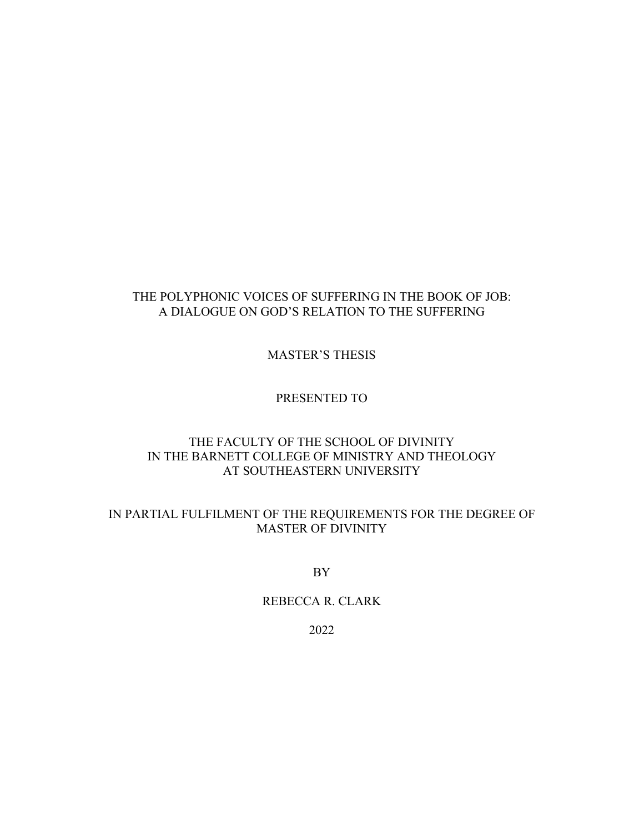# THE POLYPHONIC VOICES OF SUFFERING IN THE BOOK OF JOB: A DIALOGUE ON GOD'S RELATION TO THE SUFFERING

# MASTER'S THESIS

# PRESENTED TO

# THE FACULTY OF THE SCHOOL OF DIVINITY IN THE BARNETT COLLEGE OF MINISTRY AND THEOLOGY AT SOUTHEASTERN UNIVERSITY

# IN PARTIAL FULFILMENT OF THE REQUIREMENTS FOR THE DEGREE OF MASTER OF DIVINITY

BY

# REBECCA R. CLARK

2022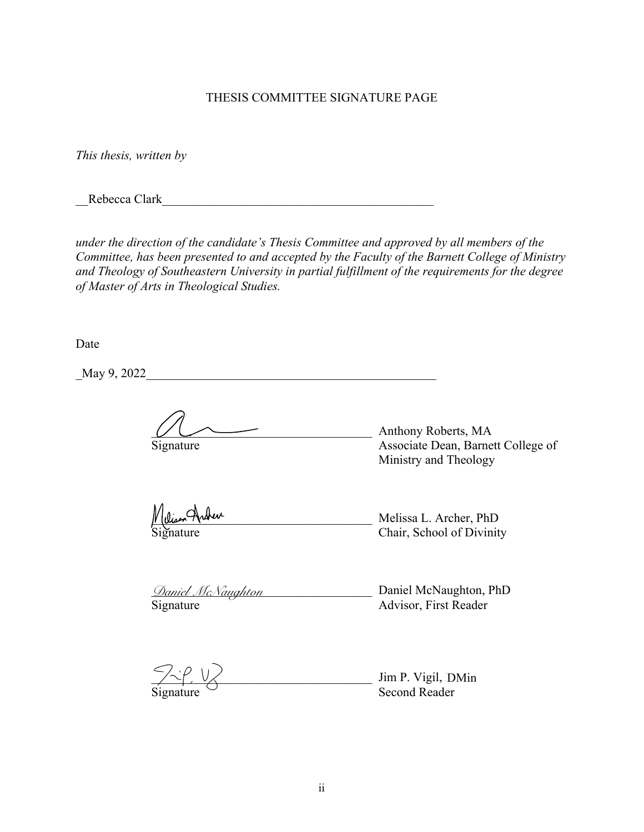# THESIS COMMITTEE SIGNATURE PAGE

*This thesis, written by*

Rebecca Clark

*under the direction of the candidate's Thesis Committee and approved by all members of the Committee, has been presented to and accepted by the Faculty of the Barnett College of Ministry and Theology of Southeastern University in partial fulfillment of the requirements for the degree of Master of Arts in Theological Studies.* 

Date

May 9, 2022

\_\_\_\_\_\_\_\_\_\_\_\_\_\_\_\_\_\_\_\_\_\_\_\_\_\_\_\_\_\_\_\_\_\_\_ Anthony Roberts, MA Signature Associate Dean, Barnett College of Ministry and Theology

\_\_\_\_\_\_\_\_\_\_\_\_\_\_\_\_\_\_\_\_\_\_\_\_\_\_\_\_\_\_\_\_\_\_\_ Melissa L. Archer, PhD Signature Chair, School of Divinity

*Daniel McNaughton*

*Daniel McNaughton*<br>Signature **Manual Accord Advisor**, First Reader Advisor, First Reader

 $\bigwedge \bigvee \bigvee$ ,  $\bigvee$   $\bigvee$   $\bigvee$   $\bigvee$   $\bigvee$   $\bigvee$   $\bigvee$   $\bigvee$   $\bigvee$   $\bigvee$   $\bigvee$   $\bigvee$   $\bigvee$   $\bigvee$   $\bigvee$   $\bigvee$   $\bigvee$   $\bigvee$   $\bigvee$   $\bigvee$   $\bigvee$   $\bigvee$   $\bigvee$   $\bigvee$   $\bigvee$   $\bigvee$   $\bigvee$   $\bigvee$   $\bigvee$   $\$ Signature Second Reader

DMin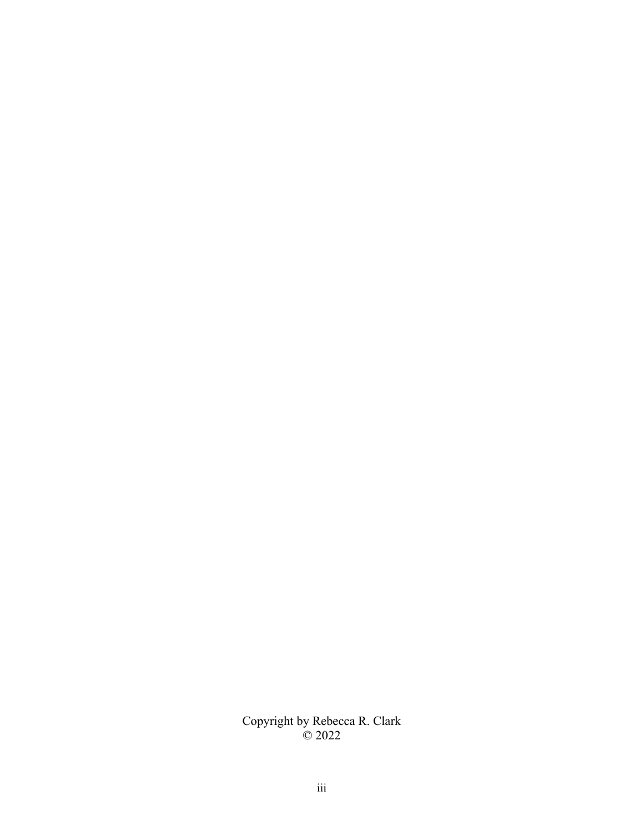Copyright by Rebecca R. Clark © 2022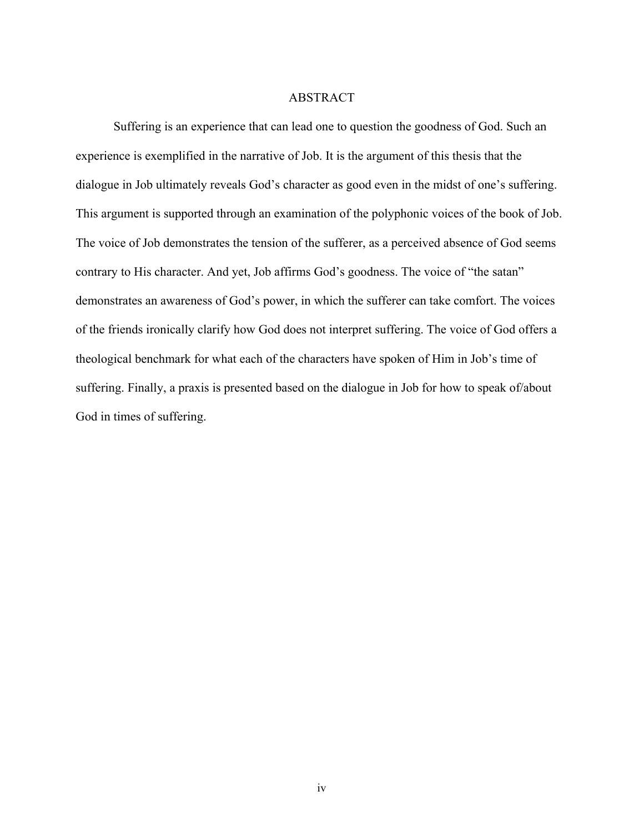#### ABSTRACT

Suffering is an experience that can lead one to question the goodness of God. Such an experience is exemplified in the narrative of Job. It is the argument of this thesis that the dialogue in Job ultimately reveals God's character as good even in the midst of one's suffering. This argument is supported through an examination of the polyphonic voices of the book of Job. The voice of Job demonstrates the tension of the sufferer, as a perceived absence of God seems contrary to His character. And yet, Job affirms God's goodness. The voice of "the satan" demonstrates an awareness of God's power, in which the sufferer can take comfort. The voices of the friends ironically clarify how God does not interpret suffering. The voice of God offers a theological benchmark for what each of the characters have spoken of Him in Job's time of suffering. Finally, a praxis is presented based on the dialogue in Job for how to speak of/about God in times of suffering.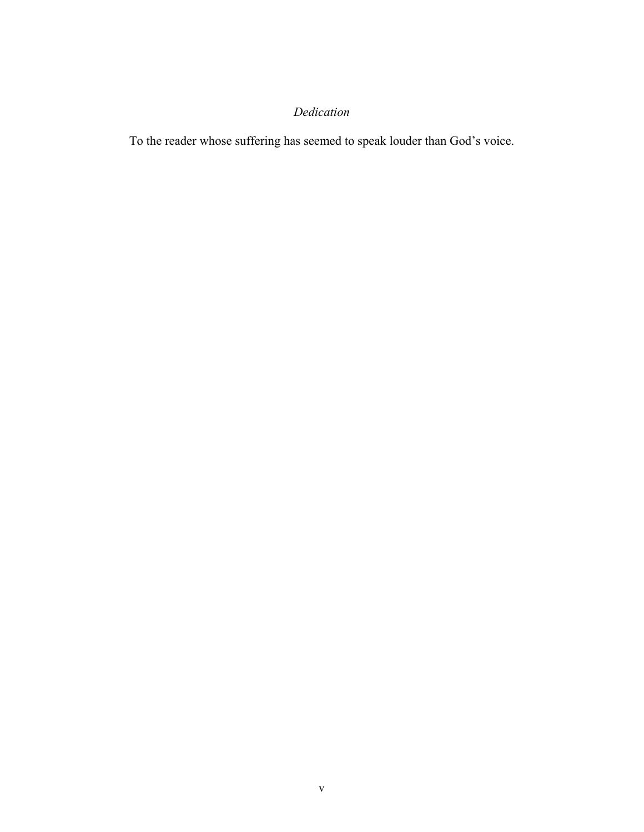# *Dedication*

To the reader whose suffering has seemed to speak louder than God's voice.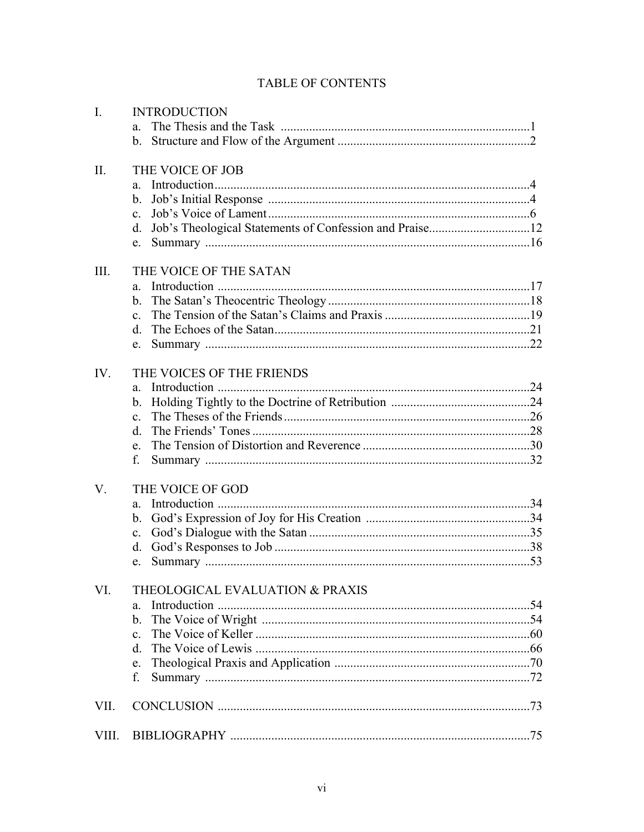# TABLE OF CONTENTS

| I.    | <b>INTRODUCTION</b><br>$a_{\cdot}$ |  |
|-------|------------------------------------|--|
|       | b.                                 |  |
| II.   | THE VOICE OF JOB                   |  |
|       | $a_{-}$                            |  |
|       | $\mathbf{b}$ .                     |  |
|       | $\mathbf{c}$ .                     |  |
|       |                                    |  |
|       | e.                                 |  |
| III.  | THE VOICE OF THE SATAN             |  |
|       | $a_{\cdot}$                        |  |
|       |                                    |  |
|       | $\mathbf{c}$ .                     |  |
|       | $d_{-}$                            |  |
|       | e.                                 |  |
| IV.   | THE VOICES OF THE FRIENDS          |  |
|       | a.                                 |  |
|       | $\mathbf{b}$ .                     |  |
|       | $\mathbf{c}$ .                     |  |
|       | $d_{-}$                            |  |
|       | e.                                 |  |
|       | f.                                 |  |
| V.    | THE VOICE OF GOD                   |  |
|       | a.                                 |  |
|       | b.                                 |  |
|       | c.                                 |  |
|       | d.                                 |  |
|       | e.                                 |  |
| VI.   | THEOLOGICAL EVALUATION & PRAXIS    |  |
|       | a.                                 |  |
|       | b.                                 |  |
|       | $\mathbf{c}$ .                     |  |
|       | d.                                 |  |
|       | e.                                 |  |
|       | f.                                 |  |
| VII.  |                                    |  |
| VIII. |                                    |  |
|       |                                    |  |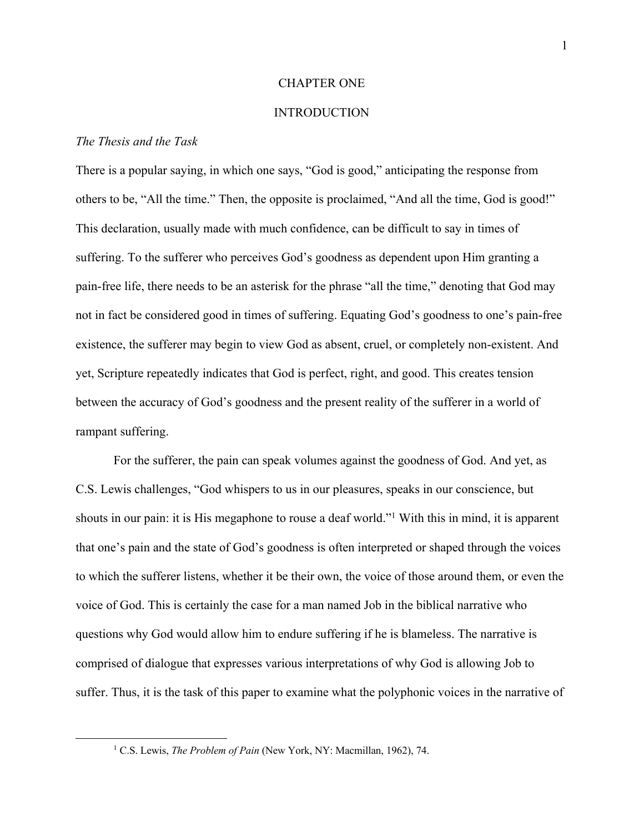#### CHAPTER ONE

## **INTRODUCTION**

#### *The Thesis and the Task*

There is a popular saying, in which one says, "God is good," anticipating the response from others to be, "All the time." Then, the opposite is proclaimed, "And all the time, God is good!" This declaration, usually made with much confidence, can be difficult to say in times of suffering. To the sufferer who perceives God's goodness as dependent upon Him granting a pain-free life, there needs to be an asterisk for the phrase "all the time," denoting that God may not in fact be considered good in times of suffering. Equating God's goodness to one's pain-free existence, the sufferer may begin to view God as absent, cruel, or completely non-existent. And yet, Scripture repeatedly indicates that God is perfect, right, and good. This creates tension between the accuracy of God's goodness and the present reality of the sufferer in a world of rampant suffering.

For the sufferer, the pain can speak volumes against the goodness of God. And yet, as C.S. Lewis challenges, "God whispers to us in our pleasures, speaks in our conscience, but shouts in our pain: it is His megaphone to rouse a deaf world."1 With this in mind, it is apparent that one's pain and the state of God's goodness is often interpreted or shaped through the voices to which the sufferer listens, whether it be their own, the voice of those around them, or even the voice of God. This is certainly the case for a man named Job in the biblical narrative who questions why God would allow him to endure suffering if he is blameless. The narrative is comprised of dialogue that expresses various interpretations of why God is allowing Job to suffer. Thus, it is the task of this paper to examine what the polyphonic voices in the narrative of

<sup>&</sup>lt;sup>1</sup> C.S. Lewis, *The Problem of Pain* (New York, NY: Macmillan, 1962), 74.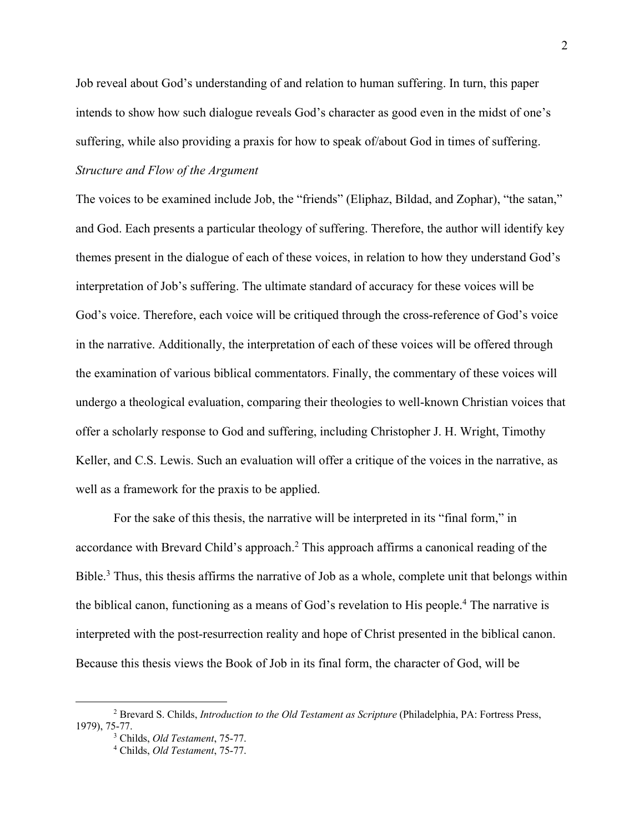Job reveal about God's understanding of and relation to human suffering. In turn, this paper intends to show how such dialogue reveals God's character as good even in the midst of one's suffering, while also providing a praxis for how to speak of/about God in times of suffering. *Structure and Flow of the Argument*

The voices to be examined include Job, the "friends" (Eliphaz, Bildad, and Zophar), "the satan," and God. Each presents a particular theology of suffering. Therefore, the author will identify key themes present in the dialogue of each of these voices, in relation to how they understand God's interpretation of Job's suffering. The ultimate standard of accuracy for these voices will be God's voice. Therefore, each voice will be critiqued through the cross-reference of God's voice in the narrative. Additionally, the interpretation of each of these voices will be offered through the examination of various biblical commentators. Finally, the commentary of these voices will undergo a theological evaluation, comparing their theologies to well-known Christian voices that offer a scholarly response to God and suffering, including Christopher J. H. Wright, Timothy Keller, and C.S. Lewis. Such an evaluation will offer a critique of the voices in the narrative, as well as a framework for the praxis to be applied.

For the sake of this thesis, the narrative will be interpreted in its "final form," in accordance with Brevard Child's approach.2 This approach affirms a canonical reading of the Bible.<sup>3</sup> Thus, this thesis affirms the narrative of Job as a whole, complete unit that belongs within the biblical canon, functioning as a means of God's revelation to His people. <sup>4</sup> The narrative is interpreted with the post-resurrection reality and hope of Christ presented in the biblical canon. Because this thesis views the Book of Job in its final form, the character of God, will be

<sup>2</sup> Brevard S. Childs, *Introduction to the Old Testament as Scripture* (Philadelphia, PA: Fortress Press, 1979), 75-77.

<sup>3</sup> Childs, *Old Testament*, 75-77.

<sup>4</sup> Childs, *Old Testament*, 75-77.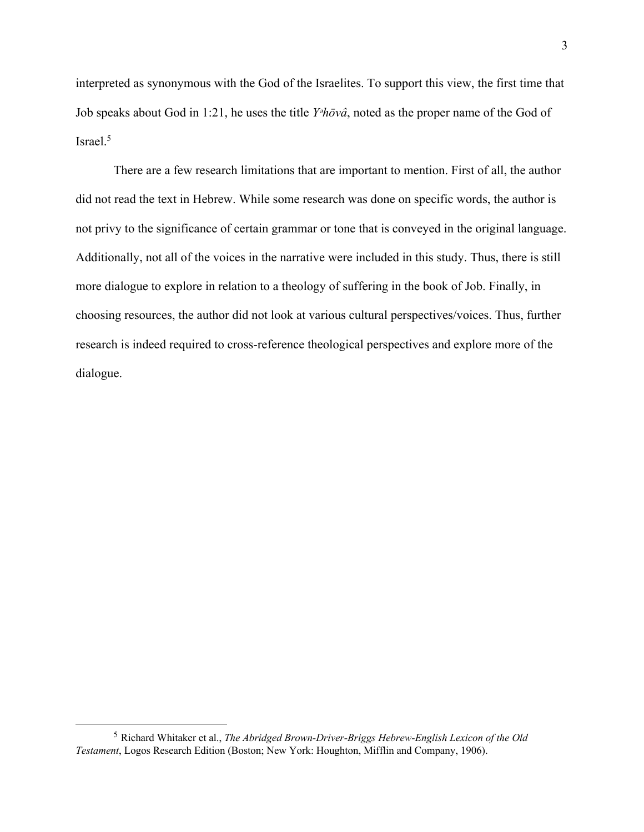interpreted as synonymous with the God of the Israelites. To support this view, the first time that Job speaks about God in 1:21, he uses the title *Y<sup>a</sup>hova*, noted as the proper name of the God of Israel. $5$ 

There are a few research limitations that are important to mention. First of all, the author did not read the text in Hebrew. While some research was done on specific words, the author is not privy to the significance of certain grammar or tone that is conveyed in the original language. Additionally, not all of the voices in the narrative were included in this study. Thus, there is still more dialogue to explore in relation to a theology of suffering in the book of Job. Finally, in choosing resources, the author did not look at various cultural perspectives/voices. Thus, further research is indeed required to cross-reference theological perspectives and explore more of the dialogue.

<sup>5</sup> Richard Whitaker et al., *The Abridged Brown-Driver-Briggs Hebrew-English Lexicon of the Old Testament*, Logos Research Edition (Boston; New York: Houghton, Mifflin and Company, 1906).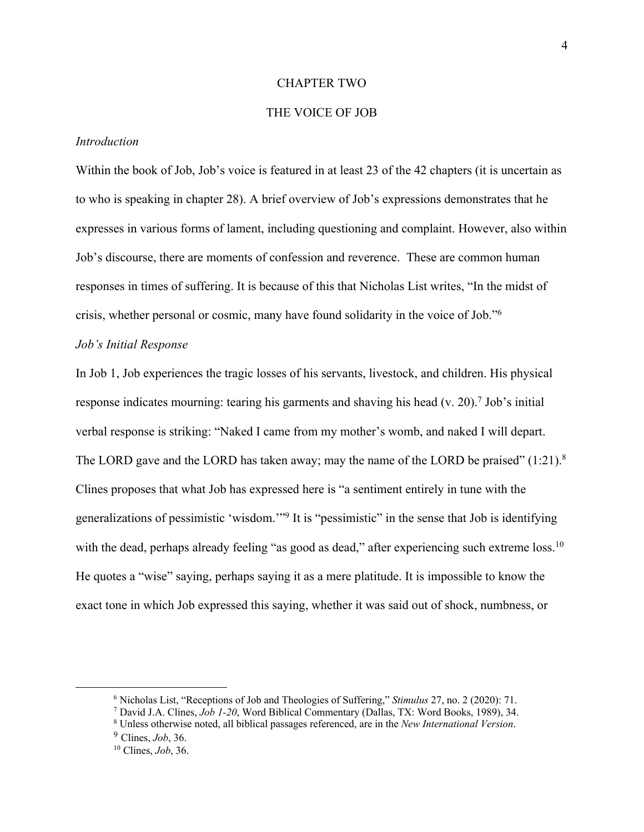#### CHAPTER TWO

#### THE VOICE OF JOB

#### *Introduction*

Within the book of Job, Job's voice is featured in at least 23 of the 42 chapters (it is uncertain as to who is speaking in chapter 28). A brief overview of Job's expressions demonstrates that he expresses in various forms of lament, including questioning and complaint. However, also within Job's discourse, there are moments of confession and reverence. These are common human responses in times of suffering. It is because of this that Nicholas List writes, "In the midst of crisis, whether personal or cosmic, many have found solidarity in the voice of Job."6

#### *Job's Initial Response*

In Job 1, Job experiences the tragic losses of his servants, livestock, and children. His physical response indicates mourning: tearing his garments and shaving his head (v. 20).7 Job's initial verbal response is striking: "Naked I came from my mother's womb, and naked I will depart. The LORD gave and the LORD has taken away; may the name of the LORD be praised" (1:21).<sup>8</sup> Clines proposes that what Job has expressed here is "a sentiment entirely in tune with the generalizations of pessimistic 'wisdom.'"9 It is "pessimistic" in the sense that Job is identifying with the dead, perhaps already feeling "as good as dead," after experiencing such extreme loss.<sup>10</sup> He quotes a "wise" saying, perhaps saying it as a mere platitude. It is impossible to know the exact tone in which Job expressed this saying, whether it was said out of shock, numbness, or

<sup>6</sup> Nicholas List, "Receptions of Job and Theologies of Suffering," *Stimulus* 27, no. 2 (2020): 71.

<sup>7</sup> David J.A. Clines, *Job 1-20*, Word Biblical Commentary (Dallas, TX: Word Books, 1989), 34.

<sup>8</sup> Unless otherwise noted, all biblical passages referenced, are in the *New International Version*.

<sup>9</sup> Clines, *Job*, 36.

<sup>10</sup> Clines, *Job*, 36.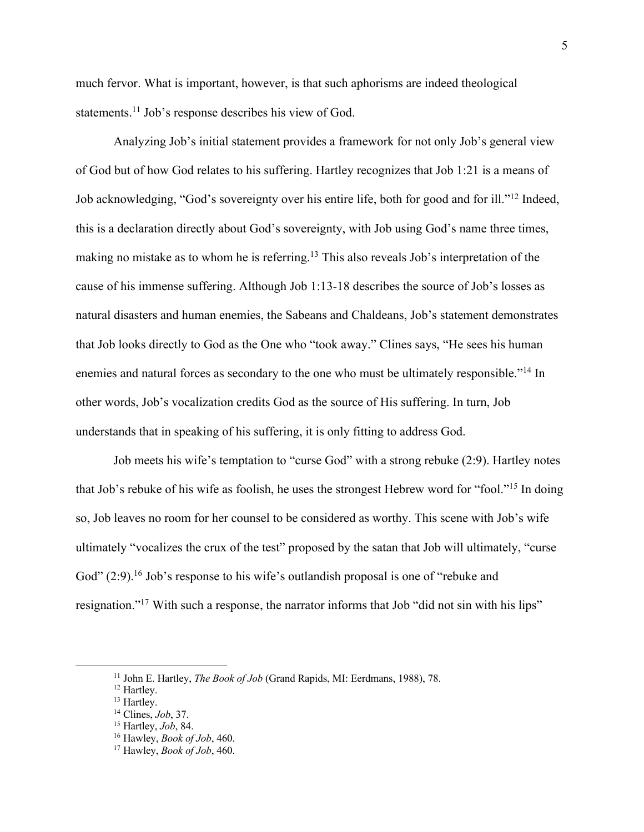much fervor. What is important, however, is that such aphorisms are indeed theological statements.<sup>11</sup> Job's response describes his view of God.

Analyzing Job's initial statement provides a framework for not only Job's general view of God but of how God relates to his suffering. Hartley recognizes that Job 1:21 is a means of Job acknowledging, "God's sovereignty over his entire life, both for good and for ill."12 Indeed, this is a declaration directly about God's sovereignty, with Job using God's name three times, making no mistake as to whom he is referring.<sup>13</sup> This also reveals Job's interpretation of the cause of his immense suffering. Although Job 1:13-18 describes the source of Job's losses as natural disasters and human enemies, the Sabeans and Chaldeans, Job's statement demonstrates that Job looks directly to God as the One who "took away." Clines says, "He sees his human enemies and natural forces as secondary to the one who must be ultimately responsible."<sup>14</sup> In other words, Job's vocalization credits God as the source of His suffering. In turn, Job understands that in speaking of his suffering, it is only fitting to address God.

Job meets his wife's temptation to "curse God" with a strong rebuke (2:9). Hartley notes that Job's rebuke of his wife as foolish, he uses the strongest Hebrew word for "fool."15 In doing so, Job leaves no room for her counsel to be considered as worthy. This scene with Job's wife ultimately "vocalizes the crux of the test" proposed by the satan that Job will ultimately, "curse God" (2:9).<sup>16</sup> Job's response to his wife's outlandish proposal is one of "rebuke and resignation."<sup>17</sup> With such a response, the narrator informs that Job "did not sin with his lips"

<sup>11</sup> John E. Hartley, *The Book of Job* (Grand Rapids, MI: Eerdmans, 1988), 78.

<sup>&</sup>lt;sup>12</sup> Hartley.

<sup>&</sup>lt;sup>13</sup> Hartley.

<sup>14</sup> Clines, *Job*, 37.

<sup>15</sup> Hartley, *Job*, 84.

<sup>16</sup> Hawley, *Book of Job*, 460.

<sup>17</sup> Hawley, *Book of Job*, 460.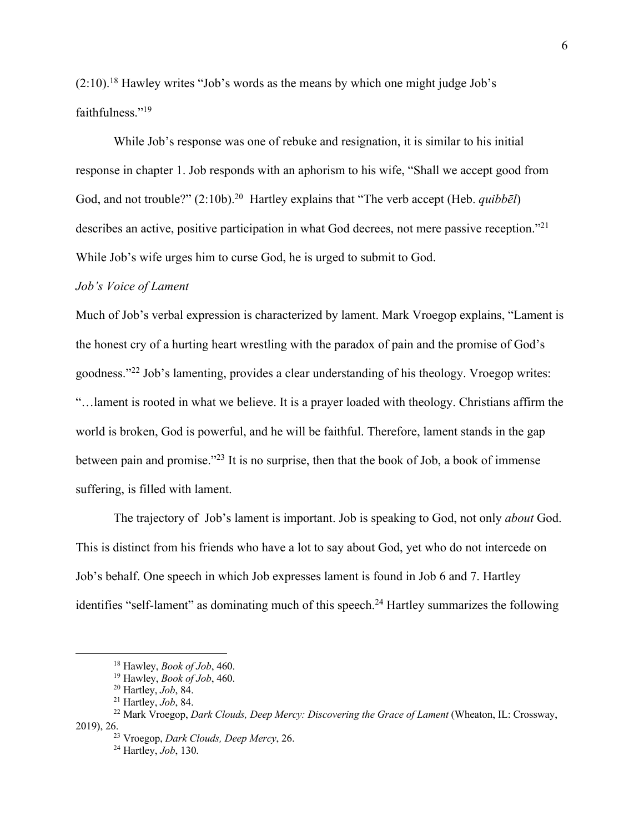$(2:10).$ <sup>18</sup> Hawley writes "Job's words as the means by which one might judge Job's faithfulness."<sup>19</sup>

While Job's response was one of rebuke and resignation, it is similar to his initial response in chapter 1. Job responds with an aphorism to his wife, "Shall we accept good from God, and not trouble?" (2:10b). 20 Hartley explains that "The verb accept (Heb. *quibbēl*) describes an active, positive participation in what God decrees, not mere passive reception."<sup>21</sup> While Job's wife urges him to curse God, he is urged to submit to God.

#### *Job's Voice of Lament*

Much of Job's verbal expression is characterized by lament. Mark Vroegop explains, "Lament is the honest cry of a hurting heart wrestling with the paradox of pain and the promise of God's goodness."22 Job's lamenting, provides a clear understanding of his theology. Vroegop writes: "…lament is rooted in what we believe. It is a prayer loaded with theology. Christians affirm the world is broken, God is powerful, and he will be faithful. Therefore, lament stands in the gap between pain and promise."23 It is no surprise, then that the book of Job, a book of immense suffering, is filled with lament.

The trajectory of Job's lament is important. Job is speaking to God, not only *about* God. This is distinct from his friends who have a lot to say about God, yet who do not intercede on Job's behalf. One speech in which Job expresses lament is found in Job 6 and 7. Hartley identifies "self-lament" as dominating much of this speech.<sup>24</sup> Hartley summarizes the following

<sup>18</sup> Hawley, *Book of Job*, 460.

<sup>19</sup> Hawley, *Book of Job*, 460.

<sup>20</sup> Hartley, *Job*, 84.

<sup>21</sup> Hartley, *Job*, 84.

<sup>22</sup> Mark Vroegop, *Dark Clouds, Deep Mercy: Discovering the Grace of Lament* (Wheaton, IL: Crossway, 2019), 26.

<sup>23</sup> Vroegop, *Dark Clouds, Deep Mercy*, 26.

<sup>24</sup> Hartley, *Job*, 130.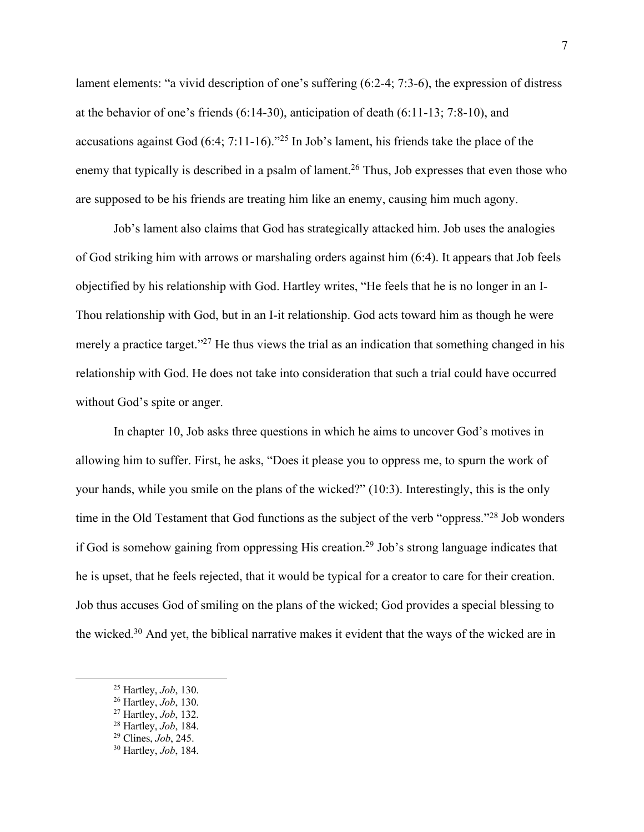lament elements: "a vivid description of one's suffering (6:2-4; 7:3-6), the expression of distress at the behavior of one's friends (6:14-30), anticipation of death (6:11-13; 7:8-10), and accusations against God (6:4; 7:11-16)."25 In Job's lament, his friends take the place of the enemy that typically is described in a psalm of lament.<sup>26</sup> Thus, Job expresses that even those who are supposed to be his friends are treating him like an enemy, causing him much agony.

Job's lament also claims that God has strategically attacked him. Job uses the analogies of God striking him with arrows or marshaling orders against him (6:4). It appears that Job feels objectified by his relationship with God. Hartley writes, "He feels that he is no longer in an I-Thou relationship with God, but in an I-it relationship. God acts toward him as though he were merely a practice target."<sup>27</sup> He thus views the trial as an indication that something changed in his relationship with God. He does not take into consideration that such a trial could have occurred without God's spite or anger.

In chapter 10, Job asks three questions in which he aims to uncover God's motives in allowing him to suffer. First, he asks, "Does it please you to oppress me, to spurn the work of your hands, while you smile on the plans of the wicked?" (10:3). Interestingly, this is the only time in the Old Testament that God functions as the subject of the verb "oppress."<sup>28</sup> Job wonders if God is somehow gaining from oppressing His creation. <sup>29</sup> Job's strong language indicates that he is upset, that he feels rejected, that it would be typical for a creator to care for their creation. Job thus accuses God of smiling on the plans of the wicked; God provides a special blessing to the wicked.<sup>30</sup> And yet, the biblical narrative makes it evident that the ways of the wicked are in

<sup>25</sup> Hartley, *Job*, 130.

<sup>26</sup> Hartley, *Job*, 130.

<sup>27</sup> Hartley, *Job*, 132.

<sup>28</sup> Hartley, *Job*, 184.

<sup>29</sup> Clines, *Job*, 245.

<sup>30</sup> Hartley, *Job*, 184.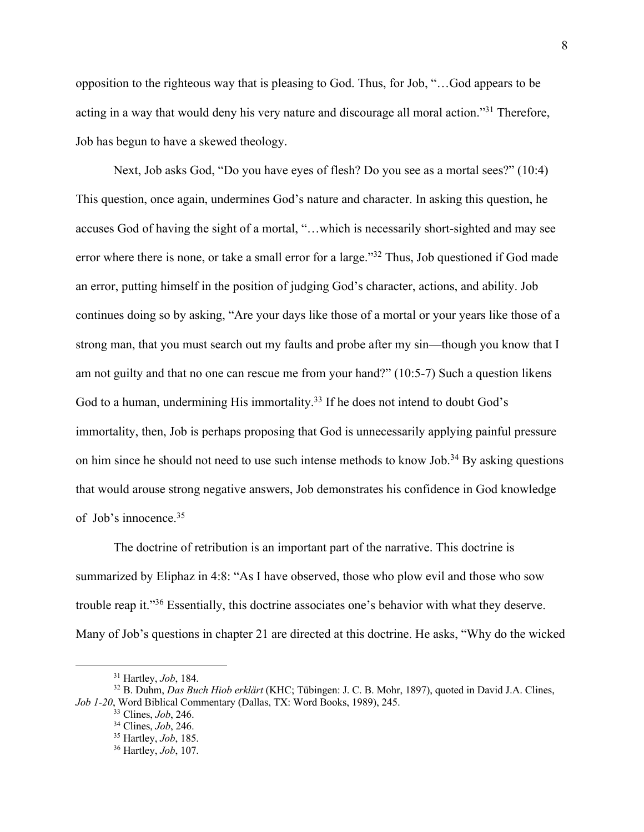opposition to the righteous way that is pleasing to God. Thus, for Job, "…God appears to be acting in a way that would deny his very nature and discourage all moral action."31 Therefore, Job has begun to have a skewed theology.

Next, Job asks God, "Do you have eyes of flesh? Do you see as a mortal sees?" (10:4) This question, once again, undermines God's nature and character. In asking this question, he accuses God of having the sight of a mortal, "…which is necessarily short-sighted and may see error where there is none, or take a small error for a large."<sup>32</sup> Thus, Job questioned if God made an error, putting himself in the position of judging God's character, actions, and ability. Job continues doing so by asking, "Are your days like those of a mortal or your years like those of a strong man, that you must search out my faults and probe after my sin—though you know that I am not guilty and that no one can rescue me from your hand?" (10:5-7) Such a question likens God to a human, undermining His immortality.<sup>33</sup> If he does not intend to doubt God's immortality, then, Job is perhaps proposing that God is unnecessarily applying painful pressure on him since he should not need to use such intense methods to know Job.<sup>34</sup> By asking questions that would arouse strong negative answers, Job demonstrates his confidence in God knowledge of Job's innocence. 35

The doctrine of retribution is an important part of the narrative. This doctrine is summarized by Eliphaz in 4:8: "As I have observed, those who plow evil and those who sow trouble reap it."36 Essentially, this doctrine associates one's behavior with what they deserve. Many of Job's questions in chapter 21 are directed at this doctrine. He asks, "Why do the wicked

<sup>31</sup> Hartley, *Job*, 184.

<sup>32</sup> B. Duhm, *Das Buch Hiob erklärt* (KHC; Tübingen: J. C. B. Mohr, 1897), quoted in David J.A. Clines, *Job 1-20*, Word Biblical Commentary (Dallas, TX: Word Books, 1989), 245.

<sup>33</sup> Clines, *Job*, 246.

<sup>34</sup> Clines, *Job*, 246.

<sup>35</sup> Hartley, *Job*, 185.

<sup>36</sup> Hartley, *Job*, 107.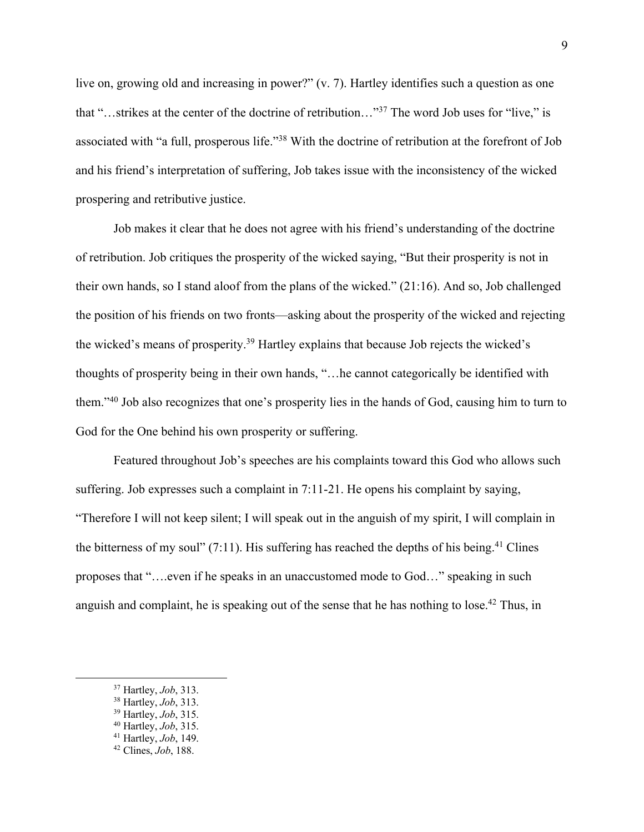live on, growing old and increasing in power?" (v. 7). Hartley identifies such a question as one that "…strikes at the center of the doctrine of retribution…"37 The word Job uses for "live," is associated with "a full, prosperous life."38 With the doctrine of retribution at the forefront of Job and his friend's interpretation of suffering, Job takes issue with the inconsistency of the wicked prospering and retributive justice.

Job makes it clear that he does not agree with his friend's understanding of the doctrine of retribution. Job critiques the prosperity of the wicked saying, "But their prosperity is not in their own hands, so I stand aloof from the plans of the wicked." (21:16). And so, Job challenged the position of his friends on two fronts—asking about the prosperity of the wicked and rejecting the wicked's means of prosperity. <sup>39</sup> Hartley explains that because Job rejects the wicked's thoughts of prosperity being in their own hands, "…he cannot categorically be identified with them."40 Job also recognizes that one's prosperity lies in the hands of God, causing him to turn to God for the One behind his own prosperity or suffering.

Featured throughout Job's speeches are his complaints toward this God who allows such suffering. Job expresses such a complaint in 7:11-21. He opens his complaint by saying, "Therefore I will not keep silent; I will speak out in the anguish of my spirit, I will complain in the bitterness of my soul"  $(7:11)$ . His suffering has reached the depths of his being.<sup>41</sup> Clines proposes that "….even if he speaks in an unaccustomed mode to God…" speaking in such anguish and complaint, he is speaking out of the sense that he has nothing to lose.<sup>42</sup> Thus, in

<sup>37</sup> Hartley, *Job*, 313.

<sup>38</sup> Hartley, *Job*, 313.

<sup>39</sup> Hartley, *Job*, 315.

<sup>40</sup> Hartley, *Job*, 315.

<sup>41</sup> Hartley, *Job*, 149.

<sup>42</sup> Clines, *Job*, 188.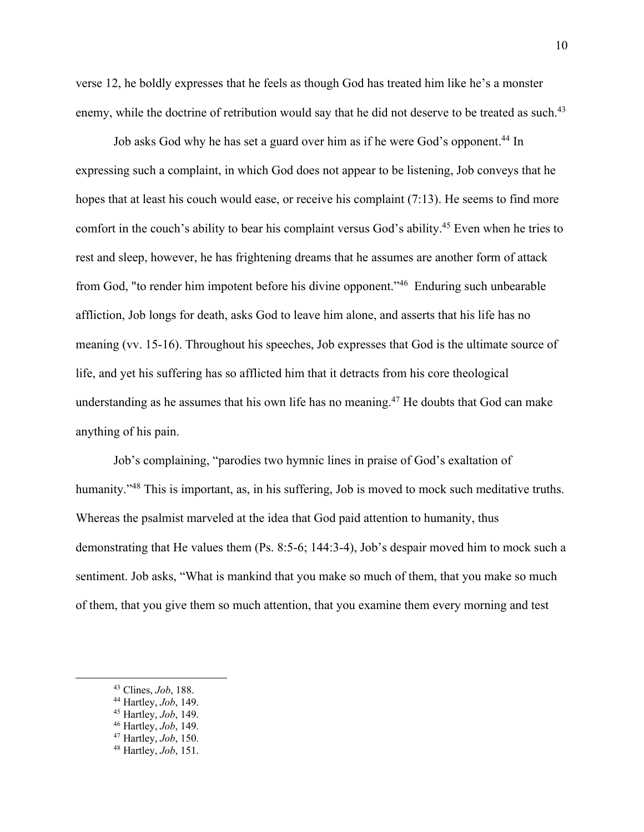verse 12, he boldly expresses that he feels as though God has treated him like he's a monster enemy, while the doctrine of retribution would say that he did not deserve to be treated as such.<sup>43</sup>

Job asks God why he has set a guard over him as if he were God's opponent.<sup>44</sup> In expressing such a complaint, in which God does not appear to be listening, Job conveys that he hopes that at least his couch would ease, or receive his complaint (7:13). He seems to find more comfort in the couch's ability to bear his complaint versus God's ability.45 Even when he tries to rest and sleep, however, he has frightening dreams that he assumes are another form of attack from God, "to render him impotent before his divine opponent."46 Enduring such unbearable affliction, Job longs for death, asks God to leave him alone, and asserts that his life has no meaning (vv. 15-16). Throughout his speeches, Job expresses that God is the ultimate source of life, and yet his suffering has so afflicted him that it detracts from his core theological understanding as he assumes that his own life has no meaning.<sup>47</sup> He doubts that God can make anything of his pain.

Job's complaining, "parodies two hymnic lines in praise of God's exaltation of humanity."<sup>48</sup> This is important, as, in his suffering, Job is moved to mock such meditative truths. Whereas the psalmist marveled at the idea that God paid attention to humanity, thus demonstrating that He values them (Ps. 8:5-6; 144:3-4), Job's despair moved him to mock such a sentiment. Job asks, "What is mankind that you make so much of them, that you make so much of them, that you give them so much attention, that you examine them every morning and test

<sup>43</sup> Clines, *Job*, 188.

<sup>44</sup> Hartley, *Job*, 149.

<sup>45</sup> Hartley, *Job*, 149.

<sup>46</sup> Hartley, *Job*, 149.

<sup>47</sup> Hartley, *Job*, 150.

<sup>48</sup> Hartley, *Job*, 151.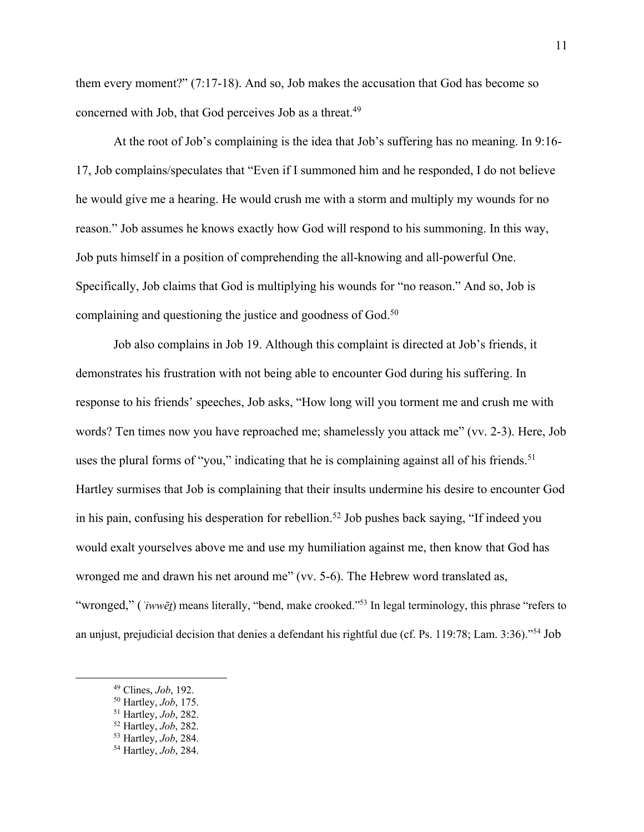them every moment?" (7:17-18). And so, Job makes the accusation that God has become so concerned with Job, that God perceives Job as a threat.<sup>49</sup>

At the root of Job's complaining is the idea that Job's suffering has no meaning. In 9:16- 17, Job complains/speculates that "Even if I summoned him and he responded, I do not believe he would give me a hearing. He would crush me with a storm and multiply my wounds for no reason." Job assumes he knows exactly how God will respond to his summoning. In this way, Job puts himself in a position of comprehending the all-knowing and all-powerful One. Specifically, Job claims that God is multiplying his wounds for "no reason." And so, Job is complaining and questioning the justice and goodness of God.<sup>50</sup>

Job also complains in Job 19. Although this complaint is directed at Job's friends, it demonstrates his frustration with not being able to encounter God during his suffering. In response to his friends' speeches, Job asks, "How long will you torment me and crush me with words? Ten times now you have reproached me; shamelessly you attack me" (vv. 2-3). Here, Job uses the plural forms of "you," indicating that he is complaining against all of his friends.<sup>51</sup> Hartley surmises that Job is complaining that their insults undermine his desire to encounter God in his pain, confusing his desperation for rebellion. <sup>52</sup> Job pushes back saying, "If indeed you would exalt yourselves above me and use my humiliation against me, then know that God has wronged me and drawn his net around me" (vv. 5-6). The Hebrew word translated as, "wronged," (*'iwwēt*) means literally, "bend, make crooked."<sup>53</sup> In legal terminology, this phrase "refers to an unjust, prejudicial decision that denies a defendant his rightful due (cf. Ps. 119:78; Lam. 3:36)."<sup>54</sup> Job

<sup>49</sup> Clines, *Job*, 192.

<sup>50</sup> Hartley, *Job*, 175.

<sup>51</sup> Hartley, *Job*, 282.

<sup>52</sup> Hartley, *Job*, 282.

<sup>53</sup> Hartley, *Job*, 284.

<sup>54</sup> Hartley, *Job*, 284.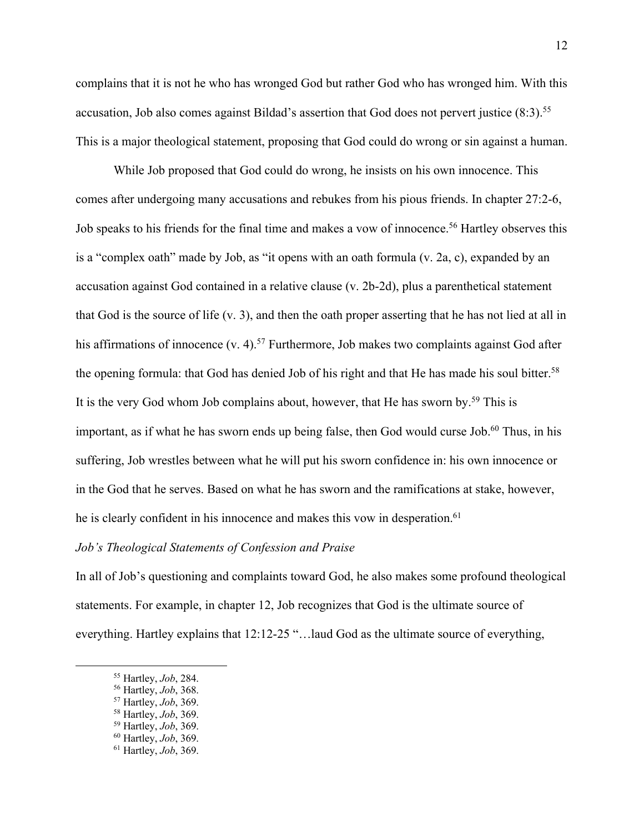complains that it is not he who has wronged God but rather God who has wronged him. With this accusation, Job also comes against Bildad's assertion that God does not pervert justice (8:3).<sup>55</sup> This is a major theological statement, proposing that God could do wrong or sin against a human.

While Job proposed that God could do wrong, he insists on his own innocence. This comes after undergoing many accusations and rebukes from his pious friends. In chapter 27:2-6, Job speaks to his friends for the final time and makes a vow of innocence.<sup>56</sup> Hartley observes this is a "complex oath" made by Job, as "it opens with an oath formula (v. 2a, c), expanded by an accusation against God contained in a relative clause (v. 2b-2d), plus a parenthetical statement that God is the source of life (v. 3), and then the oath proper asserting that he has not lied at all in his affirmations of innocence (v. 4).<sup>57</sup> Furthermore, Job makes two complaints against God after the opening formula: that God has denied Job of his right and that He has made his soul bitter.<sup>58</sup> It is the very God whom Job complains about, however, that He has sworn by.<sup>59</sup> This is important, as if what he has sworn ends up being false, then God would curse Job. <sup>60</sup> Thus, in his suffering, Job wrestles between what he will put his sworn confidence in: his own innocence or in the God that he serves. Based on what he has sworn and the ramifications at stake, however, he is clearly confident in his innocence and makes this vow in desperation.<sup>61</sup>

#### *Job's Theological Statements of Confession and Praise*

In all of Job's questioning and complaints toward God, he also makes some profound theological statements. For example, in chapter 12, Job recognizes that God is the ultimate source of everything. Hartley explains that 12:12-25 "…laud God as the ultimate source of everything,

<sup>55</sup> Hartley, *Job*, 284.

<sup>56</sup> Hartley, *Job*, 368.

<sup>57</sup> Hartley, *Job*, 369.

<sup>58</sup> Hartley, *Job*, 369.

<sup>59</sup> Hartley, *Job*, 369.

<sup>60</sup> Hartley, *Job*, 369.

<sup>61</sup> Hartley, *Job*, 369.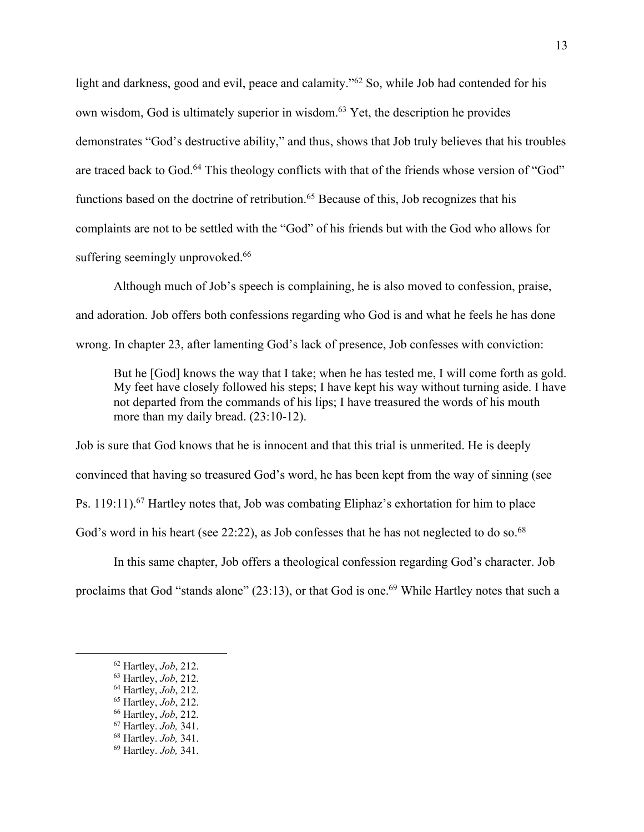light and darkness, good and evil, peace and calamity."<sup>62</sup> So, while Job had contended for his own wisdom, God is ultimately superior in wisdom.63 Yet, the description he provides demonstrates "God's destructive ability," and thus, shows that Job truly believes that his troubles are traced back to God.<sup>64</sup> This theology conflicts with that of the friends whose version of "God" functions based on the doctrine of retribution.<sup>65</sup> Because of this, Job recognizes that his complaints are not to be settled with the "God" of his friends but with the God who allows for suffering seemingly unprovoked.<sup>66</sup>

Although much of Job's speech is complaining, he is also moved to confession, praise, and adoration. Job offers both confessions regarding who God is and what he feels he has done wrong. In chapter 23, after lamenting God's lack of presence, Job confesses with conviction:

But he [God] knows the way that I take; when he has tested me, I will come forth as gold. My feet have closely followed his steps; I have kept his way without turning aside. I have not departed from the commands of his lips; I have treasured the words of his mouth more than my daily bread.  $(23:10-12)$ .

Job is sure that God knows that he is innocent and that this trial is unmerited. He is deeply convinced that having so treasured God's word, he has been kept from the way of sinning (see Ps. 119:11).<sup>67</sup> Hartley notes that, Job was combating Eliphaz's exhortation for him to place God's word in his heart (see 22:22), as Job confesses that he has not neglected to do so.<sup>68</sup>

In this same chapter, Job offers a theological confession regarding God's character. Job proclaims that God "stands alone"  $(23:13)$ , or that God is one.<sup>69</sup> While Hartley notes that such a

<sup>62</sup> Hartley, *Job*, 212.

<sup>63</sup> Hartley, *Job*, 212.

<sup>64</sup> Hartley, *Job*, 212.

<sup>65</sup> Hartley, *Job*, 212.

<sup>66</sup> Hartley, *Job*, 212.

<sup>67</sup> Hartley. *Job,* 341.

<sup>68</sup> Hartley. *Job,* 341.

<sup>69</sup> Hartley. *Job,* 341.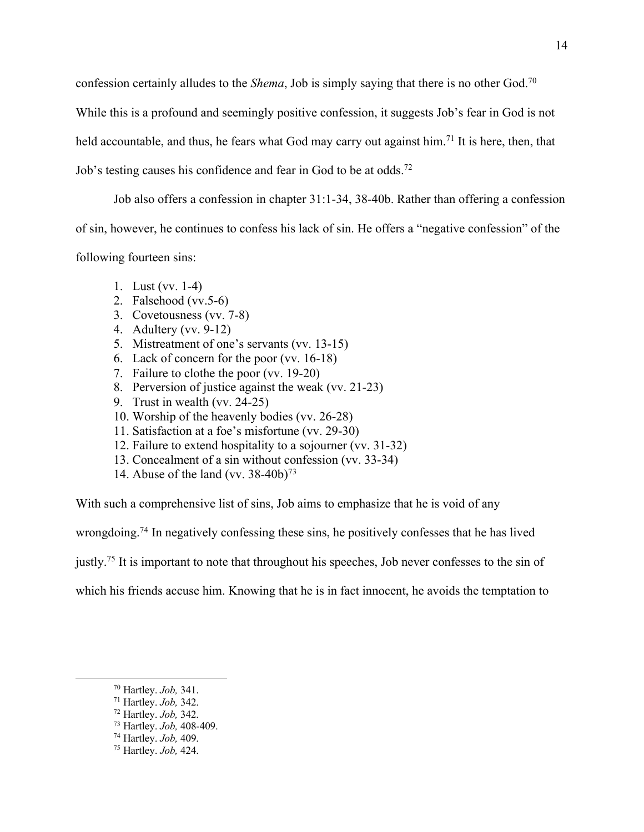confession certainly alludes to the *Shema*, Job is simply saying that there is no other God.70

While this is a profound and seemingly positive confession, it suggests Job's fear in God is not

held accountable, and thus, he fears what God may carry out against him.<sup>71</sup> It is here, then, that

Job's testing causes his confidence and fear in God to be at odds.<sup>72</sup>

Job also offers a confession in chapter 31:1-34, 38-40b. Rather than offering a confession of sin, however, he continues to confess his lack of sin. He offers a "negative confession" of the following fourteen sins:

- 1. Lust (vv. 1-4)
- 2. Falsehood (vv.5-6)
- 3. Covetousness (vv. 7-8)
- 4. Adultery (vv. 9-12)
- 5. Mistreatment of one's servants (vv. 13-15)
- 6. Lack of concern for the poor (vv. 16-18)
- 7. Failure to clothe the poor (vv. 19-20)
- 8. Perversion of justice against the weak (vv. 21-23)
- 9. Trust in wealth (vv. 24-25)
- 10. Worship of the heavenly bodies (vv. 26-28)
- 11. Satisfaction at a foe's misfortune (vv. 29-30)
- 12. Failure to extend hospitality to a sojourner (vv. 31-32)
- 13. Concealment of a sin without confession (vv. 33-34)
- 14. Abuse of the land (vv.  $38-40b$ )<sup>73</sup>

With such a comprehensive list of sins, Job aims to emphasize that he is void of any

wrongdoing.<sup>74</sup> In negatively confessing these sins, he positively confesses that he has lived

justly.<sup>75</sup> It is important to note that throughout his speeches, Job never confesses to the sin of

which his friends accuse him. Knowing that he is in fact innocent, he avoids the temptation to

<sup>70</sup> Hartley. *Job,* 341.

<sup>71</sup> Hartley. *Job,* 342.

<sup>72</sup> Hartley. *Job,* 342.

<sup>73</sup> Hartley. *Job,* 408-409.

<sup>74</sup> Hartley. *Job,* 409.

<sup>75</sup> Hartley. *Job,* 424.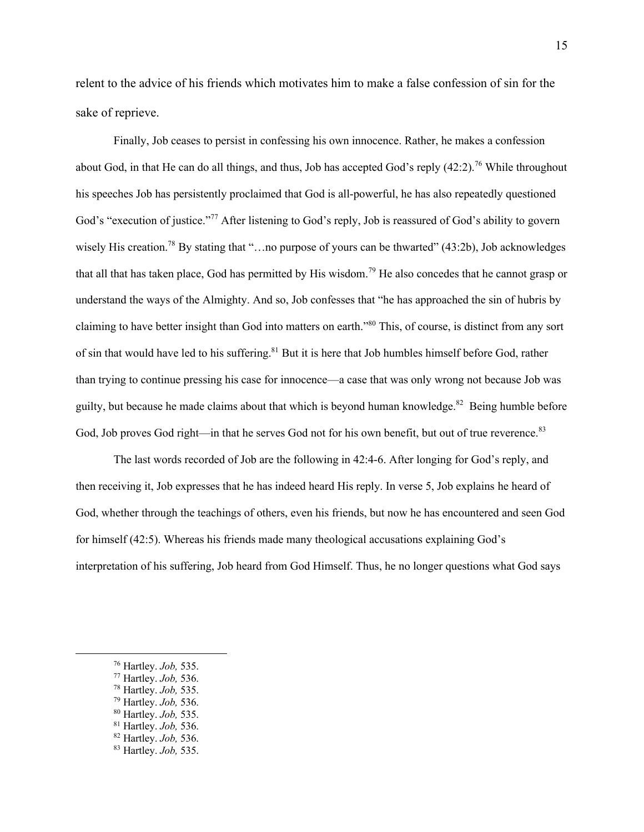relent to the advice of his friends which motivates him to make a false confession of sin for the sake of reprieve.

Finally, Job ceases to persist in confessing his own innocence. Rather, he makes a confession about God, in that He can do all things, and thus, Job has accepted God's reply  $(42.2)$ .<sup>76</sup> While throughout his speeches Job has persistently proclaimed that God is all-powerful, he has also repeatedly questioned God's "execution of justice."<sup>77</sup> After listening to God's reply, Job is reassured of God's ability to govern wisely His creation.<sup>78</sup> By stating that "...no purpose of yours can be thwarted" (43:2b), Job acknowledges that all that has taken place, God has permitted by His wisdom.<sup>79</sup> He also concedes that he cannot grasp or understand the ways of the Almighty. And so, Job confesses that "he has approached the sin of hubris by claiming to have better insight than God into matters on earth."80 This, of course, is distinct from any sort of sin that would have led to his suffering.<sup>81</sup> But it is here that Job humbles himself before God, rather than trying to continue pressing his case for innocence—a case that was only wrong not because Job was guilty, but because he made claims about that which is beyond human knowledge. $82$  Being humble before God, Job proves God right—in that he serves God not for his own benefit, but out of true reverence.<sup>83</sup>

The last words recorded of Job are the following in 42:4-6. After longing for God's reply, and then receiving it, Job expresses that he has indeed heard His reply. In verse 5, Job explains he heard of God, whether through the teachings of others, even his friends, but now he has encountered and seen God for himself (42:5). Whereas his friends made many theological accusations explaining God's interpretation of his suffering, Job heard from God Himself. Thus, he no longer questions what God says

<sup>76</sup> Hartley. *Job,* 535.

<sup>77</sup> Hartley. *Job,* 536.

<sup>78</sup> Hartley. *Job,* 535.

<sup>79</sup> Hartley. *Job,* 536.

<sup>80</sup> Hartley. *Job,* 535.

<sup>81</sup> Hartley. *Job,* 536.

<sup>82</sup> Hartley. *Job,* 536.

<sup>83</sup> Hartley. *Job,* 535.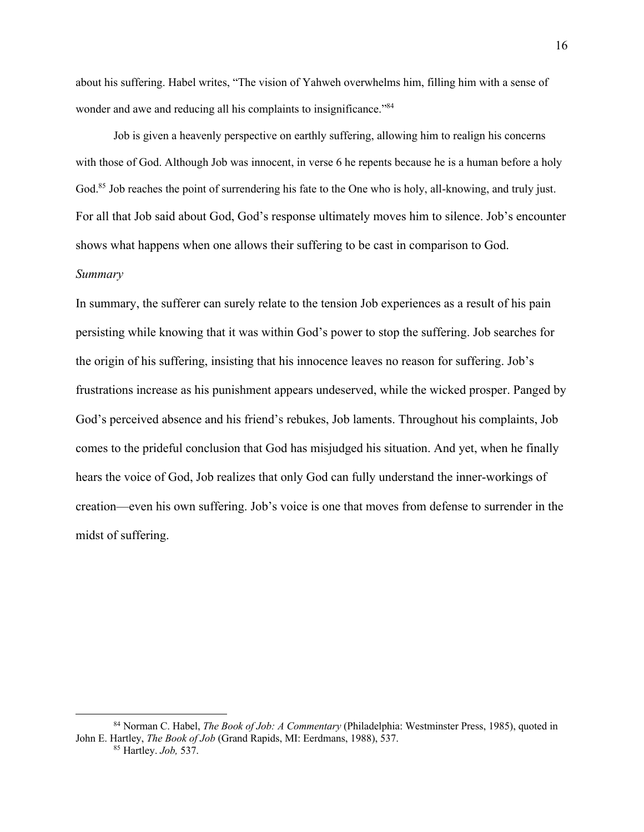about his suffering. Habel writes, "The vision of Yahweh overwhelms him, filling him with a sense of wonder and awe and reducing all his complaints to insignificance.<sup>84</sup>

Job is given a heavenly perspective on earthly suffering, allowing him to realign his concerns with those of God. Although Job was innocent, in verse 6 he repents because he is a human before a holy God.<sup>85</sup> Job reaches the point of surrendering his fate to the One who is holy, all-knowing, and truly just. For all that Job said about God, God's response ultimately moves him to silence. Job's encounter shows what happens when one allows their suffering to be cast in comparison to God.

## *Summary*

In summary, the sufferer can surely relate to the tension Job experiences as a result of his pain persisting while knowing that it was within God's power to stop the suffering. Job searches for the origin of his suffering, insisting that his innocence leaves no reason for suffering. Job's frustrations increase as his punishment appears undeserved, while the wicked prosper. Panged by God's perceived absence and his friend's rebukes, Job laments. Throughout his complaints, Job comes to the prideful conclusion that God has misjudged his situation. And yet, when he finally hears the voice of God, Job realizes that only God can fully understand the inner-workings of creation—even his own suffering. Job's voice is one that moves from defense to surrender in the midst of suffering.

<sup>84</sup> Norman C. Habel, *The Book of Job: A Commentary* (Philadelphia: Westminster Press, 1985), quoted in John E. Hartley, *The Book of Job* (Grand Rapids, MI: Eerdmans, 1988), 537. <sup>85</sup> Hartley. *Job,* 537.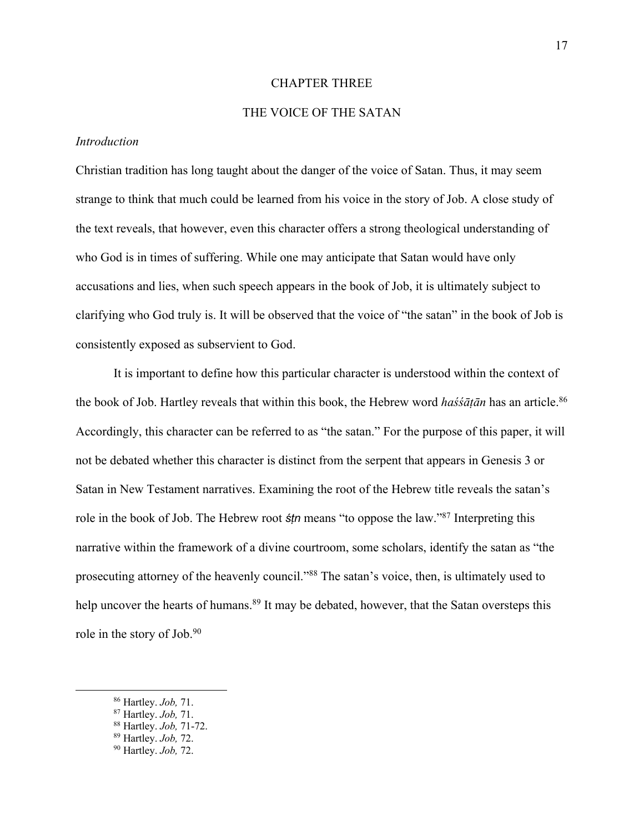#### CHAPTER THREE

# THE VOICE OF THE SATAN

#### *Introduction*

Christian tradition has long taught about the danger of the voice of Satan. Thus, it may seem strange to think that much could be learned from his voice in the story of Job. A close study of the text reveals, that however, even this character offers a strong theological understanding of who God is in times of suffering. While one may anticipate that Satan would have only accusations and lies, when such speech appears in the book of Job, it is ultimately subject to clarifying who God truly is. It will be observed that the voice of "the satan" in the book of Job is consistently exposed as subservient to God.

It is important to define how this particular character is understood within the context of the book of Job. Hartley reveals that within this book, the Hebrew word *haśśātān* has an article.<sup>86</sup> Accordingly, this character can be referred to as "the satan." For the purpose of this paper, it will not be debated whether this character is distinct from the serpent that appears in Genesis 3 or Satan in New Testament narratives. Examining the root of the Hebrew title reveals the satan's role in the book of Job. The Hebrew root *śṭn* means "to oppose the law."87 Interpreting this narrative within the framework of a divine courtroom, some scholars, identify the satan as "the prosecuting attorney of the heavenly council."88 The satan's voice, then, is ultimately used to help uncover the hearts of humans.<sup>89</sup> It may be debated, however, that the Satan oversteps this role in the story of Job.90

<sup>86</sup> Hartley. *Job,* 71.

<sup>87</sup> Hartley. *Job,* 71.

<sup>88</sup> Hartley. *Job,* 71-72.

<sup>89</sup> Hartley. *Job,* 72.

<sup>90</sup> Hartley. *Job,* 72.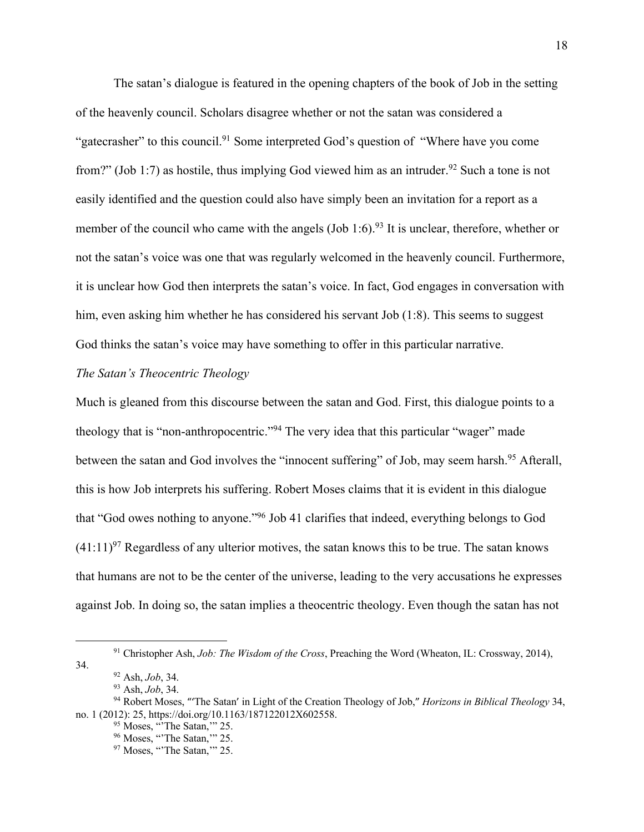The satan's dialogue is featured in the opening chapters of the book of Job in the setting of the heavenly council. Scholars disagree whether or not the satan was considered a "gatecrasher" to this council.<sup>91</sup> Some interpreted God's question of "Where have you come from?" (Job 1:7) as hostile, thus implying God viewed him as an intruder.<sup>92</sup> Such a tone is not easily identified and the question could also have simply been an invitation for a report as a member of the council who came with the angels (Job 1:6).<sup>93</sup> It is unclear, therefore, whether or not the satan's voice was one that was regularly welcomed in the heavenly council. Furthermore, it is unclear how God then interprets the satan's voice. In fact, God engages in conversation with him, even asking him whether he has considered his servant Job (1:8). This seems to suggest God thinks the satan's voice may have something to offer in this particular narrative.

#### *The Satan's Theocentric Theology*

Much is gleaned from this discourse between the satan and God. First, this dialogue points to a theology that is "non-anthropocentric."94 The very idea that this particular "wager" made between the satan and God involves the "innocent suffering" of Job, may seem harsh.<sup>95</sup> Afterall, this is how Job interprets his suffering. Robert Moses claims that it is evident in this dialogue that "God owes nothing to anyone."96 Job 41 clarifies that indeed, everything belongs to God  $(41:11)^{97}$  Regardless of any ulterior motives, the satan knows this to be true. The satan knows that humans are not to be the center of the universe, leading to the very accusations he expresses against Job. In doing so, the satan implies a theocentric theology. Even though the satan has not

34.

<sup>91</sup> Christopher Ash, *Job: The Wisdom of the Cross*, Preaching the Word (Wheaton, IL: Crossway, 2014),

<sup>92</sup> Ash, *Job*, 34.

<sup>93</sup> Ash, *Job*, 34.

<sup>94</sup> Robert Moses, "'The Satan' in Light of the Creation Theology of Job," *Horizons in Biblical Theology* 34, no. 1 (2012): 25, https://doi.org/10.1163/187122012X602558.

 $95$  Moses, "The Satan," 25.

<sup>&</sup>lt;sup>96</sup> Moses, "The Satan," 25.

<sup>&</sup>lt;sup>97</sup> Moses, "The Satan," 25.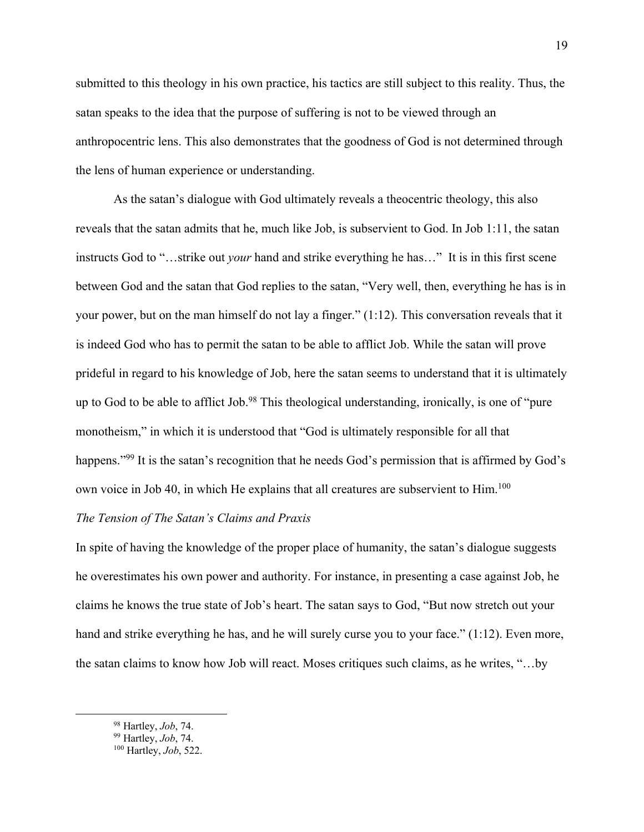submitted to this theology in his own practice, his tactics are still subject to this reality. Thus, the satan speaks to the idea that the purpose of suffering is not to be viewed through an anthropocentric lens. This also demonstrates that the goodness of God is not determined through the lens of human experience or understanding.

As the satan's dialogue with God ultimately reveals a theocentric theology, this also reveals that the satan admits that he, much like Job, is subservient to God. In Job 1:11, the satan instructs God to "…strike out *your* hand and strike everything he has…" It is in this first scene between God and the satan that God replies to the satan, "Very well, then, everything he has is in your power, but on the man himself do not lay a finger." (1:12). This conversation reveals that it is indeed God who has to permit the satan to be able to afflict Job. While the satan will prove prideful in regard to his knowledge of Job, here the satan seems to understand that it is ultimately up to God to be able to afflict Job.<sup>98</sup> This theological understanding, ironically, is one of "pure monotheism," in which it is understood that "God is ultimately responsible for all that happens."<sup>99</sup> It is the satan's recognition that he needs God's permission that is affirmed by God's own voice in Job 40, in which He explains that all creatures are subservient to Him.<sup>100</sup>

#### *The Tension of The Satan's Claims and Praxis*

In spite of having the knowledge of the proper place of humanity, the satan's dialogue suggests he overestimates his own power and authority. For instance, in presenting a case against Job, he claims he knows the true state of Job's heart. The satan says to God, "But now stretch out your hand and strike everything he has, and he will surely curse you to your face." (1:12). Even more, the satan claims to know how Job will react. Moses critiques such claims, as he writes, "…by

<sup>98</sup> Hartley, *Job*, 74.

<sup>99</sup> Hartley, *Job*, 74.

<sup>100</sup> Hartley, *Job*, 522.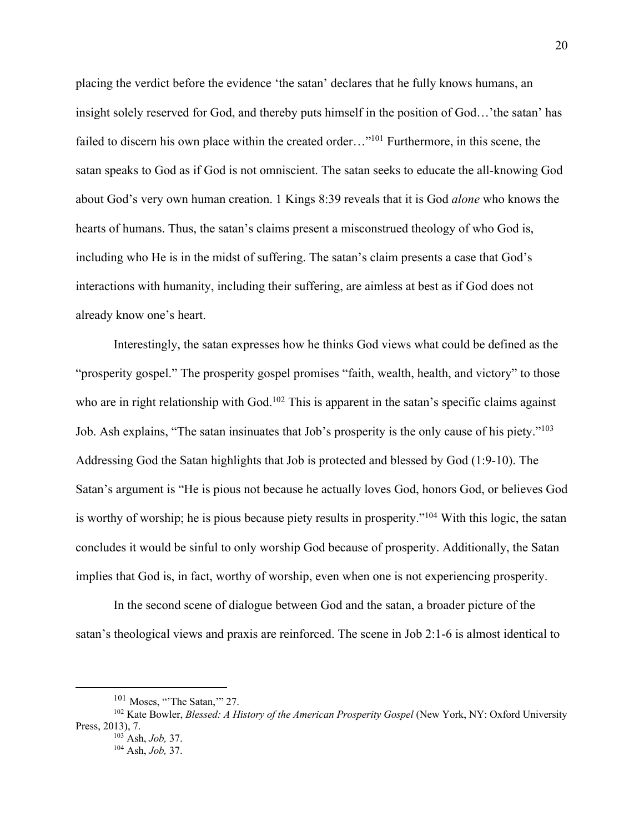placing the verdict before the evidence 'the satan' declares that he fully knows humans, an insight solely reserved for God, and thereby puts himself in the position of God…'the satan' has failed to discern his own place within the created order..."<sup>101</sup> Furthermore, in this scene, the satan speaks to God as if God is not omniscient. The satan seeks to educate the all-knowing God about God's very own human creation. 1 Kings 8:39 reveals that it is God *alone* who knows the hearts of humans. Thus, the satan's claims present a misconstrued theology of who God is, including who He is in the midst of suffering. The satan's claim presents a case that God's interactions with humanity, including their suffering, are aimless at best as if God does not already know one's heart.

Interestingly, the satan expresses how he thinks God views what could be defined as the "prosperity gospel." The prosperity gospel promises "faith, wealth, health, and victory" to those who are in right relationship with God.<sup>102</sup> This is apparent in the satan's specific claims against Job. Ash explains, "The satan insinuates that Job's prosperity is the only cause of his piety."103 Addressing God the Satan highlights that Job is protected and blessed by God (1:9-10). The Satan's argument is "He is pious not because he actually loves God, honors God, or believes God is worthy of worship; he is pious because piety results in prosperity."104 With this logic, the satan concludes it would be sinful to only worship God because of prosperity. Additionally, the Satan implies that God is, in fact, worthy of worship, even when one is not experiencing prosperity.

In the second scene of dialogue between God and the satan, a broader picture of the satan's theological views and praxis are reinforced. The scene in Job 2:1-6 is almost identical to

20

 $101$  Moses, "The Satan," 27.

<sup>102</sup> Kate Bowler, *Blessed: A History of the American Prosperity Gospel* (New York, NY: Oxford University Press, 2013), 7.

<sup>103</sup> Ash, *Job,* 37. <sup>104</sup> Ash, *Job,* 37.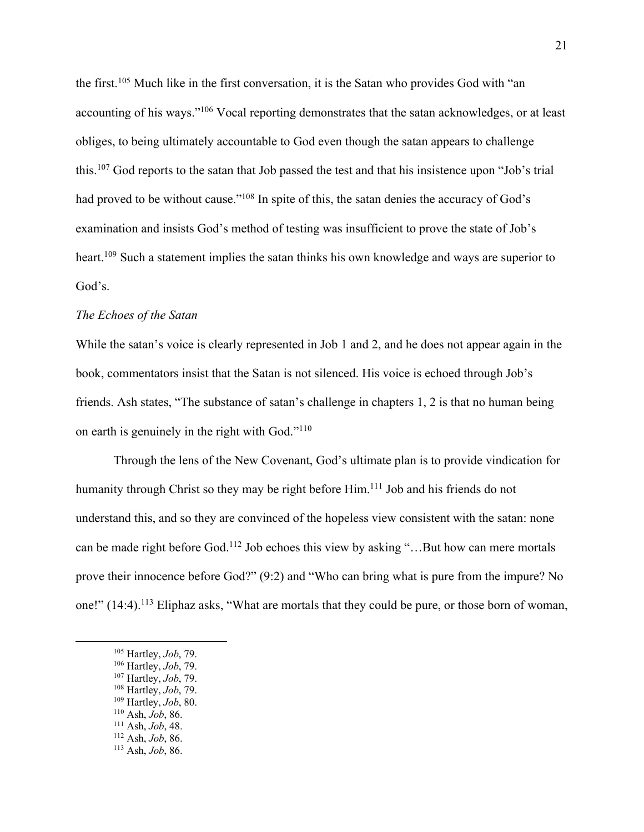the first.105 Much like in the first conversation, it is the Satan who provides God with "an accounting of his ways."106 Vocal reporting demonstrates that the satan acknowledges, or at least obliges, to being ultimately accountable to God even though the satan appears to challenge this.<sup>107</sup> God reports to the satan that Job passed the test and that his insistence upon "Job's trial had proved to be without cause."<sup>108</sup> In spite of this, the satan denies the accuracy of God's examination and insists God's method of testing was insufficient to prove the state of Job's heart.<sup>109</sup> Such a statement implies the satan thinks his own knowledge and ways are superior to God's.

#### *The Echoes of the Satan*

While the satan's voice is clearly represented in Job 1 and 2, and he does not appear again in the book, commentators insist that the Satan is not silenced. His voice is echoed through Job's friends. Ash states, "The substance of satan's challenge in chapters 1, 2 is that no human being on earth is genuinely in the right with God."110

Through the lens of the New Covenant, God's ultimate plan is to provide vindication for humanity through Christ so they may be right before Him.<sup>111</sup> Job and his friends do not understand this, and so they are convinced of the hopeless view consistent with the satan: none can be made right before God.112 Job echoes this view by asking "…But how can mere mortals prove their innocence before God?" (9:2) and "Who can bring what is pure from the impure? No one!" (14:4).<sup>113</sup> Eliphaz asks, "What are mortals that they could be pure, or those born of woman,

- <sup>107</sup> Hartley, *Job*, 79.
- <sup>108</sup> Hartley, *Job*, 79.
- <sup>109</sup> Hartley, *Job*, 80.
- <sup>110</sup> Ash, *Job*, 86. <sup>111</sup> Ash, *Job*, 48.
- <sup>112</sup> Ash, *Job*, 86.
- <sup>113</sup> Ash, *Job*, 86.

<sup>105</sup> Hartley, *Job*, 79.

<sup>106</sup> Hartley, *Job*, 79.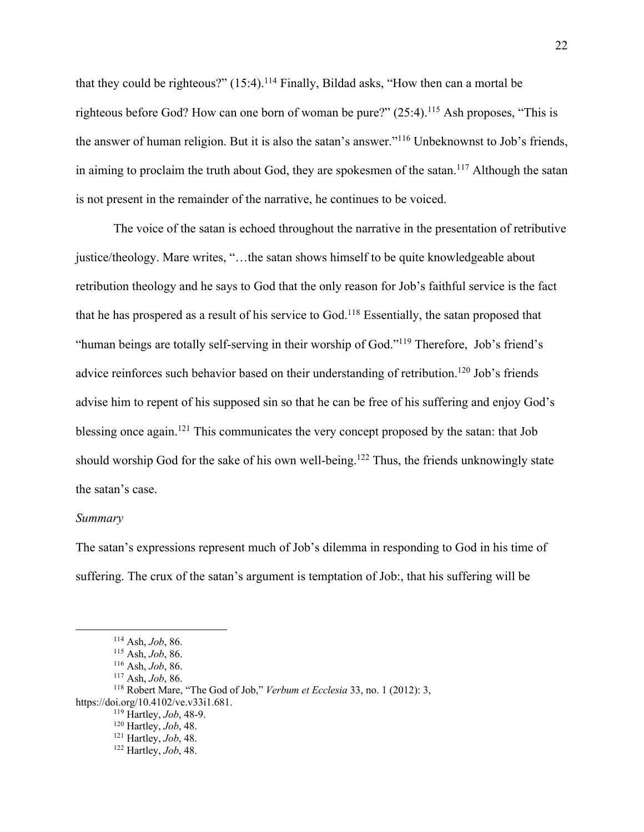that they could be righteous?"  $(15.4)$ .<sup>114</sup> Finally, Bildad asks, "How then can a mortal be righteous before God? How can one born of woman be pure?" (25:4).<sup>115</sup> Ash proposes, "This is the answer of human religion. But it is also the satan's answer."116 Unbeknownst to Job's friends, in aiming to proclaim the truth about God, they are spokesmen of the satan.<sup>117</sup> Although the satan is not present in the remainder of the narrative, he continues to be voiced.

The voice of the satan is echoed throughout the narrative in the presentation of retributive justice/theology. Mare writes, "…the satan shows himself to be quite knowledgeable about retribution theology and he says to God that the only reason for Job's faithful service is the fact that he has prospered as a result of his service to God. <sup>118</sup> Essentially, the satan proposed that "human beings are totally self-serving in their worship of God."119 Therefore, Job's friend's advice reinforces such behavior based on their understanding of retribution.<sup>120</sup> Job's friends advise him to repent of his supposed sin so that he can be free of his suffering and enjoy God's blessing once again.<sup>121</sup> This communicates the very concept proposed by the satan: that Job should worship God for the sake of his own well-being.<sup>122</sup> Thus, the friends unknowingly state the satan's case.

#### *Summary*

The satan's expressions represent much of Job's dilemma in responding to God in his time of suffering. The crux of the satan's argument is temptation of Job:, that his suffering will be

<sup>114</sup> Ash, *Job*, 86.

<sup>115</sup> Ash, *Job*, 86.

<sup>116</sup> Ash, *Job*, 86.

<sup>117</sup> Ash, *Job*, 86.

<sup>118</sup> Robert Mare, "The God of Job," *Verbum et Ecclesia* 33, no. 1 (2012): 3, https://doi.org/10.4102/ve.v33i1.681.

<sup>119</sup> Hartley, *Job*, 48-9.

<sup>120</sup> Hartley, *Job*, 48.

<sup>121</sup> Hartley, *Job*, 48.

<sup>122</sup> Hartley, *Job*, 48.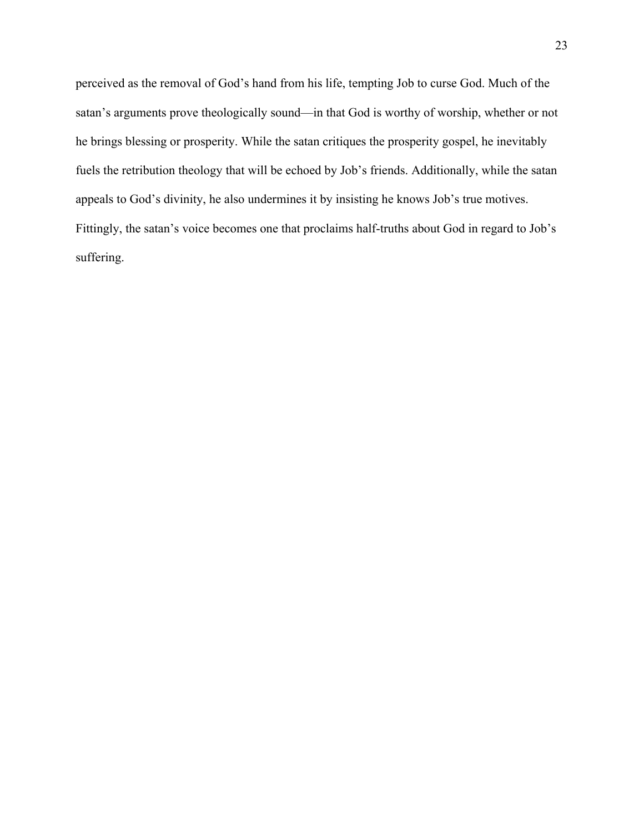perceived as the removal of God's hand from his life, tempting Job to curse God. Much of the satan's arguments prove theologically sound—in that God is worthy of worship, whether or not he brings blessing or prosperity. While the satan critiques the prosperity gospel, he inevitably fuels the retribution theology that will be echoed by Job's friends. Additionally, while the satan appeals to God's divinity, he also undermines it by insisting he knows Job's true motives. Fittingly, the satan's voice becomes one that proclaims half-truths about God in regard to Job's suffering.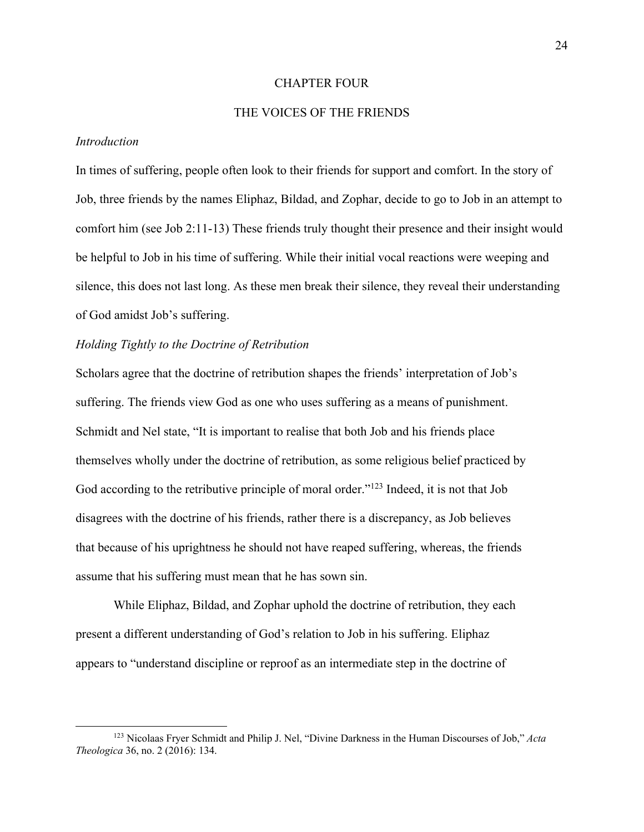#### CHAPTER FOUR

# THE VOICES OF THE FRIENDS

#### *Introduction*

In times of suffering, people often look to their friends for support and comfort. In the story of Job, three friends by the names Eliphaz, Bildad, and Zophar, decide to go to Job in an attempt to comfort him (see Job 2:11-13) These friends truly thought their presence and their insight would be helpful to Job in his time of suffering. While their initial vocal reactions were weeping and silence, this does not last long. As these men break their silence, they reveal their understanding of God amidst Job's suffering.

#### *Holding Tightly to the Doctrine of Retribution*

Scholars agree that the doctrine of retribution shapes the friends' interpretation of Job's suffering. The friends view God as one who uses suffering as a means of punishment. Schmidt and Nel state, "It is important to realise that both Job and his friends place themselves wholly under the doctrine of retribution, as some religious belief practiced by God according to the retributive principle of moral order."<sup>123</sup> Indeed, it is not that Job disagrees with the doctrine of his friends, rather there is a discrepancy, as Job believes that because of his uprightness he should not have reaped suffering, whereas, the friends assume that his suffering must mean that he has sown sin.

While Eliphaz, Bildad, and Zophar uphold the doctrine of retribution, they each present a different understanding of God's relation to Job in his suffering. Eliphaz appears to "understand discipline or reproof as an intermediate step in the doctrine of

<sup>123</sup> Nicolaas Fryer Schmidt and Philip J. Nel, "Divine Darkness in the Human Discourses of Job," *Acta Theologica* 36, no. 2 (2016): 134.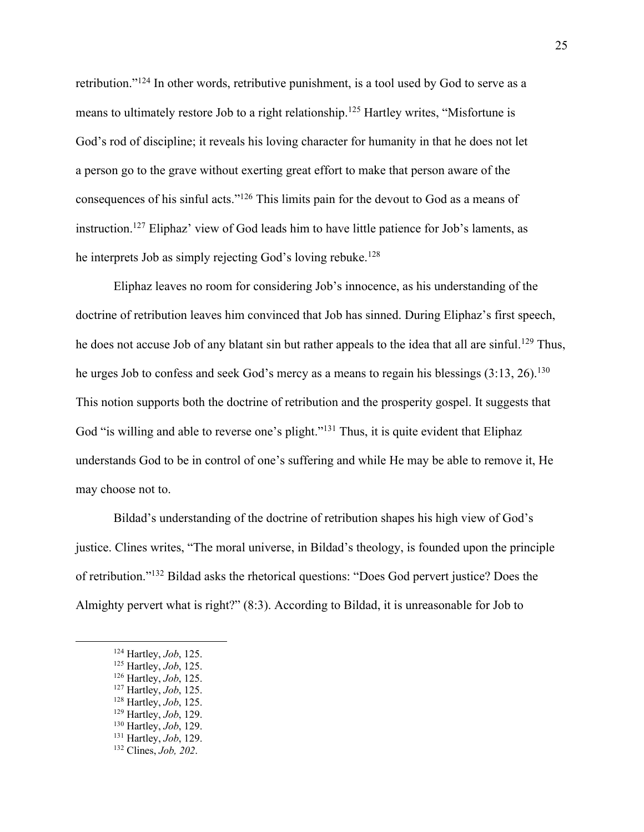retribution."124 In other words, retributive punishment, is a tool used by God to serve as a means to ultimately restore Job to a right relationship.125 Hartley writes, "Misfortune is God's rod of discipline; it reveals his loving character for humanity in that he does not let a person go to the grave without exerting great effort to make that person aware of the consequences of his sinful acts."126 This limits pain for the devout to God as a means of instruction.127 Eliphaz' view of God leads him to have little patience for Job's laments, as he interprets Job as simply rejecting God's loving rebuke.<sup>128</sup>

Eliphaz leaves no room for considering Job's innocence, as his understanding of the doctrine of retribution leaves him convinced that Job has sinned. During Eliphaz's first speech, he does not accuse Job of any blatant sin but rather appeals to the idea that all are sinful.<sup>129</sup> Thus, he urges Job to confess and seek God's mercy as a means to regain his blessings (3:13, 26).<sup>130</sup> This notion supports both the doctrine of retribution and the prosperity gospel. It suggests that God "is willing and able to reverse one's plight."<sup>131</sup> Thus, it is quite evident that Eliphaz understands God to be in control of one's suffering and while He may be able to remove it, He may choose not to.

Bildad's understanding of the doctrine of retribution shapes his high view of God's justice. Clines writes, "The moral universe, in Bildad's theology, is founded upon the principle of retribution."132 Bildad asks the rhetorical questions: "Does God pervert justice? Does the Almighty pervert what is right?" (8:3). According to Bildad, it is unreasonable for Job to

- <sup>125</sup> Hartley, *Job*, 125.
- <sup>126</sup> Hartley, *Job*, 125.
- <sup>127</sup> Hartley, *Job*, 125.
- <sup>128</sup> Hartley, *Job*, 125.
- <sup>129</sup> Hartley, *Job*, 129.
- <sup>130</sup> Hartley, *Job*, 129.
- <sup>131</sup> Hartley, *Job*, 129.
- <sup>132</sup> Clines, *Job, 202*.

<sup>124</sup> Hartley, *Job*, 125.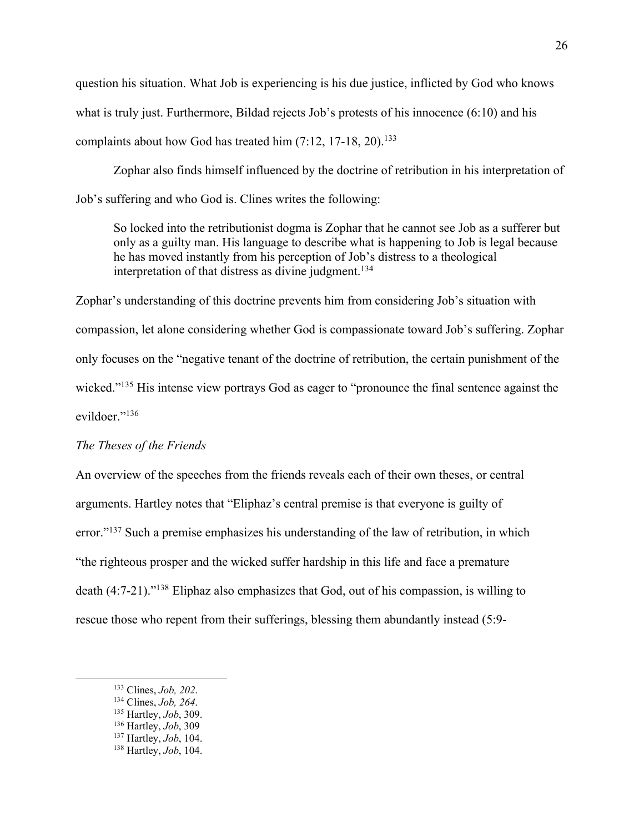question his situation. What Job is experiencing is his due justice, inflicted by God who knows what is truly just. Furthermore, Bildad rejects Job's protests of his innocence (6:10) and his complaints about how God has treated him  $(7:12, 17-18, 20).$ <sup>133</sup>

Zophar also finds himself influenced by the doctrine of retribution in his interpretation of Job's suffering and who God is. Clines writes the following:

So locked into the retributionist dogma is Zophar that he cannot see Job as a sufferer but only as a guilty man. His language to describe what is happening to Job is legal because he has moved instantly from his perception of Job's distress to a theological interpretation of that distress as divine judgment.<sup>134</sup>

Zophar's understanding of this doctrine prevents him from considering Job's situation with compassion, let alone considering whether God is compassionate toward Job's suffering. Zophar only focuses on the "negative tenant of the doctrine of retribution, the certain punishment of the wicked."<sup>135</sup> His intense view portrays God as eager to "pronounce the final sentence against the evildoer."<sup>136</sup>

#### *The Theses of the Friends*

An overview of the speeches from the friends reveals each of their own theses, or central arguments. Hartley notes that "Eliphaz's central premise is that everyone is guilty of error."<sup>137</sup> Such a premise emphasizes his understanding of the law of retribution, in which "the righteous prosper and the wicked suffer hardship in this life and face a premature death (4:7-21)."138 Eliphaz also emphasizes that God, out of his compassion, is willing to rescue those who repent from their sufferings, blessing them abundantly instead (5:9-

<sup>133</sup> Clines, *Job, 202*.

<sup>134</sup> Clines, *Job, 264*.

<sup>135</sup> Hartley, *Job*, 309.

<sup>136</sup> Hartley, *Job*, 309

<sup>137</sup> Hartley, *Job*, 104.

<sup>138</sup> Hartley, *Job*, 104.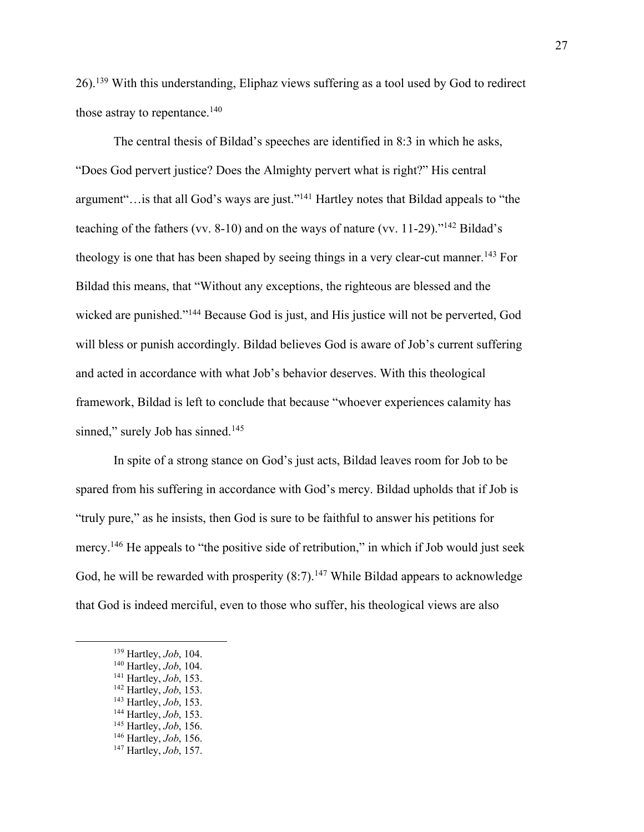26).139 With this understanding, Eliphaz views suffering as a tool used by God to redirect those astray to repentance.<sup>140</sup>

The central thesis of Bildad's speeches are identified in 8:3 in which he asks, "Does God pervert justice? Does the Almighty pervert what is right?" His central argument"…is that all God's ways are just."141 Hartley notes that Bildad appeals to "the teaching of the fathers (vv.  $8-10$ ) and on the ways of nature (vv. 11-29)."<sup>142</sup> Bildad's theology is one that has been shaped by seeing things in a very clear-cut manner.<sup>143</sup> For Bildad this means, that "Without any exceptions, the righteous are blessed and the wicked are punished."144 Because God is just, and His justice will not be perverted, God will bless or punish accordingly. Bildad believes God is aware of Job's current suffering and acted in accordance with what Job's behavior deserves. With this theological framework, Bildad is left to conclude that because "whoever experiences calamity has sinned," surely Job has sinned.<sup>145</sup>

In spite of a strong stance on God's just acts, Bildad leaves room for Job to be spared from his suffering in accordance with God's mercy. Bildad upholds that if Job is "truly pure," as he insists, then God is sure to be faithful to answer his petitions for mercy.<sup>146</sup> He appeals to "the positive side of retribution," in which if Job would just seek God, he will be rewarded with prosperity  $(8:7)$ .<sup>147</sup> While Bildad appears to acknowledge that God is indeed merciful, even to those who suffer, his theological views are also

- <sup>140</sup> Hartley, *Job*, 104.
- <sup>141</sup> Hartley, *Job*, 153.
- <sup>142</sup> Hartley, *Job*, 153.
- <sup>143</sup> Hartley, *Job*, 153.
- <sup>144</sup> Hartley, *Job*, 153.
- <sup>145</sup> Hartley, *Job*, 156.
- <sup>146</sup> Hartley, *Job*, 156.
- <sup>147</sup> Hartley, *Job*, 157.

<sup>139</sup> Hartley, *Job*, 104.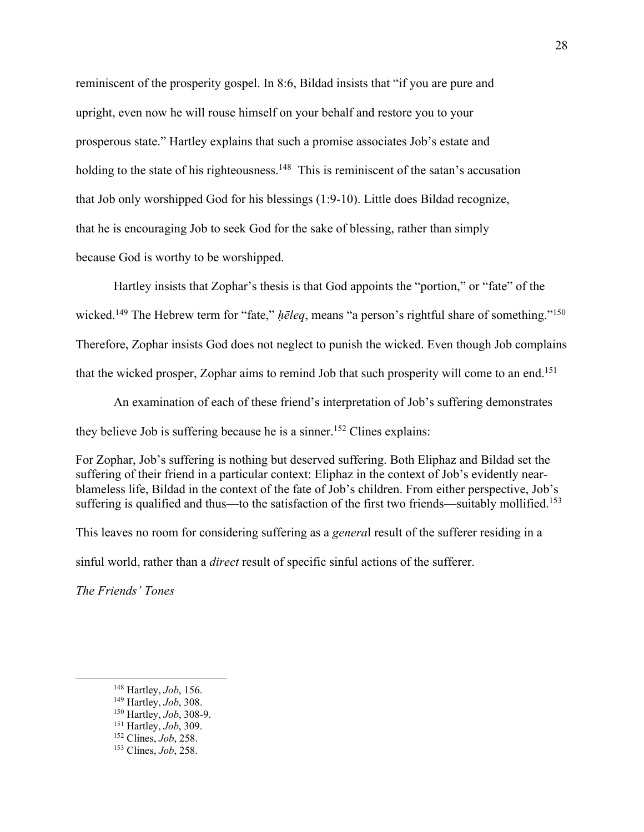reminiscent of the prosperity gospel. In 8:6, Bildad insists that "if you are pure and upright, even now he will rouse himself on your behalf and restore you to your prosperous state." Hartley explains that such a promise associates Job's estate and holding to the state of his righteousness.<sup>148</sup> This is reminiscent of the satan's accusation that Job only worshipped God for his blessings (1:9-10). Little does Bildad recognize, that he is encouraging Job to seek God for the sake of blessing, rather than simply because God is worthy to be worshipped.

Hartley insists that Zophar's thesis is that God appoints the "portion," or "fate" of the wicked. <sup>149</sup> The Hebrew term for "fate," *ḥēleq*, means "a person's rightful share of something."150 Therefore, Zophar insists God does not neglect to punish the wicked. Even though Job complains that the wicked prosper, Zophar aims to remind Job that such prosperity will come to an end.<sup>151</sup>

An examination of each of these friend's interpretation of Job's suffering demonstrates

they believe Job is suffering because he is a sinner. <sup>152</sup> Clines explains:

For Zophar, Job's suffering is nothing but deserved suffering. Both Eliphaz and Bildad set the suffering of their friend in a particular context: Eliphaz in the context of Job's evidently nearblameless life, Bildad in the context of the fate of Job's children. From either perspective, Job's suffering is qualified and thus—to the satisfaction of the first two friends—suitably mollified.<sup>153</sup>

This leaves no room for considering suffering as a *genera*l result of the sufferer residing in a

sinful world, rather than a *direct* result of specific sinful actions of the sufferer.

*The Friends' Tones*

<sup>148</sup> Hartley, *Job*, 156.

<sup>149</sup> Hartley, *Job*, 308.

<sup>150</sup> Hartley, *Job*, 308-9.

<sup>151</sup> Hartley, *Job*, 309.

<sup>152</sup> Clines, *Job*, 258.

<sup>153</sup> Clines, *Job*, 258.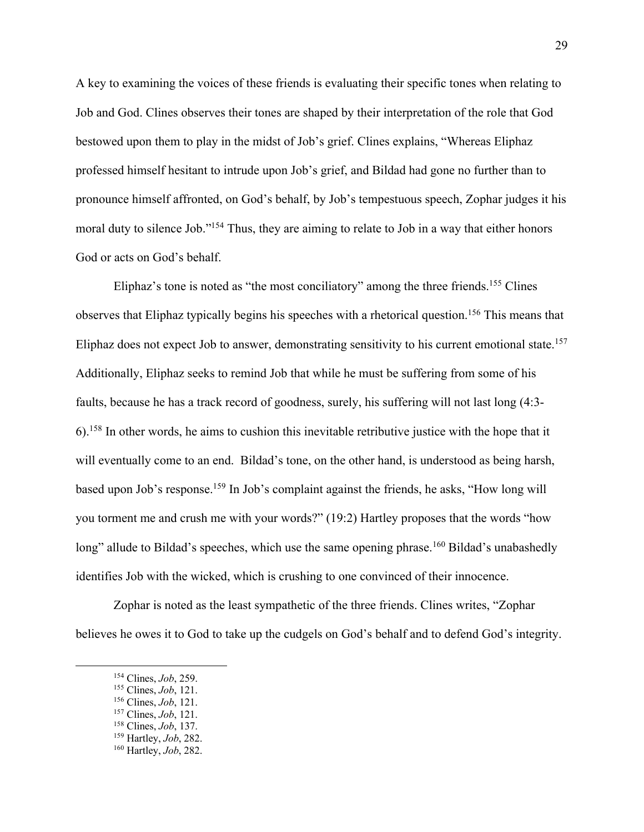A key to examining the voices of these friends is evaluating their specific tones when relating to Job and God. Clines observes their tones are shaped by their interpretation of the role that God bestowed upon them to play in the midst of Job's grief. Clines explains, "Whereas Eliphaz professed himself hesitant to intrude upon Job's grief, and Bildad had gone no further than to pronounce himself affronted, on God's behalf, by Job's tempestuous speech, Zophar judges it his moral duty to silence Job."<sup>154</sup> Thus, they are aiming to relate to Job in a way that either honors God or acts on God's behalf.

Eliphaz's tone is noted as "the most conciliatory" among the three friends.<sup>155</sup> Clines observes that Eliphaz typically begins his speeches with a rhetorical question.156 This means that Eliphaz does not expect Job to answer, demonstrating sensitivity to his current emotional state.<sup>157</sup> Additionally, Eliphaz seeks to remind Job that while he must be suffering from some of his faults, because he has a track record of goodness, surely, his suffering will not last long (4:3- 6).158 In other words, he aims to cushion this inevitable retributive justice with the hope that it will eventually come to an end. Bildad's tone, on the other hand, is understood as being harsh, based upon Job's response.<sup>159</sup> In Job's complaint against the friends, he asks, "How long will you torment me and crush me with your words?" (19:2) Hartley proposes that the words "how long" allude to Bildad's speeches, which use the same opening phrase.<sup>160</sup> Bildad's unabashedly identifies Job with the wicked, which is crushing to one convinced of their innocence.

Zophar is noted as the least sympathetic of the three friends. Clines writes, "Zophar believes he owes it to God to take up the cudgels on God's behalf and to defend God's integrity.

<sup>154</sup> Clines, *Job*, 259.

<sup>155</sup> Clines, *Job*, 121.

<sup>156</sup> Clines, *Job*, 121.

<sup>157</sup> Clines, *Job*, 121.

<sup>158</sup> Clines, *Job*, 137.

<sup>159</sup> Hartley, *Job*, 282.

<sup>160</sup> Hartley, *Job*, 282.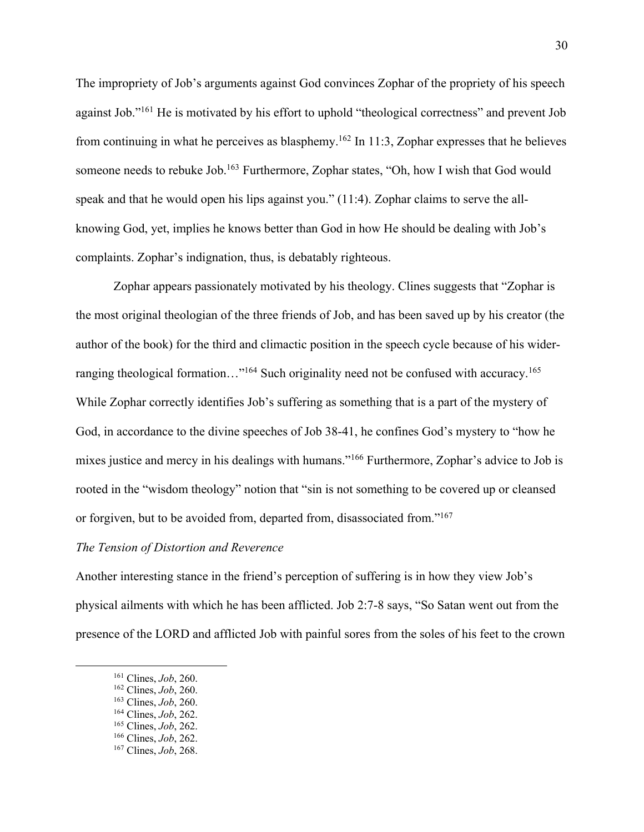The impropriety of Job's arguments against God convinces Zophar of the propriety of his speech against Job."161 He is motivated by his effort to uphold "theological correctness" and prevent Job from continuing in what he perceives as blasphemy.<sup>162</sup> In 11:3, Zophar expresses that he believes someone needs to rebuke Job.<sup>163</sup> Furthermore, Zophar states, "Oh, how I wish that God would speak and that he would open his lips against you." (11:4). Zophar claims to serve the allknowing God, yet, implies he knows better than God in how He should be dealing with Job's complaints. Zophar's indignation, thus, is debatably righteous.

Zophar appears passionately motivated by his theology. Clines suggests that "Zophar is the most original theologian of the three friends of Job, and has been saved up by his creator (the author of the book) for the third and climactic position in the speech cycle because of his widerranging theological formation..."<sup>164</sup> Such originality need not be confused with accuracy.<sup>165</sup> While Zophar correctly identifies Job's suffering as something that is a part of the mystery of God, in accordance to the divine speeches of Job 38-41, he confines God's mystery to "how he mixes justice and mercy in his dealings with humans."166 Furthermore, Zophar's advice to Job is rooted in the "wisdom theology" notion that "sin is not something to be covered up or cleansed or forgiven, but to be avoided from, departed from, disassociated from."167

#### *The Tension of Distortion and Reverence*

Another interesting stance in the friend's perception of suffering is in how they view Job's physical ailments with which he has been afflicted. Job 2:7-8 says, "So Satan went out from the presence of the LORD and afflicted Job with painful sores from the soles of his feet to the crown

<sup>161</sup> Clines, *Job*, 260.

<sup>162</sup> Clines, *Job*, 260.

<sup>163</sup> Clines, *Job*, 260.

<sup>164</sup> Clines, *Job*, 262.

<sup>165</sup> Clines, *Job*, 262.

<sup>166</sup> Clines, *Job*, 262.

<sup>167</sup> Clines, *Job*, 268.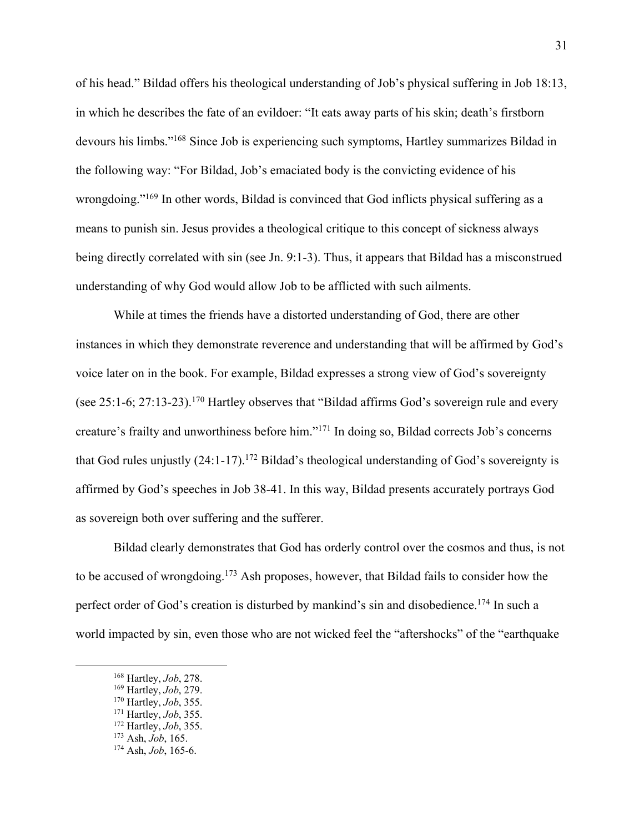of his head." Bildad offers his theological understanding of Job's physical suffering in Job 18:13, in which he describes the fate of an evildoer: "It eats away parts of his skin; death's firstborn devours his limbs."168 Since Job is experiencing such symptoms, Hartley summarizes Bildad in the following way: "For Bildad, Job's emaciated body is the convicting evidence of his wrongdoing."<sup>169</sup> In other words, Bildad is convinced that God inflicts physical suffering as a means to punish sin. Jesus provides a theological critique to this concept of sickness always being directly correlated with sin (see Jn. 9:1-3). Thus, it appears that Bildad has a misconstrued understanding of why God would allow Job to be afflicted with such ailments.

While at times the friends have a distorted understanding of God, there are other instances in which they demonstrate reverence and understanding that will be affirmed by God's voice later on in the book. For example, Bildad expresses a strong view of God's sovereignty (see  $25:1-6$ ;  $27:13-23$ ).<sup>170</sup> Hartley observes that "Bildad affirms God's sovereign rule and every creature's frailty and unworthiness before him."171 In doing so, Bildad corrects Job's concerns that God rules unjustly  $(24:1-17).$ <sup>172</sup> Bildad's theological understanding of God's sovereignty is affirmed by God's speeches in Job 38-41. In this way, Bildad presents accurately portrays God as sovereign both over suffering and the sufferer.

Bildad clearly demonstrates that God has orderly control over the cosmos and thus, is not to be accused of wrongdoing.173 Ash proposes, however, that Bildad fails to consider how the perfect order of God's creation is disturbed by mankind's sin and disobedience. <sup>174</sup> In such a world impacted by sin, even those who are not wicked feel the "aftershocks" of the "earthquake

<sup>168</sup> Hartley, *Job*, 278.

<sup>169</sup> Hartley, *Job*, 279.

<sup>170</sup> Hartley, *Job*, 355.

<sup>171</sup> Hartley, *Job*, 355.

<sup>172</sup> Hartley, *Job*, 355.

<sup>173</sup> Ash, *Job*, 165.

<sup>174</sup> Ash, *Job*, 165-6.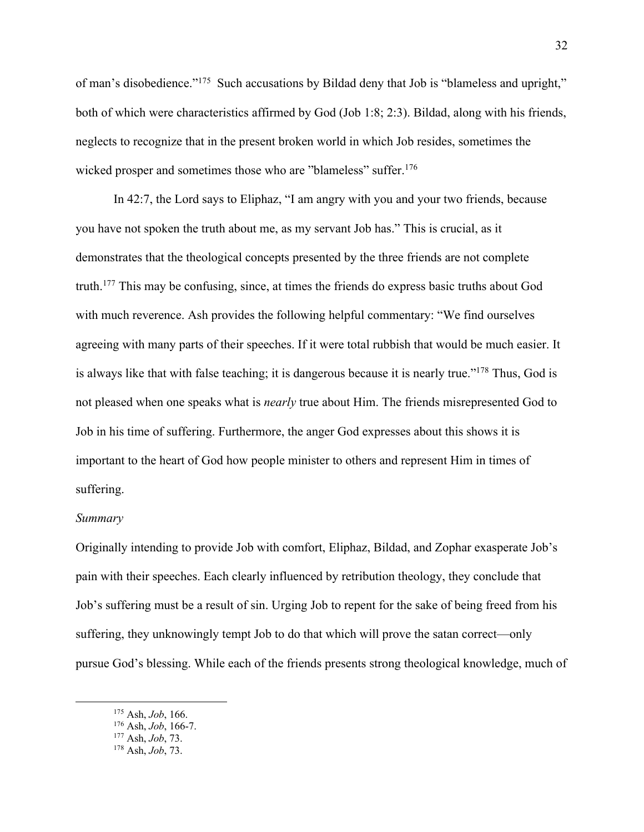of man's disobedience."175 Such accusations by Bildad deny that Job is "blameless and upright," both of which were characteristics affirmed by God (Job 1:8; 2:3). Bildad, along with his friends, neglects to recognize that in the present broken world in which Job resides, sometimes the wicked prosper and sometimes those who are "blameless" suffer.<sup>176</sup>

In 42:7, the Lord says to Eliphaz, "I am angry with you and your two friends, because you have not spoken the truth about me, as my servant Job has." This is crucial, as it demonstrates that the theological concepts presented by the three friends are not complete truth. <sup>177</sup> This may be confusing, since, at times the friends do express basic truths about God with much reverence. Ash provides the following helpful commentary: "We find ourselves agreeing with many parts of their speeches. If it were total rubbish that would be much easier. It is always like that with false teaching; it is dangerous because it is nearly true."178 Thus, God is not pleased when one speaks what is *nearly* true about Him. The friends misrepresented God to Job in his time of suffering. Furthermore, the anger God expresses about this shows it is important to the heart of God how people minister to others and represent Him in times of suffering.

#### *Summary*

Originally intending to provide Job with comfort, Eliphaz, Bildad, and Zophar exasperate Job's pain with their speeches. Each clearly influenced by retribution theology, they conclude that Job's suffering must be a result of sin. Urging Job to repent for the sake of being freed from his suffering, they unknowingly tempt Job to do that which will prove the satan correct—only pursue God's blessing. While each of the friends presents strong theological knowledge, much of

<sup>175</sup> Ash, *Job*, 166.

<sup>176</sup> Ash, *Job*, 166-7.

<sup>177</sup> Ash, *Job*, 73.

<sup>178</sup> Ash, *Job*, 73.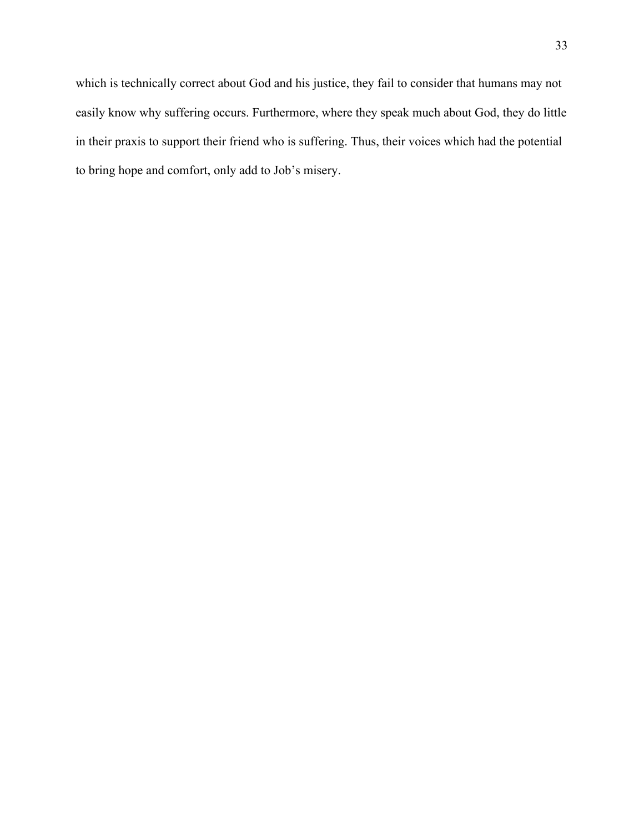which is technically correct about God and his justice, they fail to consider that humans may not easily know why suffering occurs. Furthermore, where they speak much about God, they do little in their praxis to support their friend who is suffering. Thus, their voices which had the potential to bring hope and comfort, only add to Job's misery.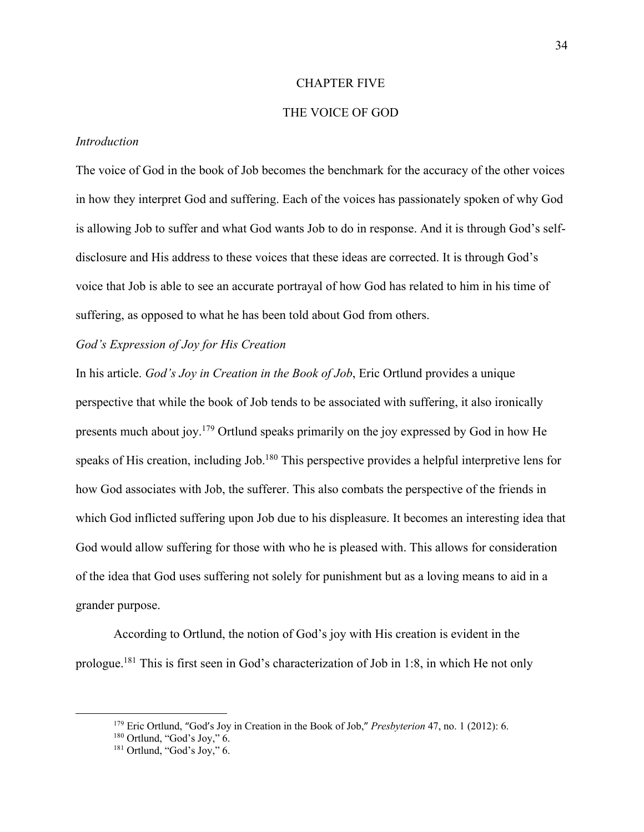#### CHAPTER FIVE

# THE VOICE OF GOD

### *Introduction*

The voice of God in the book of Job becomes the benchmark for the accuracy of the other voices in how they interpret God and suffering. Each of the voices has passionately spoken of why God is allowing Job to suffer and what God wants Job to do in response. And it is through God's selfdisclosure and His address to these voices that these ideas are corrected. It is through God's voice that Job is able to see an accurate portrayal of how God has related to him in his time of suffering, as opposed to what he has been told about God from others.

# *God's Expression of Joy for His Creation*

In his article. *God's Joy in Creation in the Book of Job*, Eric Ortlund provides a unique perspective that while the book of Job tends to be associated with suffering, it also ironically presents much about joy.179 Ortlund speaks primarily on the joy expressed by God in how He speaks of His creation, including Job.<sup>180</sup> This perspective provides a helpful interpretive lens for how God associates with Job, the sufferer. This also combats the perspective of the friends in which God inflicted suffering upon Job due to his displeasure. It becomes an interesting idea that God would allow suffering for those with who he is pleased with. This allows for consideration of the idea that God uses suffering not solely for punishment but as a loving means to aid in a grander purpose.

According to Ortlund, the notion of God's joy with His creation is evident in the prologue.181 This is first seen in God's characterization of Job in 1:8, in which He not only

<sup>179</sup> Eric Ortlund, "God's Joy in Creation in the Book of Job," *Presbyterion* 47, no. 1 (2012): 6.

<sup>180</sup> Ortlund, "God's Joy," 6.

<sup>181</sup> Ortlund, "God's Joy," 6.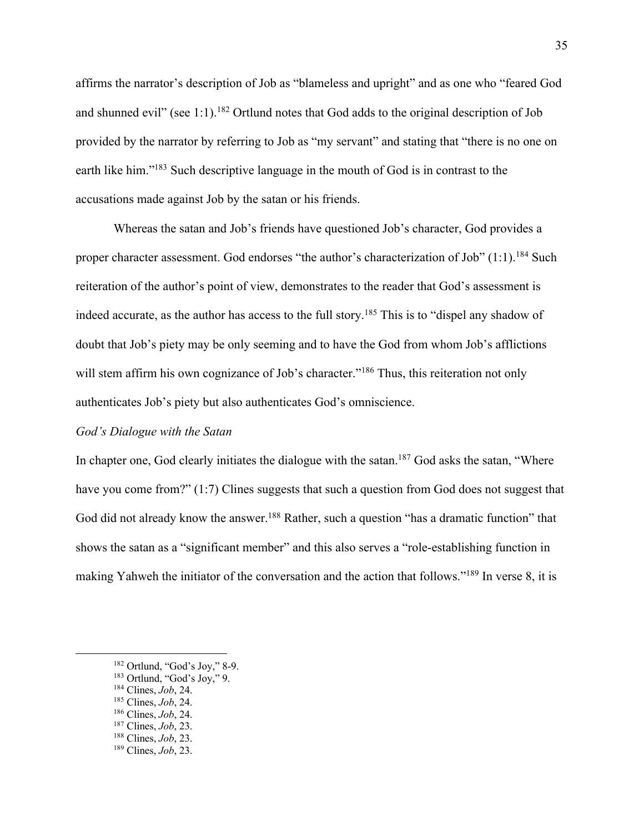affirms the narrator's description of Job as "blameless and upright" and as one who "feared God and shunned evil" (see 1:1).<sup>182</sup> Ortlund notes that God adds to the original description of Job provided by the narrator by referring to Job as "my servant" and stating that "there is no one on earth like him."183 Such descriptive language in the mouth of God is in contrast to the accusations made against Job by the satan or his friends.

Whereas the satan and Job's friends have questioned Job's character, God provides a proper character assessment. God endorses "the author's characterization of Job"  $(1:1)$ .<sup>184</sup> Such reiteration of the author's point of view, demonstrates to the reader that God's assessment is indeed accurate, as the author has access to the full story.<sup>185</sup> This is to "dispel any shadow of doubt that Job's piety may be only seeming and to have the God from whom Job's afflictions will stem affirm his own cognizance of Job's character."<sup>186</sup> Thus, this reiteration not only authenticates Job's piety but also authenticates God's omniscience.

#### *God's Dialogue with the Satan*

In chapter one, God clearly initiates the dialogue with the satan.<sup>187</sup> God asks the satan, "Where have you come from?" (1:7) Clines suggests that such a question from God does not suggest that God did not already know the answer.<sup>188</sup> Rather, such a question "has a dramatic function" that shows the satan as a "significant member" and this also serves a "role-establishing function in making Yahweh the initiator of the conversation and the action that follows."189 In verse 8, it is

- <sup>184</sup> Clines, *Job*, 24.
- <sup>185</sup> Clines, *Job*, 24.
- <sup>186</sup> Clines, *Job*, 24.
- <sup>187</sup> Clines, *Job*, 23.
- <sup>188</sup> Clines, *Job*, 23.
- <sup>189</sup> Clines, *Job*, 23.

<sup>182</sup> Ortlund, "God's Joy," 8-9.

<sup>183</sup> Ortlund, "God's Joy," 9.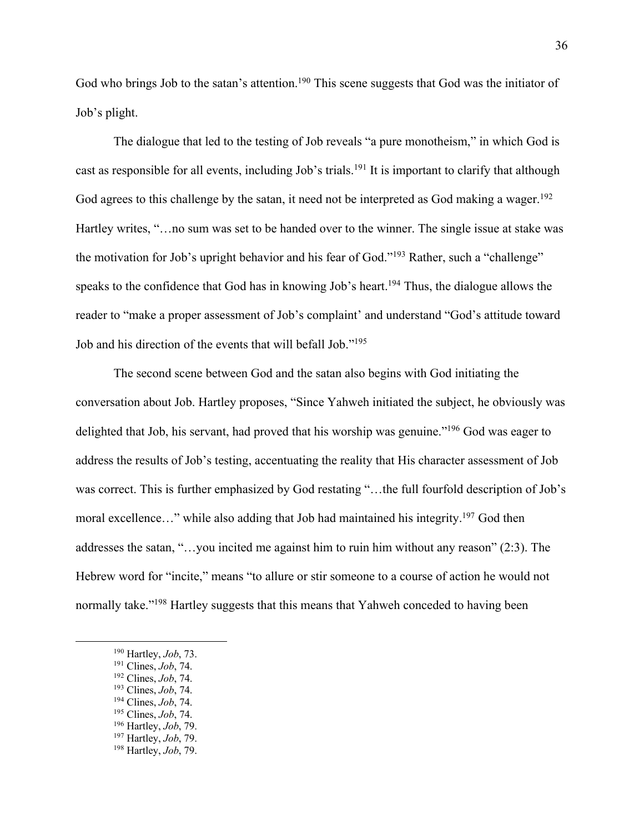God who brings Job to the satan's attention.<sup>190</sup> This scene suggests that God was the initiator of Job's plight.

The dialogue that led to the testing of Job reveals "a pure monotheism," in which God is cast as responsible for all events, including Job's trials.<sup>191</sup> It is important to clarify that although God agrees to this challenge by the satan, it need not be interpreted as God making a wager.<sup>192</sup> Hartley writes, "…no sum was set to be handed over to the winner. The single issue at stake was the motivation for Job's upright behavior and his fear of God."193 Rather, such a "challenge" speaks to the confidence that God has in knowing Job's heart.<sup>194</sup> Thus, the dialogue allows the reader to "make a proper assessment of Job's complaint' and understand "God's attitude toward Job and his direction of the events that will befall Job."195

The second scene between God and the satan also begins with God initiating the conversation about Job. Hartley proposes, "Since Yahweh initiated the subject, he obviously was delighted that Job, his servant, had proved that his worship was genuine."<sup>196</sup> God was eager to address the results of Job's testing, accentuating the reality that His character assessment of Job was correct. This is further emphasized by God restating "…the full fourfold description of Job's moral excellence..." while also adding that Job had maintained his integrity.<sup>197</sup> God then addresses the satan, "…you incited me against him to ruin him without any reason" (2:3). The Hebrew word for "incite," means "to allure or stir someone to a course of action he would not normally take."<sup>198</sup> Hartley suggests that this means that Yahweh conceded to having been

- <sup>193</sup> Clines, *Job*, 74.
- <sup>194</sup> Clines, *Job*, 74.
- <sup>195</sup> Clines, *Job*, 74.

- <sup>197</sup> Hartley, *Job*, 79.
- <sup>198</sup> Hartley, *Job*, 79.

<sup>190</sup> Hartley, *Job*, 73.

<sup>191</sup> Clines, *Job*, 74.

<sup>192</sup> Clines, *Job*, 74.

<sup>196</sup> Hartley, *Job*, 79.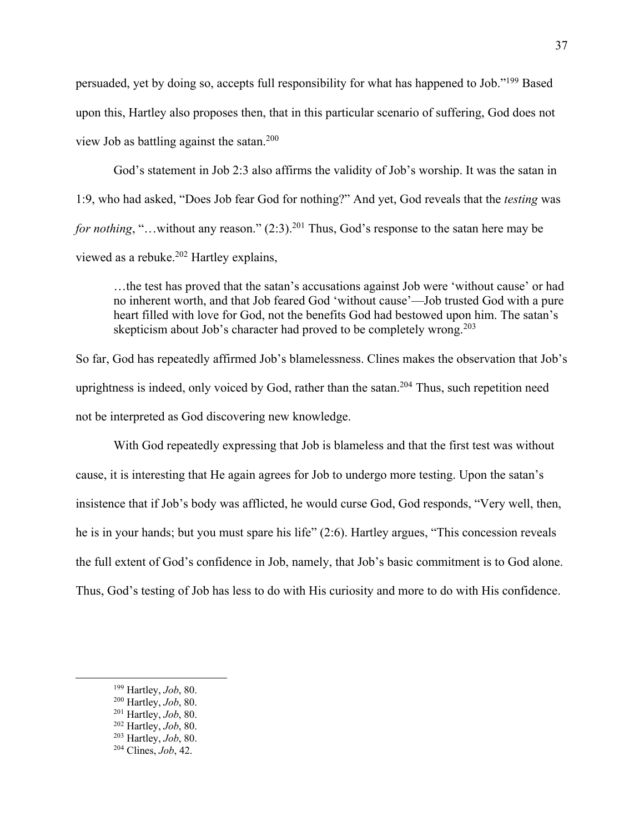persuaded, yet by doing so, accepts full responsibility for what has happened to Job."199 Based upon this, Hartley also proposes then, that in this particular scenario of suffering, God does not view Job as battling against the satan.200

God's statement in Job 2:3 also affirms the validity of Job's worship. It was the satan in 1:9, who had asked, "Does Job fear God for nothing?" And yet, God reveals that the *testing* was for nothing, "...without any reason."  $(2.3)$ .<sup>201</sup> Thus, God's response to the satan here may be viewed as a rebuke.<sup>202</sup> Hartley explains,

…the test has proved that the satan's accusations against Job were 'without cause' or had no inherent worth, and that Job feared God 'without cause'—Job trusted God with a pure heart filled with love for God, not the benefits God had bestowed upon him. The satan's skepticism about Job's character had proved to be completely wrong.<sup>203</sup>

So far, God has repeatedly affirmed Job's blamelessness. Clines makes the observation that Job's uprightness is indeed, only voiced by God, rather than the satan.<sup>204</sup> Thus, such repetition need not be interpreted as God discovering new knowledge.

With God repeatedly expressing that Job is blameless and that the first test was without cause, it is interesting that He again agrees for Job to undergo more testing. Upon the satan's insistence that if Job's body was afflicted, he would curse God, God responds, "Very well, then, he is in your hands; but you must spare his life" (2:6). Hartley argues, "This concession reveals the full extent of God's confidence in Job, namely, that Job's basic commitment is to God alone. Thus, God's testing of Job has less to do with His curiosity and more to do with His confidence.

<sup>199</sup> Hartley, *Job*, 80.

<sup>200</sup> Hartley, *Job*, 80.

<sup>201</sup> Hartley, *Job*, 80.

<sup>202</sup> Hartley, *Job*, 80.

<sup>203</sup> Hartley, *Job*, 80.

<sup>204</sup> Clines, *Job*, 42.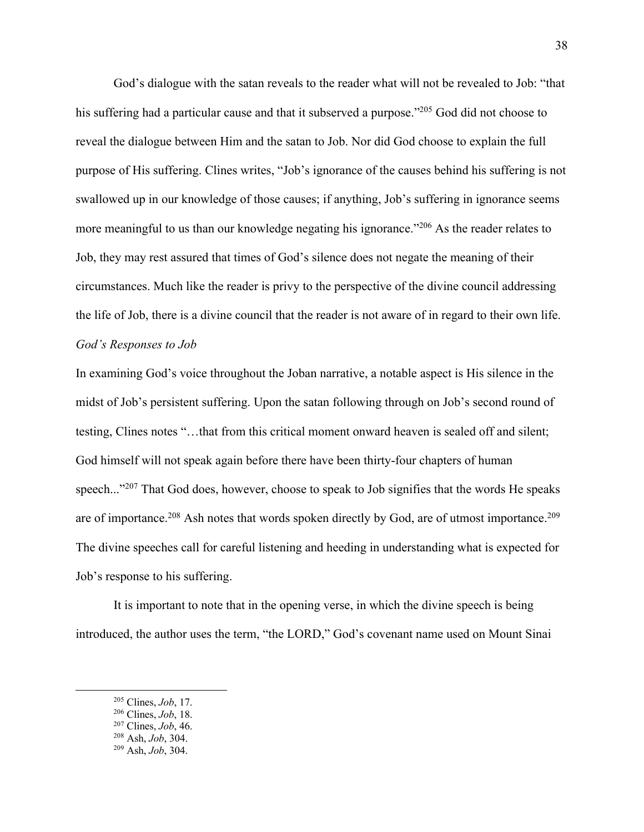God's dialogue with the satan reveals to the reader what will not be revealed to Job: "that his suffering had a particular cause and that it subserved a purpose."<sup>205</sup> God did not choose to reveal the dialogue between Him and the satan to Job. Nor did God choose to explain the full purpose of His suffering. Clines writes, "Job's ignorance of the causes behind his suffering is not swallowed up in our knowledge of those causes; if anything, Job's suffering in ignorance seems more meaningful to us than our knowledge negating his ignorance."<sup>206</sup> As the reader relates to Job, they may rest assured that times of God's silence does not negate the meaning of their circumstances. Much like the reader is privy to the perspective of the divine council addressing the life of Job, there is a divine council that the reader is not aware of in regard to their own life. *God's Responses to Job*

In examining God's voice throughout the Joban narrative, a notable aspect is His silence in the midst of Job's persistent suffering. Upon the satan following through on Job's second round of testing, Clines notes "…that from this critical moment onward heaven is sealed off and silent; God himself will not speak again before there have been thirty-four chapters of human speech..."207 That God does, however, choose to speak to Job signifies that the words He speaks are of importance.<sup>208</sup> Ash notes that words spoken directly by God, are of utmost importance.<sup>209</sup> The divine speeches call for careful listening and heeding in understanding what is expected for Job's response to his suffering.

It is important to note that in the opening verse, in which the divine speech is being introduced, the author uses the term, "the LORD," God's covenant name used on Mount Sinai

<sup>205</sup> Clines, *Job*, 17.

<sup>206</sup> Clines, *Job*, 18.

<sup>207</sup> Clines, *Job*, 46.

<sup>208</sup> Ash, *Job*, 304.

<sup>209</sup> Ash, *Job*, 304.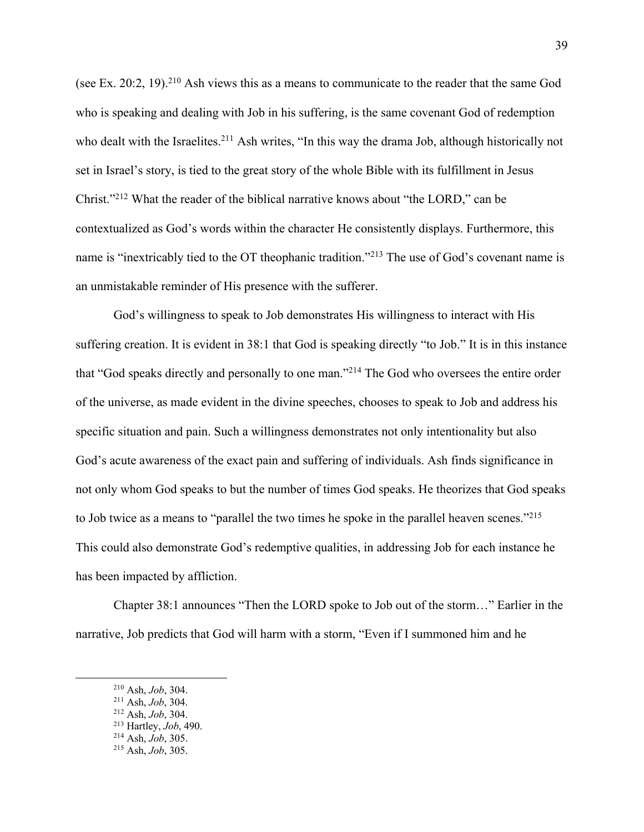(see Ex. 20:2, 19).<sup>210</sup> Ash views this as a means to communicate to the reader that the same God who is speaking and dealing with Job in his suffering, is the same covenant God of redemption who dealt with the Israelites.<sup>211</sup> Ash writes, "In this way the drama Job, although historically not set in Israel's story, is tied to the great story of the whole Bible with its fulfillment in Jesus Christ."212 What the reader of the biblical narrative knows about "the LORD," can be contextualized as God's words within the character He consistently displays. Furthermore, this name is "inextricably tied to the OT theophanic tradition."213 The use of God's covenant name is an unmistakable reminder of His presence with the sufferer.

God's willingness to speak to Job demonstrates His willingness to interact with His suffering creation. It is evident in 38:1 that God is speaking directly "to Job." It is in this instance that "God speaks directly and personally to one man."214 The God who oversees the entire order of the universe, as made evident in the divine speeches, chooses to speak to Job and address his specific situation and pain. Such a willingness demonstrates not only intentionality but also God's acute awareness of the exact pain and suffering of individuals. Ash finds significance in not only whom God speaks to but the number of times God speaks. He theorizes that God speaks to Job twice as a means to "parallel the two times he spoke in the parallel heaven scenes."215 This could also demonstrate God's redemptive qualities, in addressing Job for each instance he has been impacted by affliction.

Chapter 38:1 announces "Then the LORD spoke to Job out of the storm…" Earlier in the narrative, Job predicts that God will harm with a storm, "Even if I summoned him and he

<sup>214</sup> Ash, *Job*, 305.

<sup>210</sup> Ash, *Job*, 304.

<sup>211</sup> Ash, *Job*, 304.

<sup>212</sup> Ash, *Job*, 304.

<sup>213</sup> Hartley, *Job*, 490.

<sup>215</sup> Ash, *Job*, 305.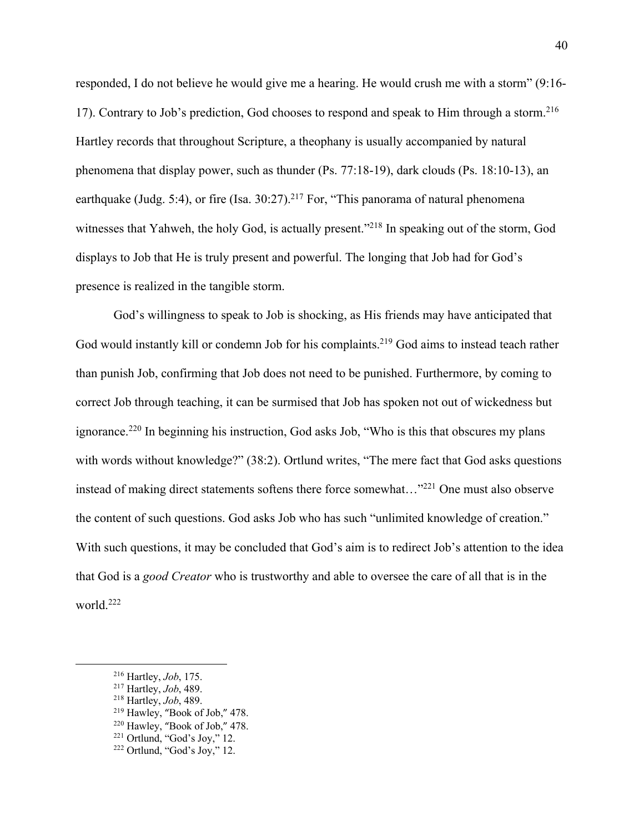responded, I do not believe he would give me a hearing. He would crush me with a storm" (9:16- 17). Contrary to Job's prediction, God chooses to respond and speak to Him through a storm.216 Hartley records that throughout Scripture, a theophany is usually accompanied by natural phenomena that display power, such as thunder (Ps. 77:18-19), dark clouds (Ps. 18:10-13), an earthquake (Judg. 5:4), or fire (Isa. 30:27).<sup>217</sup> For, "This panorama of natural phenomena witnesses that Yahweh, the holy God, is actually present."<sup>218</sup> In speaking out of the storm, God displays to Job that He is truly present and powerful. The longing that Job had for God's presence is realized in the tangible storm.

God's willingness to speak to Job is shocking, as His friends may have anticipated that God would instantly kill or condemn Job for his complaints.<sup>219</sup> God aims to instead teach rather than punish Job, confirming that Job does not need to be punished. Furthermore, by coming to correct Job through teaching, it can be surmised that Job has spoken not out of wickedness but ignorance.<sup>220</sup> In beginning his instruction, God asks Job, "Who is this that obscures my plans with words without knowledge?" (38:2). Ortlund writes, "The mere fact that God asks questions instead of making direct statements softens there force somewhat…"221 One must also observe the content of such questions. God asks Job who has such "unlimited knowledge of creation." With such questions, it may be concluded that God's aim is to redirect Job's attention to the idea that God is a *good Creator* who is trustworthy and able to oversee the care of all that is in the world. 222

<sup>216</sup> Hartley, *Job*, 175.

<sup>217</sup> Hartley, *Job*, 489.

<sup>218</sup> Hartley, *Job*, 489.

<sup>219</sup> Hawley, "Book of Job," 478.

<sup>220</sup> Hawley, "Book of Job," 478.

 $221$  Ortlund, "God's Joy," 12.

<sup>222</sup> Ortlund, "God's Joy," 12.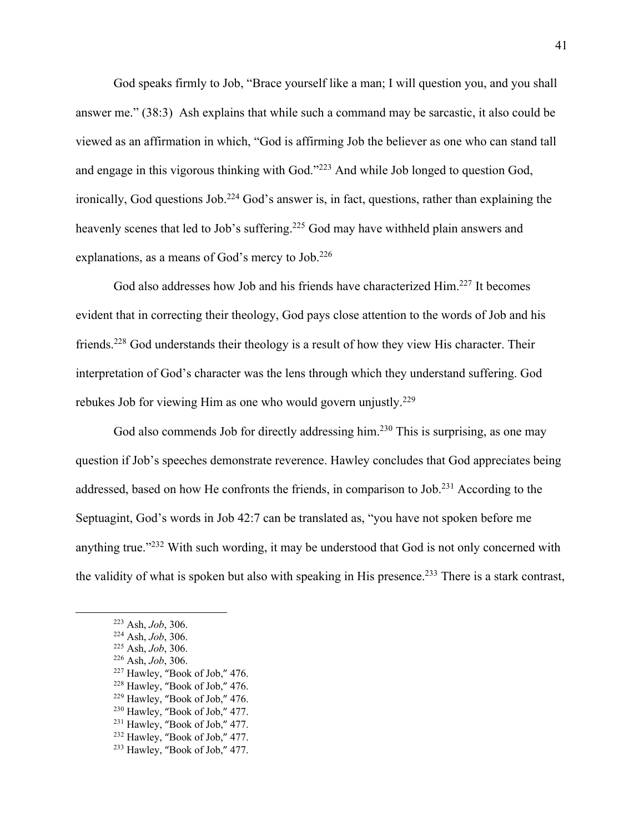God speaks firmly to Job, "Brace yourself like a man; I will question you, and you shall answer me." (38:3) Ash explains that while such a command may be sarcastic, it also could be viewed as an affirmation in which, "God is affirming Job the believer as one who can stand tall and engage in this vigorous thinking with God."223 And while Job longed to question God, ironically, God questions Job.<sup>224</sup> God's answer is, in fact, questions, rather than explaining the heavenly scenes that led to Job's suffering.<sup>225</sup> God may have withheld plain answers and explanations, as a means of God's mercy to Job.226

God also addresses how Job and his friends have characterized Him.<sup>227</sup> It becomes evident that in correcting their theology, God pays close attention to the words of Job and his friends.228 God understands their theology is a result of how they view His character. Their interpretation of God's character was the lens through which they understand suffering. God rebukes Job for viewing Him as one who would govern unjustly.<sup>229</sup>

God also commends Job for directly addressing him.<sup>230</sup> This is surprising, as one may question if Job's speeches demonstrate reverence. Hawley concludes that God appreciates being addressed, based on how He confronts the friends, in comparison to Job.<sup>231</sup> According to the Septuagint, God's words in Job 42:7 can be translated as, "you have not spoken before me anything true."232 With such wording, it may be understood that God is not only concerned with the validity of what is spoken but also with speaking in His presence.<sup>233</sup> There is a stark contrast,

- <sup>226</sup> Ash, *Job*, 306.
- $227$  Hawley, "Book of Job," 476.
- <sup>228</sup> Hawley, "Book of Job," 476.
- <sup>229</sup> Hawley, "Book of Job," 476. <sup>230</sup> Hawley, "Book of Job," 477.
- <sup>231</sup> Hawley, "Book of Job," 477.
- <sup>232</sup> Hawley, "Book of Job," 477.
- <sup>233</sup> Hawley, "Book of Job," 477.

<sup>223</sup> Ash, *Job*, 306.

<sup>224</sup> Ash, *Job*, 306. <sup>225</sup> Ash, *Job*, 306.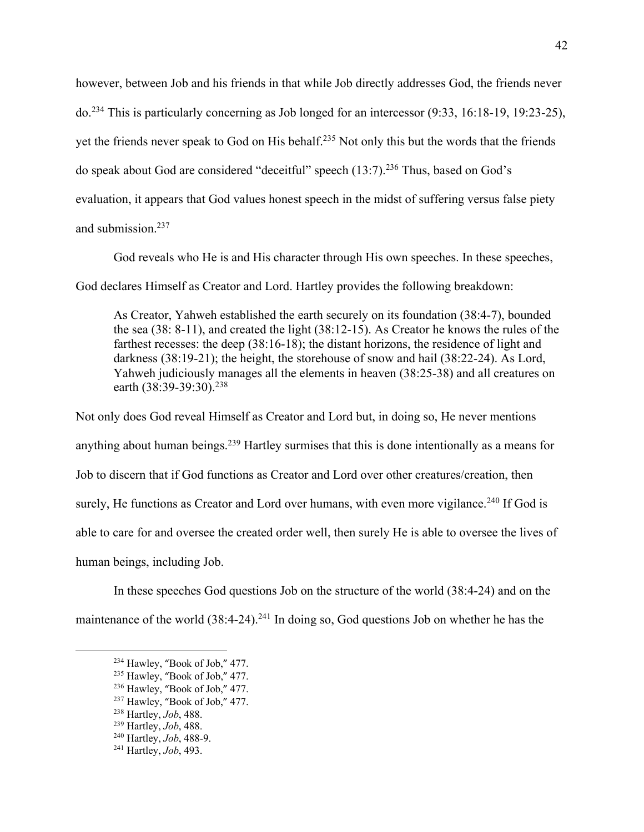however, between Job and his friends in that while Job directly addresses God, the friends never do.234 This is particularly concerning as Job longed for an intercessor (9:33, 16:18-19, 19:23-25), yet the friends never speak to God on His behalf. <sup>235</sup> Not only this but the words that the friends do speak about God are considered "deceitful" speech (13:7). <sup>236</sup> Thus, based on God's evaluation, it appears that God values honest speech in the midst of suffering versus false piety and submission. 237

God reveals who He is and His character through His own speeches. In these speeches, God declares Himself as Creator and Lord. Hartley provides the following breakdown:

As Creator, Yahweh established the earth securely on its foundation (38:4-7), bounded the sea (38: 8-11), and created the light (38:12-15). As Creator he knows the rules of the farthest recesses: the deep (38:16-18); the distant horizons, the residence of light and darkness (38:19-21); the height, the storehouse of snow and hail (38:22-24). As Lord, Yahweh judiciously manages all the elements in heaven (38:25-38) and all creatures on earth (38:39-39:30).<sup>238</sup>

Not only does God reveal Himself as Creator and Lord but, in doing so, He never mentions anything about human beings.239 Hartley surmises that this is done intentionally as a means for Job to discern that if God functions as Creator and Lord over other creatures/creation, then surely, He functions as Creator and Lord over humans, with even more vigilance.<sup>240</sup> If God is able to care for and oversee the created order well, then surely He is able to oversee the lives of human beings, including Job.

In these speeches God questions Job on the structure of the world (38:4-24) and on the maintenance of the world  $(38:4-24).^{241}$  In doing so, God questions Job on whether he has the

<sup>234</sup> Hawley, "Book of Job," 477.

<sup>235</sup> Hawley, "Book of Job," 477.

<sup>236</sup> Hawley, "Book of Job," 477.

<sup>237</sup> Hawley, "Book of Job," 477.

<sup>238</sup> Hartley, *Job*, 488.

<sup>239</sup> Hartley, *Job*, 488.

<sup>240</sup> Hartley, *Job*, 488-9.

<sup>241</sup> Hartley, *Job*, 493.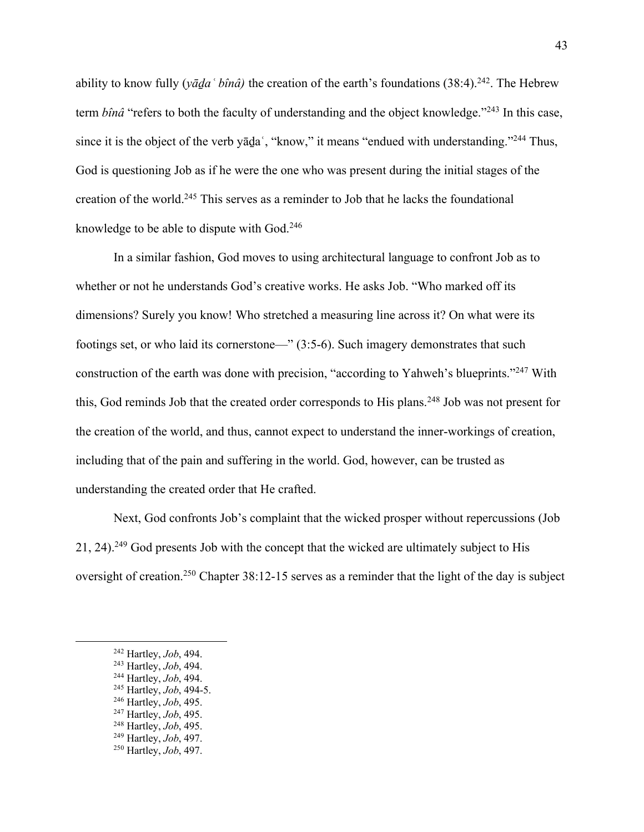ability to know fully (*yāḏaʿ bînâ)* the creation of the earth's foundations (38:4). 242. The Hebrew term *bînâ* "refers to both the faculty of understanding and the object knowledge."243 In this case, since it is the object of the verb yada', "know," it means "endued with understanding."<sup>244</sup> Thus, God is questioning Job as if he were the one who was present during the initial stages of the creation of the world.245 This serves as a reminder to Job that he lacks the foundational knowledge to be able to dispute with God.246

In a similar fashion, God moves to using architectural language to confront Job as to whether or not he understands God's creative works. He asks Job. "Who marked off its dimensions? Surely you know! Who stretched a measuring line across it? On what were its footings set, or who laid its cornerstone—" (3:5-6). Such imagery demonstrates that such construction of the earth was done with precision, "according to Yahweh's blueprints."247 With this, God reminds Job that the created order corresponds to His plans.<sup>248</sup> Job was not present for the creation of the world, and thus, cannot expect to understand the inner-workings of creation, including that of the pain and suffering in the world. God, however, can be trusted as understanding the created order that He crafted.

Next, God confronts Job's complaint that the wicked prosper without repercussions (Job 21, 24).249 God presents Job with the concept that the wicked are ultimately subject to His oversight of creation.<sup>250</sup> Chapter 38:12-15 serves as a reminder that the light of the day is subject

- <sup>243</sup> Hartley, *Job*, 494.
- <sup>244</sup> Hartley, *Job*, 494.
- <sup>245</sup> Hartley, *Job*, 494-5.
- <sup>246</sup> Hartley, *Job*, 495.
- <sup>247</sup> Hartley, *Job*, 495.
- <sup>248</sup> Hartley, *Job*, 495.
- <sup>249</sup> Hartley, *Job*, 497.
- <sup>250</sup> Hartley, *Job*, 497.

<sup>242</sup> Hartley, *Job*, 494.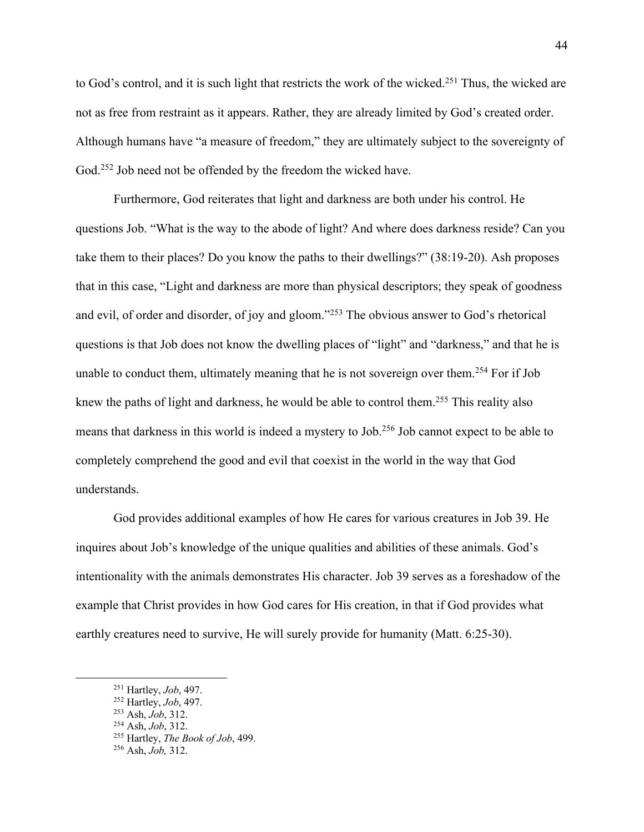to God's control, and it is such light that restricts the work of the wicked.<sup>251</sup> Thus, the wicked are not as free from restraint as it appears. Rather, they are already limited by God's created order. Although humans have "a measure of freedom," they are ultimately subject to the sovereignty of God.<sup>252</sup> Job need not be offended by the freedom the wicked have.

Furthermore, God reiterates that light and darkness are both under his control. He questions Job. "What is the way to the abode of light? And where does darkness reside? Can you take them to their places? Do you know the paths to their dwellings?" (38:19-20). Ash proposes that in this case, "Light and darkness are more than physical descriptors; they speak of goodness and evil, of order and disorder, of joy and gloom."253 The obvious answer to God's rhetorical questions is that Job does not know the dwelling places of "light" and "darkness," and that he is unable to conduct them, ultimately meaning that he is not sovereign over them.<sup>254</sup> For if Job knew the paths of light and darkness, he would be able to control them.<sup>255</sup> This reality also means that darkness in this world is indeed a mystery to Job.256 Job cannot expect to be able to completely comprehend the good and evil that coexist in the world in the way that God understands.

God provides additional examples of how He cares for various creatures in Job 39. He inquires about Job's knowledge of the unique qualities and abilities of these animals. God's intentionality with the animals demonstrates His character. Job 39 serves as a foreshadow of the example that Christ provides in how God cares for His creation, in that if God provides what earthly creatures need to survive, He will surely provide for humanity (Matt. 6:25-30).

<sup>251</sup> Hartley, *Job*, 497.

<sup>252</sup> Hartley, *Job*, 497.

<sup>253</sup> Ash, *Job*, 312.

<sup>254</sup> Ash, *Job*, 312.

<sup>255</sup> Hartley, *The Book of Job*, 499.

<sup>256</sup> Ash, *Job,* 312.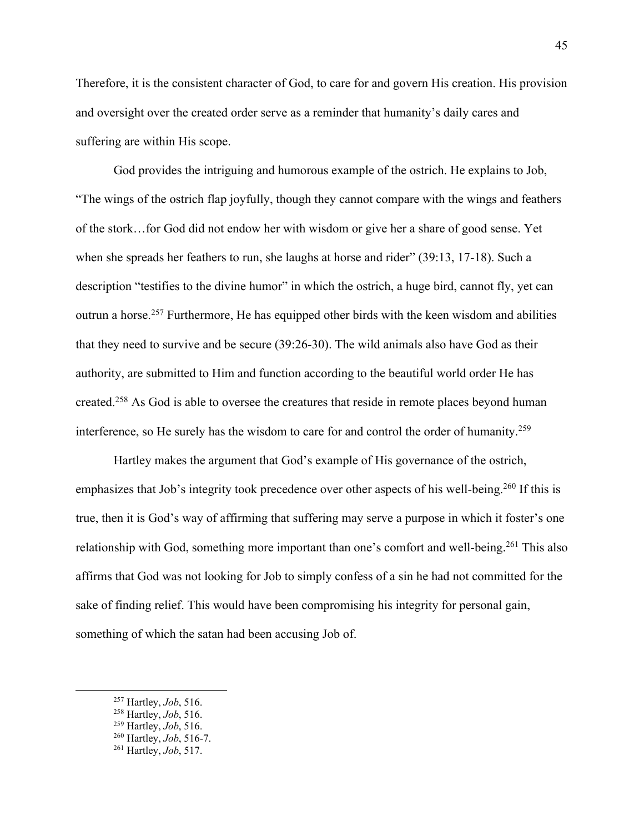Therefore, it is the consistent character of God, to care for and govern His creation. His provision and oversight over the created order serve as a reminder that humanity's daily cares and suffering are within His scope.

God provides the intriguing and humorous example of the ostrich. He explains to Job, "The wings of the ostrich flap joyfully, though they cannot compare with the wings and feathers of the stork…for God did not endow her with wisdom or give her a share of good sense. Yet when she spreads her feathers to run, she laughs at horse and rider" (39:13, 17-18). Such a description "testifies to the divine humor" in which the ostrich, a huge bird, cannot fly, yet can outrun a horse.257 Furthermore, He has equipped other birds with the keen wisdom and abilities that they need to survive and be secure (39:26-30). The wild animals also have God as their authority, are submitted to Him and function according to the beautiful world order He has created.<sup>258</sup> As God is able to oversee the creatures that reside in remote places beyond human interference, so He surely has the wisdom to care for and control the order of humanity.<sup>259</sup>

Hartley makes the argument that God's example of His governance of the ostrich, emphasizes that Job's integrity took precedence over other aspects of his well-being.<sup>260</sup> If this is true, then it is God's way of affirming that suffering may serve a purpose in which it foster's one relationship with God, something more important than one's comfort and well-being.<sup>261</sup> This also affirms that God was not looking for Job to simply confess of a sin he had not committed for the sake of finding relief. This would have been compromising his integrity for personal gain, something of which the satan had been accusing Job of.

<sup>257</sup> Hartley, *Job*, 516.

<sup>258</sup> Hartley, *Job*, 516.

<sup>259</sup> Hartley, *Job*, 516.

<sup>260</sup> Hartley, *Job*, 516-7.

<sup>261</sup> Hartley, *Job*, 517.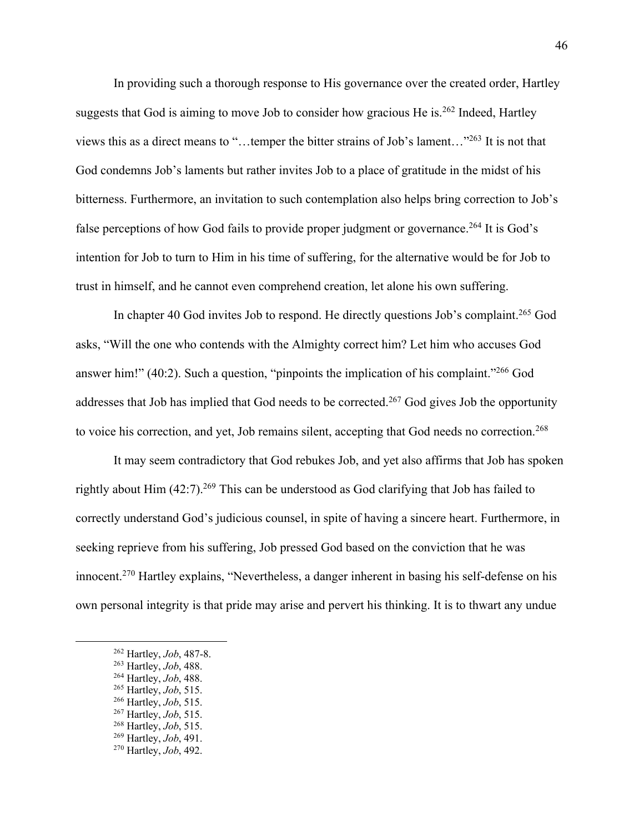In providing such a thorough response to His governance over the created order, Hartley suggests that God is aiming to move Job to consider how gracious He is.<sup>262</sup> Indeed, Hartley views this as a direct means to "…temper the bitter strains of Job's lament…"263 It is not that God condemns Job's laments but rather invites Job to a place of gratitude in the midst of his bitterness. Furthermore, an invitation to such contemplation also helps bring correction to Job's false perceptions of how God fails to provide proper judgment or governance.<sup>264</sup> It is God's intention for Job to turn to Him in his time of suffering, for the alternative would be for Job to trust in himself, and he cannot even comprehend creation, let alone his own suffering.

In chapter 40 God invites Job to respond. He directly questions Job's complaint.<sup>265</sup> God asks, "Will the one who contends with the Almighty correct him? Let him who accuses God answer him!" (40:2). Such a question, "pinpoints the implication of his complaint."266 God addresses that Job has implied that God needs to be corrected.<sup>267</sup> God gives Job the opportunity to voice his correction, and yet, Job remains silent, accepting that God needs no correction.<sup>268</sup>

It may seem contradictory that God rebukes Job, and yet also affirms that Job has spoken rightly about Him (42:7).<sup>269</sup> This can be understood as God clarifying that Job has failed to correctly understand God's judicious counsel, in spite of having a sincere heart. Furthermore, in seeking reprieve from his suffering, Job pressed God based on the conviction that he was innocent.270 Hartley explains, "Nevertheless, a danger inherent in basing his self-defense on his own personal integrity is that pride may arise and pervert his thinking. It is to thwart any undue

- <sup>264</sup> Hartley, *Job*, 488.
- <sup>265</sup> Hartley, *Job*, 515.
- <sup>266</sup> Hartley, *Job*, 515.
- <sup>267</sup> Hartley, *Job*, 515. <sup>268</sup> Hartley, *Job*, 515.
- <sup>269</sup> Hartley, *Job*, 491.
- <sup>270</sup> Hartley, *Job*, 492.

<sup>262</sup> Hartley, *Job*, 487-8.

<sup>263</sup> Hartley, *Job*, 488.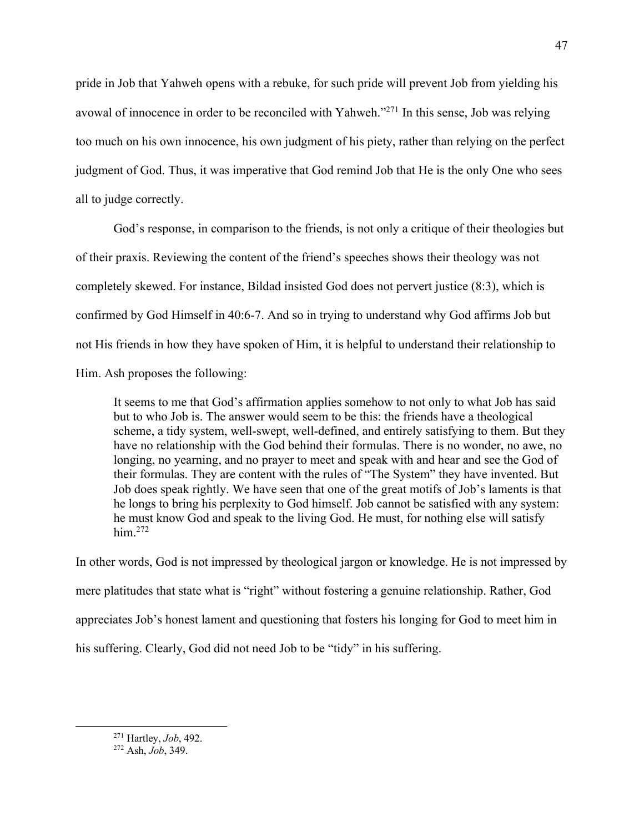pride in Job that Yahweh opens with a rebuke, for such pride will prevent Job from yielding his avowal of innocence in order to be reconciled with Yahweh."271 In this sense, Job was relying too much on his own innocence, his own judgment of his piety, rather than relying on the perfect judgment of God. Thus, it was imperative that God remind Job that He is the only One who sees all to judge correctly.

God's response, in comparison to the friends, is not only a critique of their theologies but of their praxis. Reviewing the content of the friend's speeches shows their theology was not completely skewed. For instance, Bildad insisted God does not pervert justice (8:3), which is confirmed by God Himself in 40:6-7. And so in trying to understand why God affirms Job but not His friends in how they have spoken of Him, it is helpful to understand their relationship to Him. Ash proposes the following:

It seems to me that God's affirmation applies somehow to not only to what Job has said but to who Job is. The answer would seem to be this: the friends have a theological scheme, a tidy system, well-swept, well-defined, and entirely satisfying to them. But they have no relationship with the God behind their formulas. There is no wonder, no awe, no longing, no yearning, and no prayer to meet and speak with and hear and see the God of their formulas. They are content with the rules of "The System" they have invented. But Job does speak rightly. We have seen that one of the great motifs of Job's laments is that he longs to bring his perplexity to God himself. Job cannot be satisfied with any system: he must know God and speak to the living God. He must, for nothing else will satisfy him.272

In other words, God is not impressed by theological jargon or knowledge. He is not impressed by mere platitudes that state what is "right" without fostering a genuine relationship. Rather, God appreciates Job's honest lament and questioning that fosters his longing for God to meet him in his suffering. Clearly, God did not need Job to be "tidy" in his suffering.

<sup>271</sup> Hartley, *Job*, 492.

<sup>272</sup> Ash, *Job*, 349.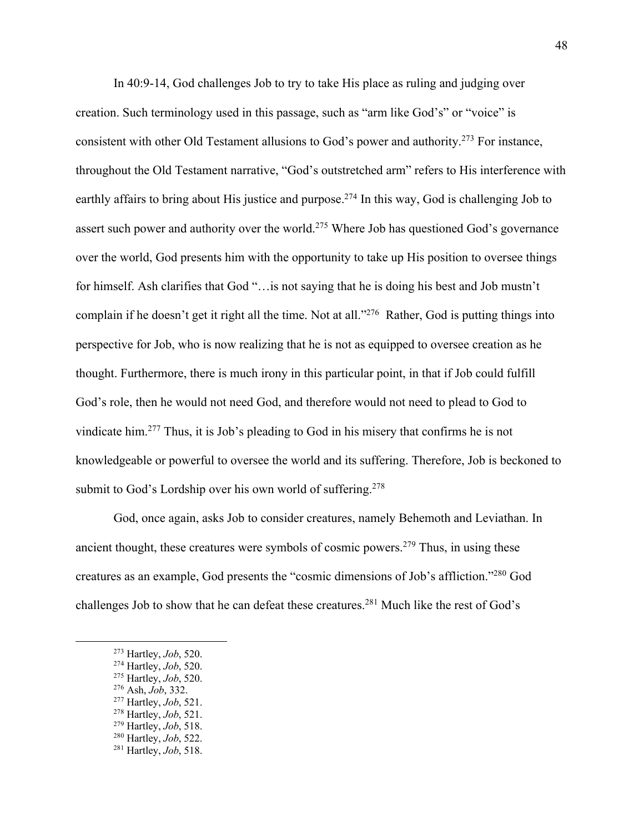In 40:9-14, God challenges Job to try to take His place as ruling and judging over creation. Such terminology used in this passage, such as "arm like God's" or "voice" is consistent with other Old Testament allusions to God's power and authority.273 For instance, throughout the Old Testament narrative, "God's outstretched arm" refers to His interference with earthly affairs to bring about His justice and purpose.<sup>274</sup> In this way, God is challenging Job to assert such power and authority over the world.<sup>275</sup> Where Job has questioned God's governance over the world, God presents him with the opportunity to take up His position to oversee things for himself. Ash clarifies that God "…is not saying that he is doing his best and Job mustn't complain if he doesn't get it right all the time. Not at all."276 Rather, God is putting things into perspective for Job, who is now realizing that he is not as equipped to oversee creation as he thought. Furthermore, there is much irony in this particular point, in that if Job could fulfill God's role, then he would not need God, and therefore would not need to plead to God to vindicate him.277 Thus, it is Job's pleading to God in his misery that confirms he is not knowledgeable or powerful to oversee the world and its suffering. Therefore, Job is beckoned to submit to God's Lordship over his own world of suffering.<sup>278</sup>

God, once again, asks Job to consider creatures, namely Behemoth and Leviathan. In ancient thought, these creatures were symbols of cosmic powers.<sup>279</sup> Thus, in using these creatures as an example, God presents the "cosmic dimensions of Job's affliction."280 God challenges Job to show that he can defeat these creatures.281 Much like the rest of God's

- <sup>274</sup> Hartley, *Job*, 520.
- <sup>275</sup> Hartley, *Job*, 520.
- <sup>276</sup> Ash, *Job*, 332.
- <sup>277</sup> Hartley, *Job*, 521.
- <sup>278</sup> Hartley, *Job*, 521.
- <sup>279</sup> Hartley, *Job*, 518.
- <sup>280</sup> Hartley, *Job*, 522.
- <sup>281</sup> Hartley, *Job*, 518.

<sup>273</sup> Hartley, *Job*, 520.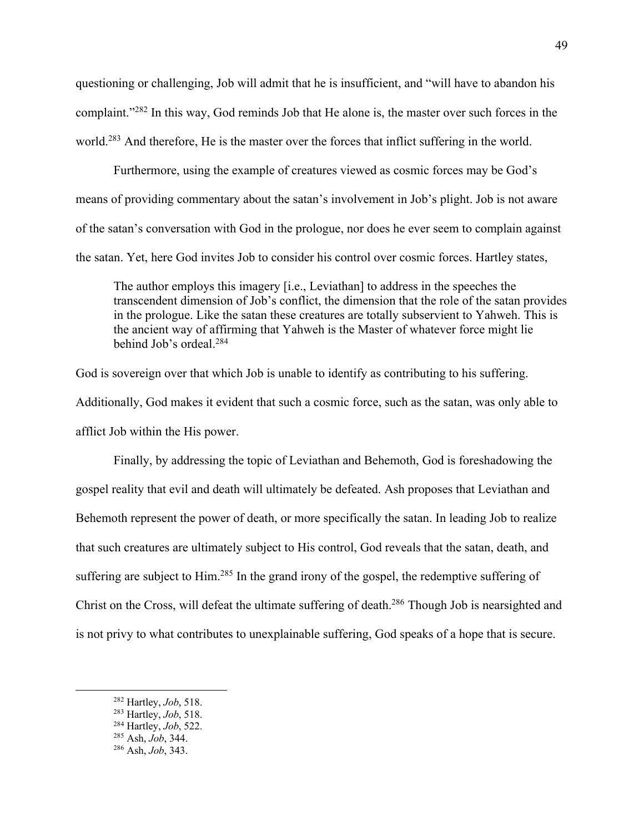questioning or challenging, Job will admit that he is insufficient, and "will have to abandon his complaint."282 In this way, God reminds Job that He alone is, the master over such forces in the world.<sup>283</sup> And therefore, He is the master over the forces that inflict suffering in the world.

Furthermore, using the example of creatures viewed as cosmic forces may be God's means of providing commentary about the satan's involvement in Job's plight. Job is not aware of the satan's conversation with God in the prologue, nor does he ever seem to complain against the satan. Yet, here God invites Job to consider his control over cosmic forces. Hartley states,

The author employs this imagery [i.e., Leviathan] to address in the speeches the transcendent dimension of Job's conflict, the dimension that the role of the satan provides in the prologue. Like the satan these creatures are totally subservient to Yahweh. This is the ancient way of affirming that Yahweh is the Master of whatever force might lie behind Job's ordeal.284

God is sovereign over that which Job is unable to identify as contributing to his suffering. Additionally, God makes it evident that such a cosmic force, such as the satan, was only able to afflict Job within the His power.

Finally, by addressing the topic of Leviathan and Behemoth, God is foreshadowing the gospel reality that evil and death will ultimately be defeated. Ash proposes that Leviathan and Behemoth represent the power of death, or more specifically the satan. In leading Job to realize that such creatures are ultimately subject to His control, God reveals that the satan, death, and suffering are subject to Him.<sup>285</sup> In the grand irony of the gospel, the redemptive suffering of Christ on the Cross, will defeat the ultimate suffering of death. <sup>286</sup> Though Job is nearsighted and is not privy to what contributes to unexplainable suffering, God speaks of a hope that is secure.

<sup>282</sup> Hartley, *Job*, 518.

<sup>283</sup> Hartley, *Job*, 518.

<sup>284</sup> Hartley, *Job*, 522.

<sup>285</sup> Ash, *Job*, 344.

<sup>286</sup> Ash, *Job*, 343.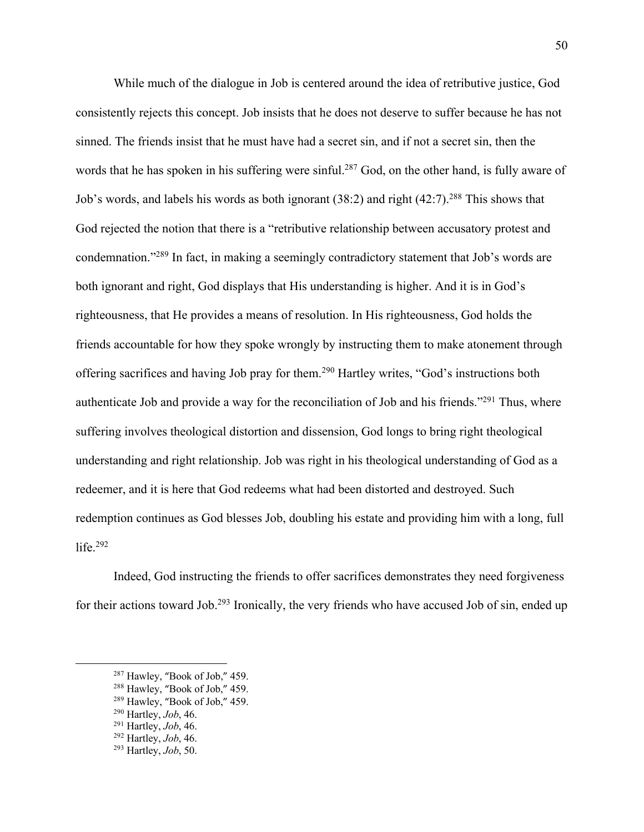While much of the dialogue in Job is centered around the idea of retributive justice, God consistently rejects this concept. Job insists that he does not deserve to suffer because he has not sinned. The friends insist that he must have had a secret sin, and if not a secret sin, then the words that he has spoken in his suffering were sinful.<sup>287</sup> God, on the other hand, is fully aware of Job's words, and labels his words as both ignorant (38:2) and right (42:7).<sup>288</sup> This shows that God rejected the notion that there is a "retributive relationship between accusatory protest and condemnation."289 In fact, in making a seemingly contradictory statement that Job's words are both ignorant and right, God displays that His understanding is higher. And it is in God's righteousness, that He provides a means of resolution. In His righteousness, God holds the friends accountable for how they spoke wrongly by instructing them to make atonement through offering sacrifices and having Job pray for them.290 Hartley writes, "God's instructions both authenticate Job and provide a way for the reconciliation of Job and his friends."291 Thus, where suffering involves theological distortion and dissension, God longs to bring right theological understanding and right relationship. Job was right in his theological understanding of God as a redeemer, and it is here that God redeems what had been distorted and destroyed. Such redemption continues as God blesses Job, doubling his estate and providing him with a long, full  $life.$ <sup>292</sup>

Indeed, God instructing the friends to offer sacrifices demonstrates they need forgiveness for their actions toward Job.293 Ironically, the very friends who have accused Job of sin, ended up

<sup>287</sup> Hawley, "Book of Job," 459.

<sup>288</sup> Hawley, "Book of Job," 459.

<sup>289</sup> Hawley, "Book of Job," 459.

<sup>290</sup> Hartley, *Job*, 46.

<sup>291</sup> Hartley, *Job*, 46.

<sup>292</sup> Hartley, *Job*, 46.

<sup>293</sup> Hartley, *Job*, 50.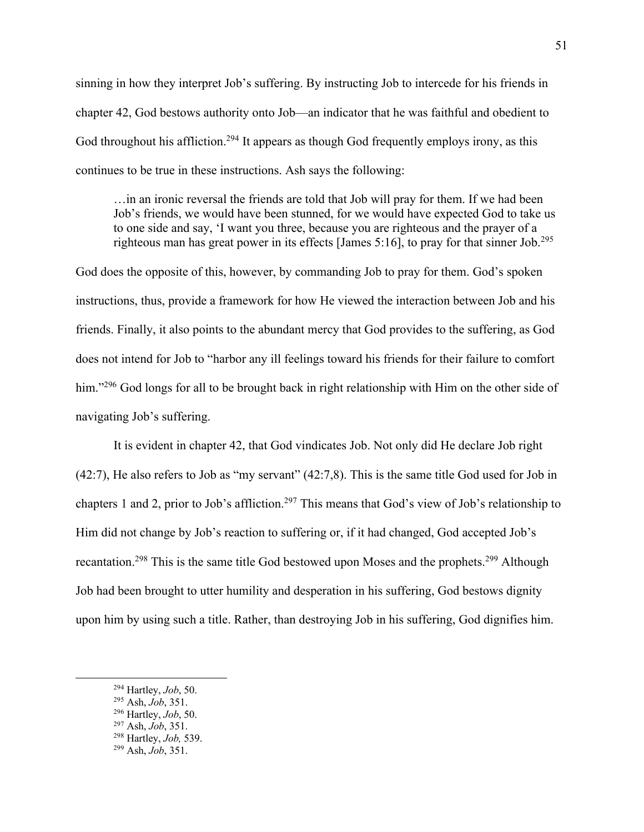sinning in how they interpret Job's suffering. By instructing Job to intercede for his friends in chapter 42, God bestows authority onto Job—an indicator that he was faithful and obedient to God throughout his affliction.<sup>294</sup> It appears as though God frequently employs irony, as this continues to be true in these instructions. Ash says the following:

…in an ironic reversal the friends are told that Job will pray for them. If we had been Job's friends, we would have been stunned, for we would have expected God to take us to one side and say, 'I want you three, because you are righteous and the prayer of a righteous man has great power in its effects [James 5:16], to pray for that sinner Job.<sup>295</sup>

God does the opposite of this, however, by commanding Job to pray for them. God's spoken instructions, thus, provide a framework for how He viewed the interaction between Job and his friends. Finally, it also points to the abundant mercy that God provides to the suffering, as God does not intend for Job to "harbor any ill feelings toward his friends for their failure to comfort him."<sup>296</sup> God longs for all to be brought back in right relationship with Him on the other side of navigating Job's suffering.

It is evident in chapter 42, that God vindicates Job. Not only did He declare Job right (42:7), He also refers to Job as "my servant" (42:7,8). This is the same title God used for Job in chapters 1 and 2, prior to Job's affliction.<sup>297</sup> This means that God's view of Job's relationship to Him did not change by Job's reaction to suffering or, if it had changed, God accepted Job's recantation.<sup>298</sup> This is the same title God bestowed upon Moses and the prophets.<sup>299</sup> Although Job had been brought to utter humility and desperation in his suffering, God bestows dignity upon him by using such a title. Rather, than destroying Job in his suffering, God dignifies him.

<sup>294</sup> Hartley, *Job*, 50.

<sup>295</sup> Ash, *Job*, 351.

<sup>296</sup> Hartley, *Job*, 50.

<sup>297</sup> Ash, *Job*, 351.

<sup>298</sup> Hartley, *Job,* 539.

<sup>299</sup> Ash, *Job*, 351.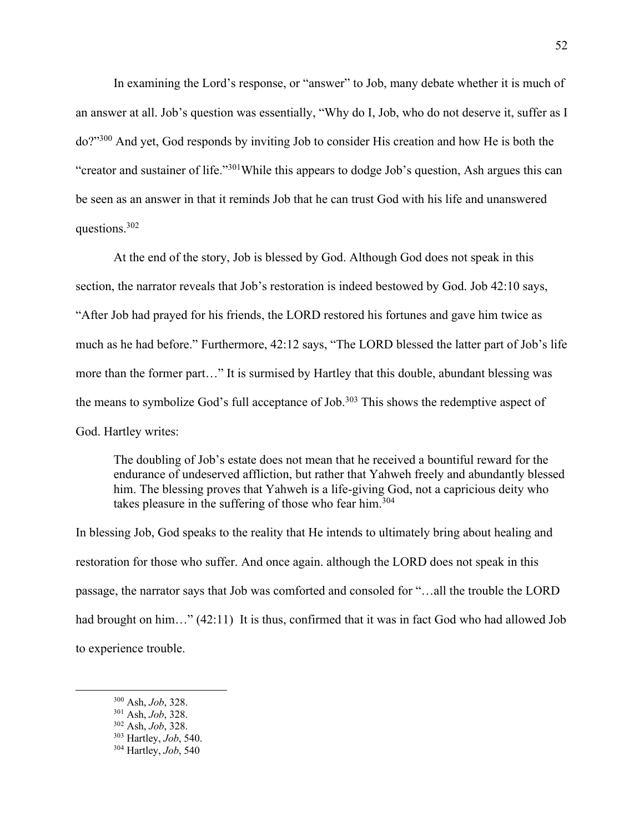In examining the Lord's response, or "answer" to Job, many debate whether it is much of an answer at all. Job's question was essentially, "Why do I, Job, who do not deserve it, suffer as I do?"300 And yet, God responds by inviting Job to consider His creation and how He is both the "creator and sustainer of life."301While this appears to dodge Job's question, Ash argues this can be seen as an answer in that it reminds Job that he can trust God with his life and unanswered questions.302

At the end of the story, Job is blessed by God. Although God does not speak in this section, the narrator reveals that Job's restoration is indeed bestowed by God. Job 42:10 says, "After Job had prayed for his friends, the LORD restored his fortunes and gave him twice as much as he had before." Furthermore, 42:12 says, "The LORD blessed the latter part of Job's life more than the former part…" It is surmised by Hartley that this double, abundant blessing was the means to symbolize God's full acceptance of Job.<sup>303</sup> This shows the redemptive aspect of God. Hartley writes:

The doubling of Job's estate does not mean that he received a bountiful reward for the endurance of undeserved affliction, but rather that Yahweh freely and abundantly blessed him. The blessing proves that Yahweh is a life-giving God, not a capricious deity who takes pleasure in the suffering of those who fear him.<sup>304</sup>

In blessing Job, God speaks to the reality that He intends to ultimately bring about healing and restoration for those who suffer. And once again. although the LORD does not speak in this passage, the narrator says that Job was comforted and consoled for "…all the trouble the LORD had brought on him..." (42:11) It is thus, confirmed that it was in fact God who had allowed Job to experience trouble.

<sup>300</sup> Ash, *Job*, 328.

<sup>301</sup> Ash, *Job*, 328.

<sup>302</sup> Ash, *Job*, 328.

<sup>303</sup> Hartley, *Job*, 540.

<sup>304</sup> Hartley, *Job*, 540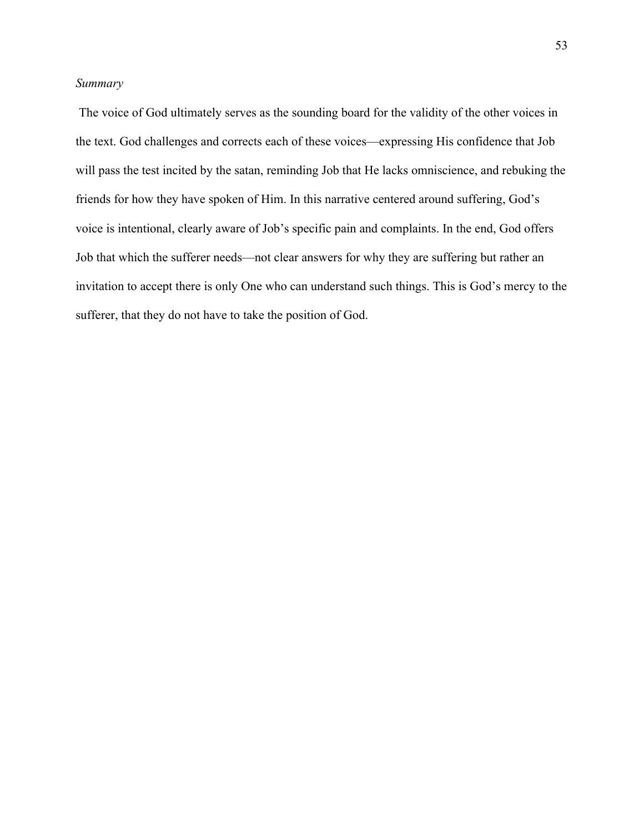# *Summary*

The voice of God ultimately serves as the sounding board for the validity of the other voices in the text. God challenges and corrects each of these voices—expressing His confidence that Job will pass the test incited by the satan, reminding Job that He lacks omniscience, and rebuking the friends for how they have spoken of Him. In this narrative centered around suffering, God's voice is intentional, clearly aware of Job's specific pain and complaints. In the end, God offers Job that which the sufferer needs—not clear answers for why they are suffering but rather an invitation to accept there is only One who can understand such things. This is God's mercy to the sufferer, that they do not have to take the position of God.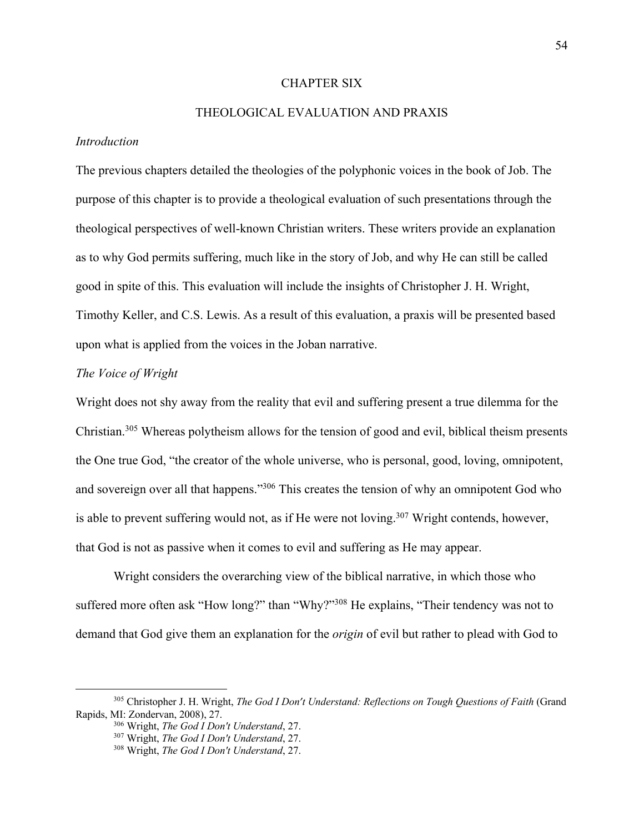### CHAPTER SIX

# THEOLOGICAL EVALUATION AND PRAXIS

### *Introduction*

The previous chapters detailed the theologies of the polyphonic voices in the book of Job. The purpose of this chapter is to provide a theological evaluation of such presentations through the theological perspectives of well-known Christian writers. These writers provide an explanation as to why God permits suffering, much like in the story of Job, and why He can still be called good in spite of this. This evaluation will include the insights of Christopher J. H. Wright, Timothy Keller, and C.S. Lewis. As a result of this evaluation, a praxis will be presented based upon what is applied from the voices in the Joban narrative.

# *The Voice of Wright*

Wright does not shy away from the reality that evil and suffering present a true dilemma for the Christian.305 Whereas polytheism allows for the tension of good and evil, biblical theism presents the One true God, "the creator of the whole universe, who is personal, good, loving, omnipotent, and sovereign over all that happens."<sup>306</sup> This creates the tension of why an omnipotent God who is able to prevent suffering would not, as if He were not loving.<sup>307</sup> Wright contends, however, that God is not as passive when it comes to evil and suffering as He may appear.

Wright considers the overarching view of the biblical narrative, in which those who suffered more often ask "How long?" than "Why?"<sup>308</sup> He explains, "Their tendency was not to demand that God give them an explanation for the *origin* of evil but rather to plead with God to

<sup>305</sup> Christopher J. H. Wright, *The God I Don't Understand: Reflections on Tough Questions of Faith* (Grand Rapids, MI: Zondervan, 2008), 27.

<sup>306</sup> Wright, *The God I Don't Understand*, 27.

<sup>307</sup> Wright, *The God I Don't Understand*, 27.

<sup>308</sup> Wright, *The God I Don't Understand*, 27.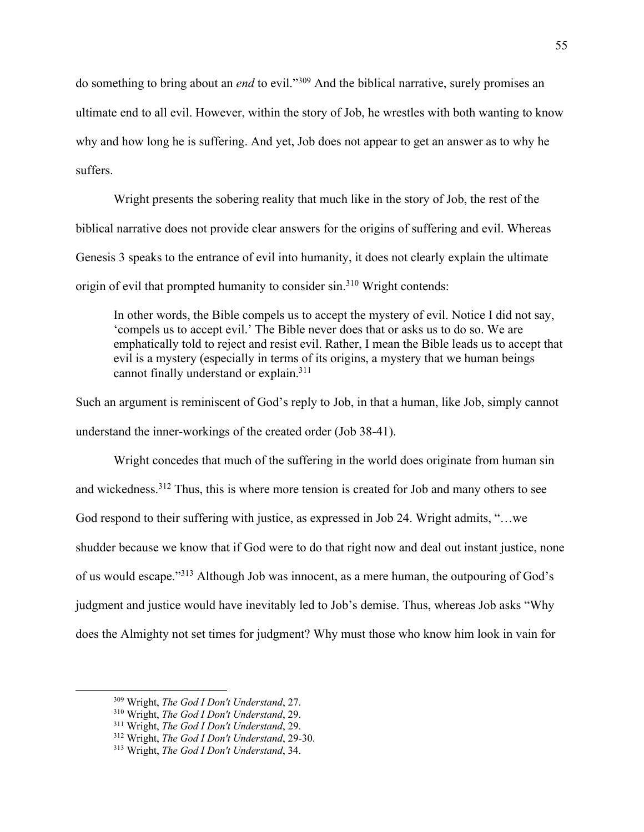do something to bring about an *end* to evil."309 And the biblical narrative, surely promises an ultimate end to all evil. However, within the story of Job, he wrestles with both wanting to know why and how long he is suffering. And yet, Job does not appear to get an answer as to why he suffers.

Wright presents the sobering reality that much like in the story of Job, the rest of the biblical narrative does not provide clear answers for the origins of suffering and evil. Whereas Genesis 3 speaks to the entrance of evil into humanity, it does not clearly explain the ultimate origin of evil that prompted humanity to consider sin.<sup>310</sup> Wright contends:

In other words, the Bible compels us to accept the mystery of evil. Notice I did not say, 'compels us to accept evil.' The Bible never does that or asks us to do so. We are emphatically told to reject and resist evil. Rather, I mean the Bible leads us to accept that evil is a mystery (especially in terms of its origins, a mystery that we human beings cannot finally understand or explain.311

Such an argument is reminiscent of God's reply to Job, in that a human, like Job, simply cannot understand the inner-workings of the created order (Job 38-41).

Wright concedes that much of the suffering in the world does originate from human sin and wickedness.312 Thus, this is where more tension is created for Job and many others to see God respond to their suffering with justice, as expressed in Job 24. Wright admits, "…we shudder because we know that if God were to do that right now and deal out instant justice, none of us would escape."313 Although Job was innocent, as a mere human, the outpouring of God's judgment and justice would have inevitably led to Job's demise. Thus, whereas Job asks "Why does the Almighty not set times for judgment? Why must those who know him look in vain for

<sup>309</sup> Wright, *The God I Don't Understand*, 27.

<sup>310</sup> Wright, *The God I Don't Understand*, 29.

<sup>311</sup> Wright, *The God I Don't Understand*, 29.

<sup>312</sup> Wright, *The God I Don't Understand*, 29-30.

<sup>313</sup> Wright, *The God I Don't Understand*, 34.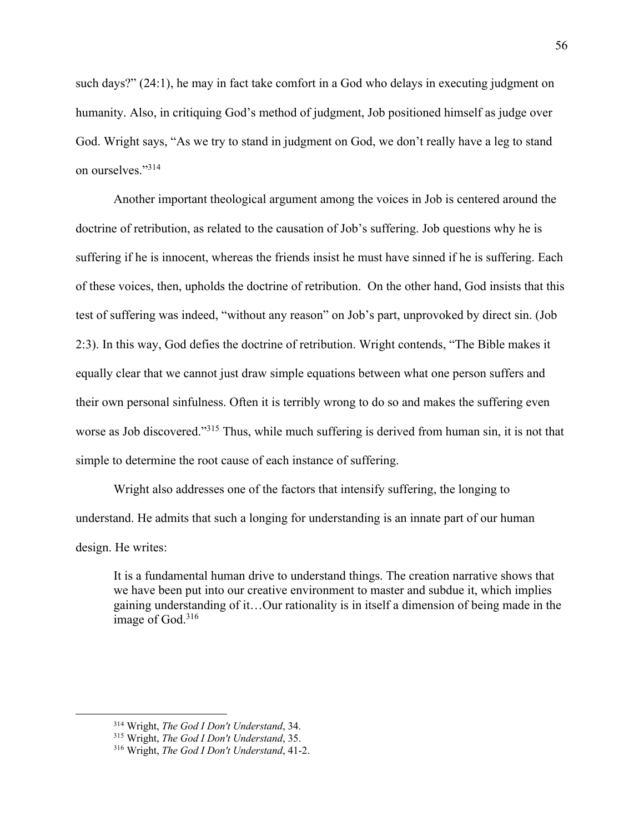such days?" (24:1), he may in fact take comfort in a God who delays in executing judgment on humanity. Also, in critiquing God's method of judgment, Job positioned himself as judge over God. Wright says, "As we try to stand in judgment on God, we don't really have a leg to stand on ourselves."314

Another important theological argument among the voices in Job is centered around the doctrine of retribution, as related to the causation of Job's suffering. Job questions why he is suffering if he is innocent, whereas the friends insist he must have sinned if he is suffering. Each of these voices, then, upholds the doctrine of retribution. On the other hand, God insists that this test of suffering was indeed, "without any reason" on Job's part, unprovoked by direct sin. (Job 2:3). In this way, God defies the doctrine of retribution. Wright contends, "The Bible makes it equally clear that we cannot just draw simple equations between what one person suffers and their own personal sinfulness. Often it is terribly wrong to do so and makes the suffering even worse as Job discovered."<sup>315</sup> Thus, while much suffering is derived from human sin, it is not that simple to determine the root cause of each instance of suffering.

Wright also addresses one of the factors that intensify suffering, the longing to understand. He admits that such a longing for understanding is an innate part of our human design. He writes:

It is a fundamental human drive to understand things. The creation narrative shows that we have been put into our creative environment to master and subdue it, which implies gaining understanding of it…Our rationality is in itself a dimension of being made in the image of God.<sup>316</sup>

<sup>314</sup> Wright, *The God I Don't Understand*, 34.

<sup>315</sup> Wright, *The God I Don't Understand*, 35.

<sup>316</sup> Wright, *The God I Don't Understand*, 41-2.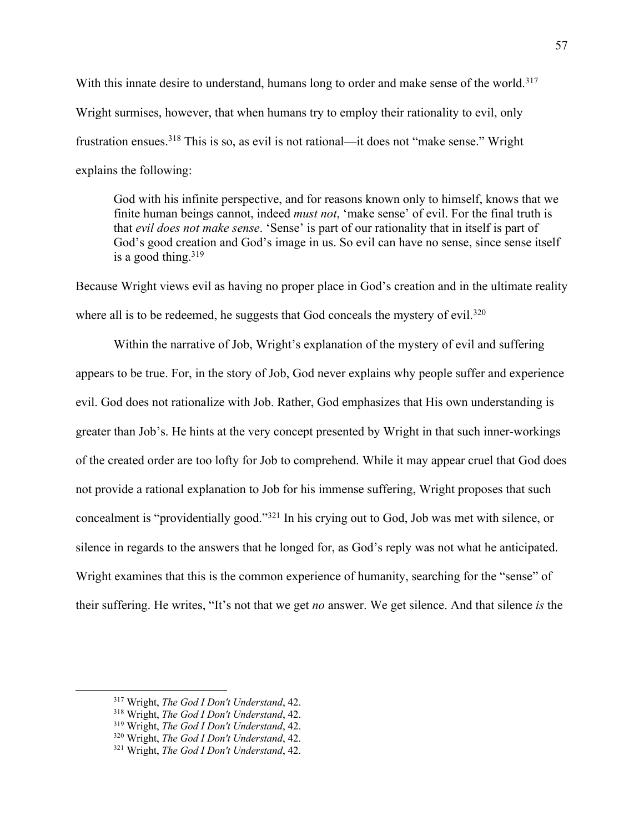With this innate desire to understand, humans long to order and make sense of the world.<sup>317</sup> Wright surmises, however, that when humans try to employ their rationality to evil, only frustration ensues.318 This is so, as evil is not rational—it does not "make sense." Wright explains the following:

God with his infinite perspective, and for reasons known only to himself, knows that we finite human beings cannot, indeed *must not*, 'make sense' of evil. For the final truth is that *evil does not make sense*. 'Sense' is part of our rationality that in itself is part of God's good creation and God's image in us. So evil can have no sense, since sense itself is a good thing. $319$ 

Because Wright views evil as having no proper place in God's creation and in the ultimate reality where all is to be redeemed, he suggests that God conceals the mystery of evil.<sup>320</sup>

Within the narrative of Job, Wright's explanation of the mystery of evil and suffering appears to be true. For, in the story of Job, God never explains why people suffer and experience evil. God does not rationalize with Job. Rather, God emphasizes that His own understanding is greater than Job's. He hints at the very concept presented by Wright in that such inner-workings of the created order are too lofty for Job to comprehend. While it may appear cruel that God does not provide a rational explanation to Job for his immense suffering, Wright proposes that such concealment is "providentially good."321 In his crying out to God, Job was met with silence, or silence in regards to the answers that he longed for, as God's reply was not what he anticipated. Wright examines that this is the common experience of humanity, searching for the "sense" of their suffering. He writes, "It's not that we get *no* answer. We get silence. And that silence *is* the

<sup>317</sup> Wright, *The God I Don't Understand*, 42.

<sup>318</sup> Wright, *The God I Don't Understand*, 42.

<sup>319</sup> Wright, *The God I Don't Understand*, 42.

<sup>320</sup> Wright, *The God I Don't Understand*, 42.

<sup>321</sup> Wright, *The God I Don't Understand*, 42.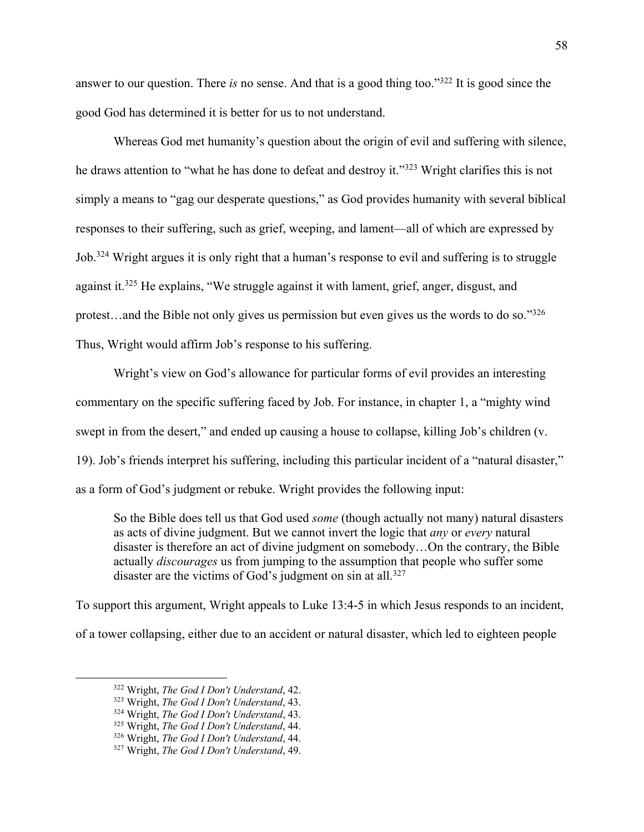answer to our question. There *is* no sense. And that is a good thing too."322 It is good since the good God has determined it is better for us to not understand.

Whereas God met humanity's question about the origin of evil and suffering with silence, he draws attention to "what he has done to defeat and destroy it."323 Wright clarifies this is not simply a means to "gag our desperate questions," as God provides humanity with several biblical responses to their suffering, such as grief, weeping, and lament—all of which are expressed by Job.324 Wright argues it is only right that a human's response to evil and suffering is to struggle against it.325 He explains, "We struggle against it with lament, grief, anger, disgust, and protest…and the Bible not only gives us permission but even gives us the words to do so."326 Thus, Wright would affirm Job's response to his suffering.

Wright's view on God's allowance for particular forms of evil provides an interesting commentary on the specific suffering faced by Job. For instance, in chapter 1, a "mighty wind swept in from the desert," and ended up causing a house to collapse, killing Job's children (v. 19). Job's friends interpret his suffering, including this particular incident of a "natural disaster," as a form of God's judgment or rebuke. Wright provides the following input:

So the Bible does tell us that God used *some* (though actually not many) natural disasters as acts of divine judgment. But we cannot invert the logic that *any* or *every* natural disaster is therefore an act of divine judgment on somebody…On the contrary, the Bible actually *discourages* us from jumping to the assumption that people who suffer some disaster are the victims of God's judgment on sin at all.<sup>327</sup>

To support this argument, Wright appeals to Luke 13:4-5 in which Jesus responds to an incident, of a tower collapsing, either due to an accident or natural disaster, which led to eighteen people

<sup>322</sup> Wright, *The God I Don't Understand*, 42.

<sup>323</sup> Wright, *The God I Don't Understand*, 43.

<sup>324</sup> Wright, *The God I Don't Understand*, 43.

<sup>325</sup> Wright, *The God I Don't Understand*, 44.

<sup>326</sup> Wright, *The God I Don't Understand*, 44.

<sup>327</sup> Wright, *The God I Don't Understand*, 49.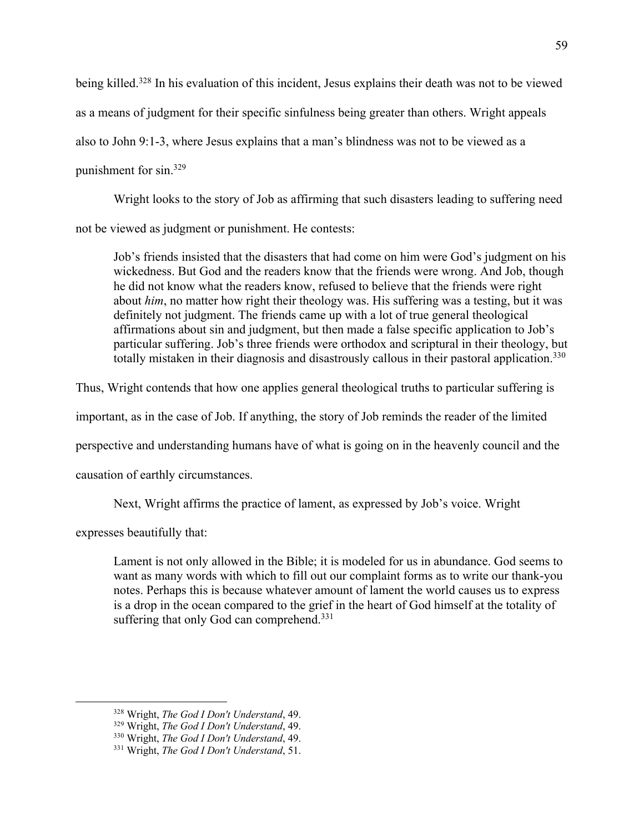being killed.<sup>328</sup> In his evaluation of this incident, Jesus explains their death was not to be viewed as a means of judgment for their specific sinfulness being greater than others. Wright appeals also to John 9:1-3, where Jesus explains that a man's blindness was not to be viewed as a punishment for sin.329

Wright looks to the story of Job as affirming that such disasters leading to suffering need not be viewed as judgment or punishment. He contests:

Job's friends insisted that the disasters that had come on him were God's judgment on his wickedness. But God and the readers know that the friends were wrong. And Job, though he did not know what the readers know, refused to believe that the friends were right about *him*, no matter how right their theology was. His suffering was a testing, but it was definitely not judgment. The friends came up with a lot of true general theological affirmations about sin and judgment, but then made a false specific application to Job's particular suffering. Job's three friends were orthodox and scriptural in their theology, but totally mistaken in their diagnosis and disastrously callous in their pastoral application.<sup>330</sup>

Thus, Wright contends that how one applies general theological truths to particular suffering is

important, as in the case of Job. If anything, the story of Job reminds the reader of the limited

perspective and understanding humans have of what is going on in the heavenly council and the

causation of earthly circumstances.

Next, Wright affirms the practice of lament, as expressed by Job's voice. Wright

expresses beautifully that:

Lament is not only allowed in the Bible; it is modeled for us in abundance. God seems to want as many words with which to fill out our complaint forms as to write our thank-you notes. Perhaps this is because whatever amount of lament the world causes us to express is a drop in the ocean compared to the grief in the heart of God himself at the totality of suffering that only God can comprehend. $331$ 

<sup>328</sup> Wright, *The God I Don't Understand*, 49.

<sup>329</sup> Wright, *The God I Don't Understand*, 49.

<sup>330</sup> Wright, *The God I Don't Understand*, 49.

<sup>331</sup> Wright, *The God I Don't Understand*, 51.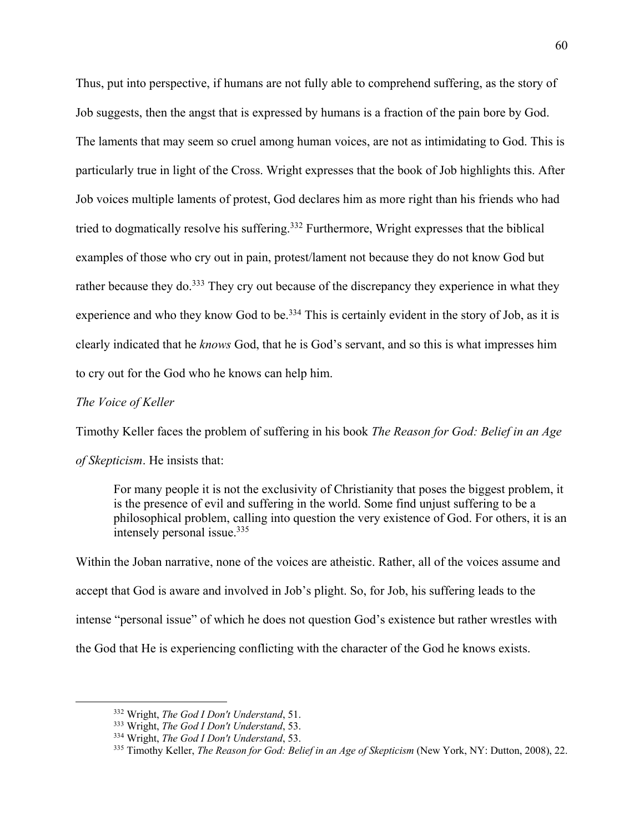Thus, put into perspective, if humans are not fully able to comprehend suffering, as the story of Job suggests, then the angst that is expressed by humans is a fraction of the pain bore by God. The laments that may seem so cruel among human voices, are not as intimidating to God. This is particularly true in light of the Cross. Wright expresses that the book of Job highlights this. After Job voices multiple laments of protest, God declares him as more right than his friends who had tried to dogmatically resolve his suffering.<sup>332</sup> Furthermore, Wright expresses that the biblical examples of those who cry out in pain, protest/lament not because they do not know God but rather because they do.<sup>333</sup> They cry out because of the discrepancy they experience in what they experience and who they know God to be.<sup>334</sup> This is certainly evident in the story of Job, as it is clearly indicated that he *knows* God, that he is God's servant, and so this is what impresses him to cry out for the God who he knows can help him.

#### *The Voice of Keller*

Timothy Keller faces the problem of suffering in his book *The Reason for God: Belief in an Age of Skepticism*. He insists that:

For many people it is not the exclusivity of Christianity that poses the biggest problem, it is the presence of evil and suffering in the world. Some find unjust suffering to be a philosophical problem, calling into question the very existence of God. For others, it is an intensely personal issue.335

Within the Joban narrative, none of the voices are atheistic. Rather, all of the voices assume and accept that God is aware and involved in Job's plight. So, for Job, his suffering leads to the intense "personal issue" of which he does not question God's existence but rather wrestles with the God that He is experiencing conflicting with the character of the God he knows exists.

<sup>332</sup> Wright, *The God I Don't Understand*, 51.

<sup>333</sup> Wright, *The God I Don't Understand*, 53.

<sup>334</sup> Wright, *The God I Don't Understand*, 53.

<sup>335</sup> Timothy Keller, *The Reason for God: Belief in an Age of Skepticism* (New York, NY: Dutton, 2008), 22.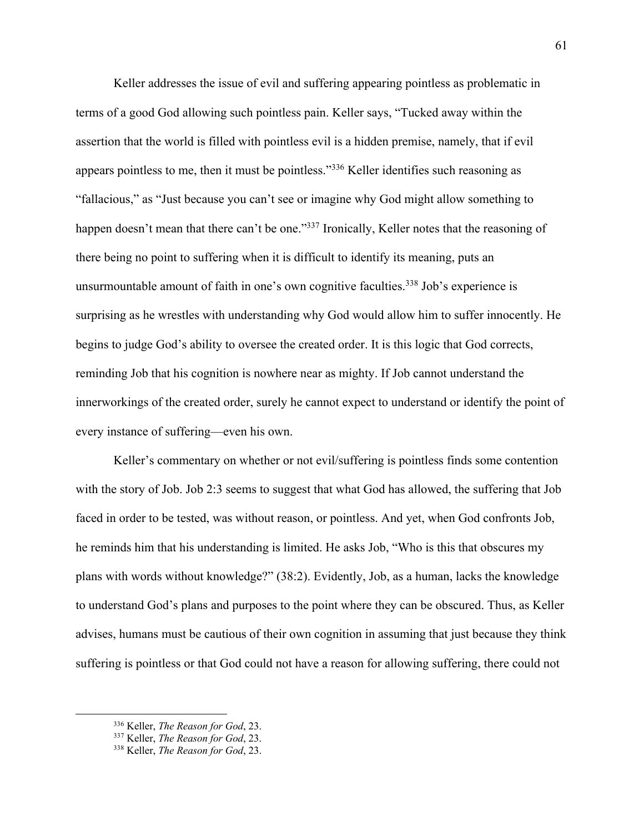Keller addresses the issue of evil and suffering appearing pointless as problematic in terms of a good God allowing such pointless pain. Keller says, "Tucked away within the assertion that the world is filled with pointless evil is a hidden premise, namely, that if evil appears pointless to me, then it must be pointless."336 Keller identifies such reasoning as "fallacious," as "Just because you can't see or imagine why God might allow something to happen doesn't mean that there can't be one."<sup>337</sup> Ironically, Keller notes that the reasoning of there being no point to suffering when it is difficult to identify its meaning, puts an unsurmountable amount of faith in one's own cognitive faculties.<sup>338</sup> Job's experience is surprising as he wrestles with understanding why God would allow him to suffer innocently. He begins to judge God's ability to oversee the created order. It is this logic that God corrects, reminding Job that his cognition is nowhere near as mighty. If Job cannot understand the innerworkings of the created order, surely he cannot expect to understand or identify the point of every instance of suffering—even his own.

Keller's commentary on whether or not evil/suffering is pointless finds some contention with the story of Job. Job 2:3 seems to suggest that what God has allowed, the suffering that Job faced in order to be tested, was without reason, or pointless. And yet, when God confronts Job, he reminds him that his understanding is limited. He asks Job, "Who is this that obscures my plans with words without knowledge?" (38:2). Evidently, Job, as a human, lacks the knowledge to understand God's plans and purposes to the point where they can be obscured. Thus, as Keller advises, humans must be cautious of their own cognition in assuming that just because they think suffering is pointless or that God could not have a reason for allowing suffering, there could not

<sup>336</sup> Keller, *The Reason for God*, 23.

<sup>337</sup> Keller, *The Reason for God*, 23.

<sup>338</sup> Keller, *The Reason for God*, 23.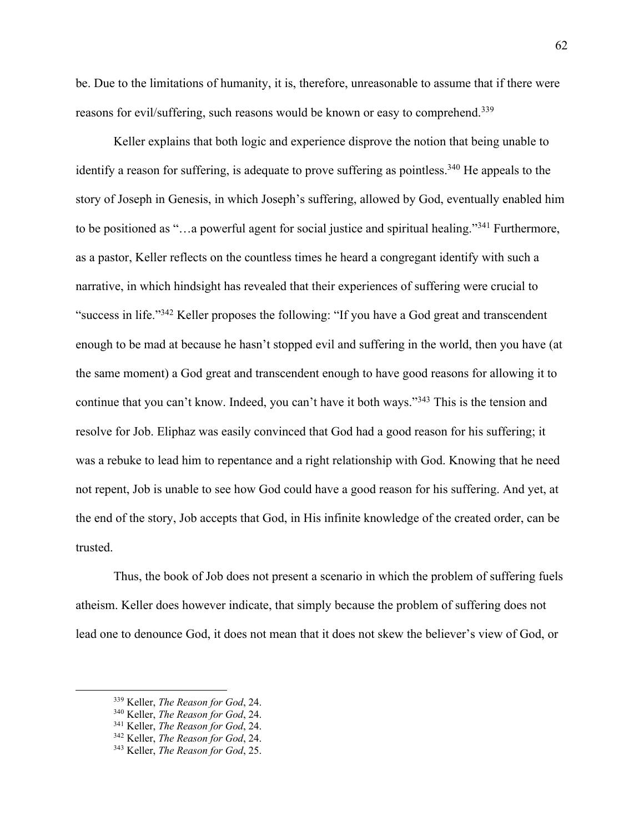be. Due to the limitations of humanity, it is, therefore, unreasonable to assume that if there were reasons for evil/suffering, such reasons would be known or easy to comprehend.<sup>339</sup>

Keller explains that both logic and experience disprove the notion that being unable to identify a reason for suffering, is adequate to prove suffering as pointless.<sup>340</sup> He appeals to the story of Joseph in Genesis, in which Joseph's suffering, allowed by God, eventually enabled him to be positioned as "…a powerful agent for social justice and spiritual healing."341 Furthermore, as a pastor, Keller reflects on the countless times he heard a congregant identify with such a narrative, in which hindsight has revealed that their experiences of suffering were crucial to "success in life."342 Keller proposes the following: "If you have a God great and transcendent enough to be mad at because he hasn't stopped evil and suffering in the world, then you have (at the same moment) a God great and transcendent enough to have good reasons for allowing it to continue that you can't know. Indeed, you can't have it both ways."343 This is the tension and resolve for Job. Eliphaz was easily convinced that God had a good reason for his suffering; it was a rebuke to lead him to repentance and a right relationship with God. Knowing that he need not repent, Job is unable to see how God could have a good reason for his suffering. And yet, at the end of the story, Job accepts that God, in His infinite knowledge of the created order, can be trusted.

Thus, the book of Job does not present a scenario in which the problem of suffering fuels atheism. Keller does however indicate, that simply because the problem of suffering does not lead one to denounce God, it does not mean that it does not skew the believer's view of God, or

<sup>339</sup> Keller, *The Reason for God*, 24.

<sup>340</sup> Keller, *The Reason for God*, 24.

<sup>341</sup> Keller, *The Reason for God*, 24.

<sup>342</sup> Keller, *The Reason for God*, 24.

<sup>343</sup> Keller, *The Reason for God*, 25.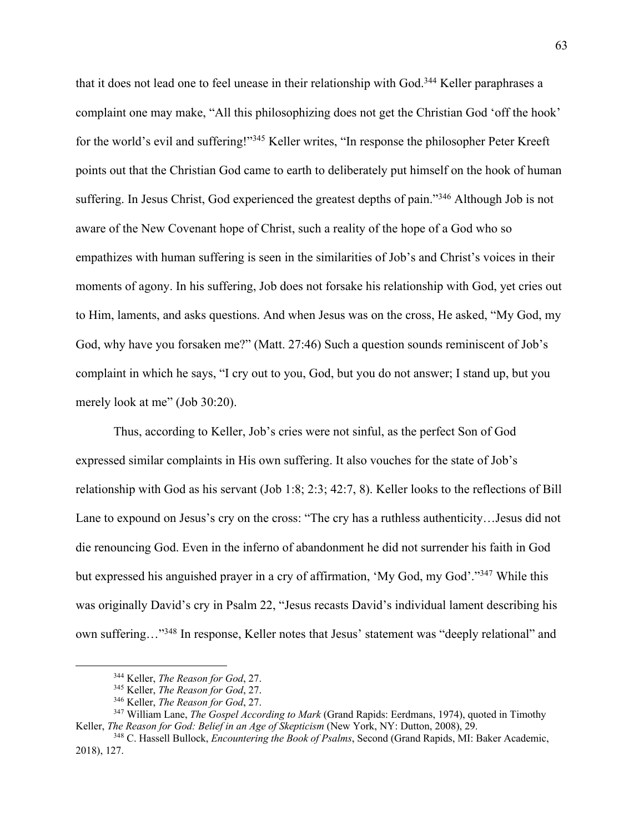that it does not lead one to feel unease in their relationship with God.344 Keller paraphrases a complaint one may make, "All this philosophizing does not get the Christian God 'off the hook' for the world's evil and suffering!"345 Keller writes, "In response the philosopher Peter Kreeft points out that the Christian God came to earth to deliberately put himself on the hook of human suffering. In Jesus Christ, God experienced the greatest depths of pain."346 Although Job is not aware of the New Covenant hope of Christ, such a reality of the hope of a God who so empathizes with human suffering is seen in the similarities of Job's and Christ's voices in their moments of agony. In his suffering, Job does not forsake his relationship with God, yet cries out to Him, laments, and asks questions. And when Jesus was on the cross, He asked, "My God, my God, why have you forsaken me?" (Matt. 27:46) Such a question sounds reminiscent of Job's complaint in which he says, "I cry out to you, God, but you do not answer; I stand up, but you merely look at me" (Job 30:20).

Thus, according to Keller, Job's cries were not sinful, as the perfect Son of God expressed similar complaints in His own suffering. It also vouches for the state of Job's relationship with God as his servant (Job 1:8; 2:3; 42:7, 8). Keller looks to the reflections of Bill Lane to expound on Jesus's cry on the cross: "The cry has a ruthless authenticity…Jesus did not die renouncing God. Even in the inferno of abandonment he did not surrender his faith in God but expressed his anguished prayer in a cry of affirmation, 'My God, my God'."<sup>347</sup> While this was originally David's cry in Psalm 22, "Jesus recasts David's individual lament describing his own suffering…"348 In response, Keller notes that Jesus' statement was "deeply relational" and

<sup>344</sup> Keller, *The Reason for God*, 27.

<sup>345</sup> Keller, *The Reason for God*, 27.

<sup>346</sup> Keller, *The Reason for God*, 27.

<sup>347</sup> William Lane, *The Gospel According to Mark* (Grand Rapids: Eerdmans, 1974), quoted in Timothy Keller, *The Reason for God: Belief in an Age of Skepticism* (New York, NY: Dutton, 2008), 29.

<sup>348</sup> C. Hassell Bullock, *Encountering the Book of Psalms*, Second (Grand Rapids, MI: Baker Academic, 2018), 127.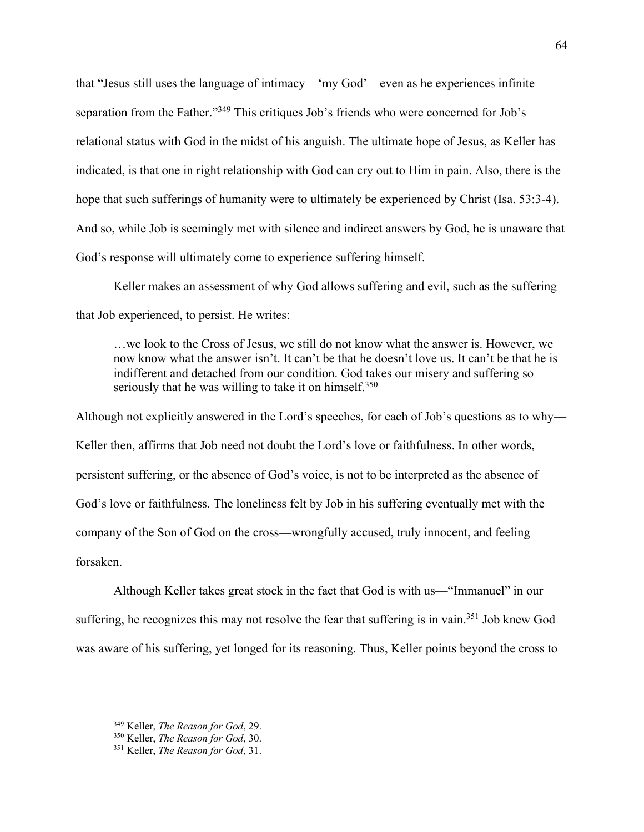that "Jesus still uses the language of intimacy—'my God'—even as he experiences infinite separation from the Father."349 This critiques Job's friends who were concerned for Job's relational status with God in the midst of his anguish. The ultimate hope of Jesus, as Keller has indicated, is that one in right relationship with God can cry out to Him in pain. Also, there is the hope that such sufferings of humanity were to ultimately be experienced by Christ (Isa. 53:3-4). And so, while Job is seemingly met with silence and indirect answers by God, he is unaware that God's response will ultimately come to experience suffering himself.

Keller makes an assessment of why God allows suffering and evil, such as the suffering that Job experienced, to persist. He writes:

…we look to the Cross of Jesus, we still do not know what the answer is. However, we now know what the answer isn't. It can't be that he doesn't love us. It can't be that he is indifferent and detached from our condition. God takes our misery and suffering so seriously that he was willing to take it on himself. $350$ 

Although not explicitly answered in the Lord's speeches, for each of Job's questions as to why— Keller then, affirms that Job need not doubt the Lord's love or faithfulness. In other words, persistent suffering, or the absence of God's voice, is not to be interpreted as the absence of God's love or faithfulness. The loneliness felt by Job in his suffering eventually met with the company of the Son of God on the cross—wrongfully accused, truly innocent, and feeling forsaken.

Although Keller takes great stock in the fact that God is with us—"Immanuel" in our suffering, he recognizes this may not resolve the fear that suffering is in vain.<sup>351</sup> Job knew God was aware of his suffering, yet longed for its reasoning. Thus, Keller points beyond the cross to

<sup>349</sup> Keller, *The Reason for God*, 29.

<sup>350</sup> Keller, *The Reason for God*, 30.

<sup>351</sup> Keller, *The Reason for God*, 31.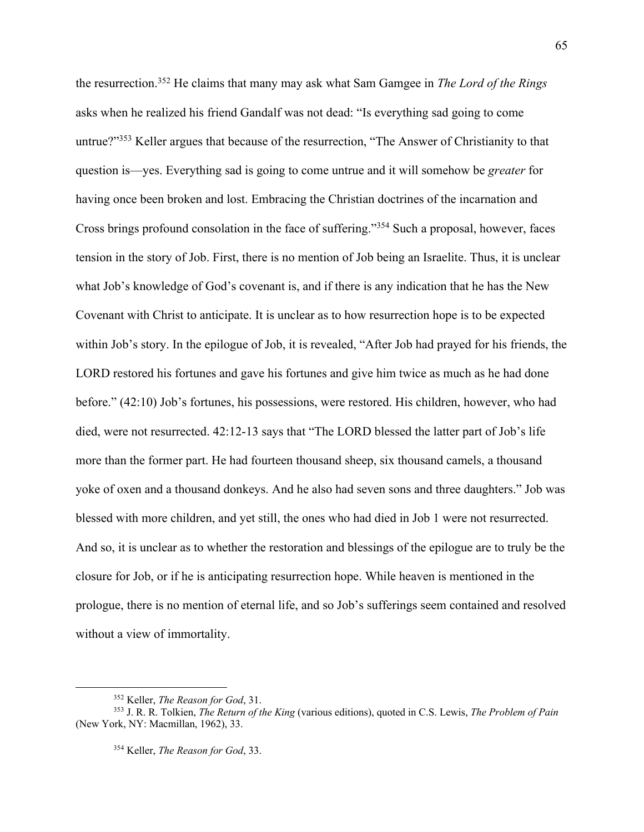the resurrection.352 He claims that many may ask what Sam Gamgee in *The Lord of the Rings* asks when he realized his friend Gandalf was not dead: "Is everything sad going to come untrue?"353 Keller argues that because of the resurrection, "The Answer of Christianity to that question is—yes. Everything sad is going to come untrue and it will somehow be *greater* for having once been broken and lost. Embracing the Christian doctrines of the incarnation and Cross brings profound consolation in the face of suffering."354 Such a proposal, however, faces tension in the story of Job. First, there is no mention of Job being an Israelite. Thus, it is unclear what Job's knowledge of God's covenant is, and if there is any indication that he has the New Covenant with Christ to anticipate. It is unclear as to how resurrection hope is to be expected within Job's story. In the epilogue of Job, it is revealed, "After Job had prayed for his friends, the LORD restored his fortunes and gave his fortunes and give him twice as much as he had done before." (42:10) Job's fortunes, his possessions, were restored. His children, however, who had died, were not resurrected. 42:12-13 says that "The LORD blessed the latter part of Job's life more than the former part. He had fourteen thousand sheep, six thousand camels, a thousand yoke of oxen and a thousand donkeys. And he also had seven sons and three daughters." Job was blessed with more children, and yet still, the ones who had died in Job 1 were not resurrected. And so, it is unclear as to whether the restoration and blessings of the epilogue are to truly be the closure for Job, or if he is anticipating resurrection hope. While heaven is mentioned in the prologue, there is no mention of eternal life, and so Job's sufferings seem contained and resolved without a view of immortality.

<sup>352</sup> Keller, *The Reason for God*, 31.

<sup>353</sup> J. R. R. Tolkien, *The Return of the King* (various editions), quoted in C.S. Lewis, *The Problem of Pain*  (New York, NY: Macmillan, 1962), 33.

<sup>354</sup> Keller, *The Reason for God*, 33.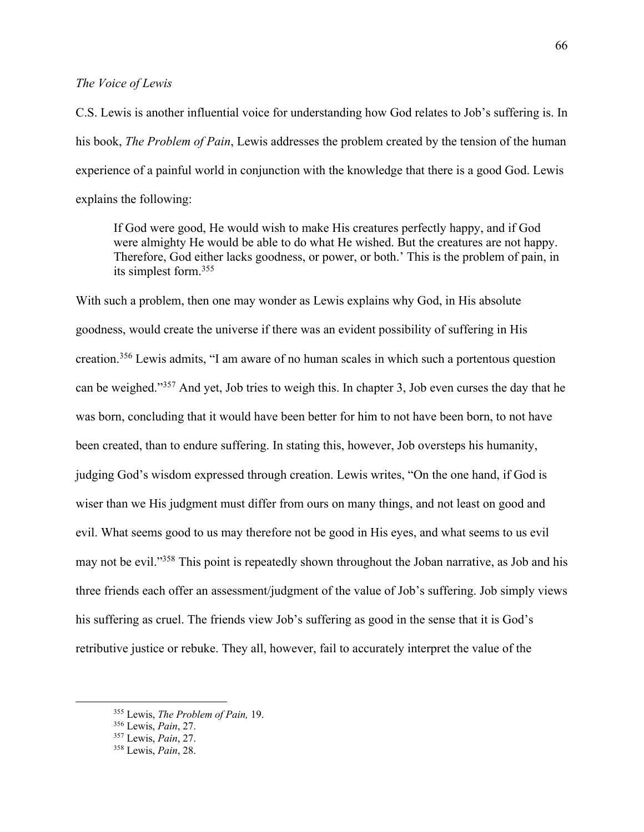### *The Voice of Lewis*

C.S. Lewis is another influential voice for understanding how God relates to Job's suffering is. In his book, *The Problem of Pain*, Lewis addresses the problem created by the tension of the human experience of a painful world in conjunction with the knowledge that there is a good God. Lewis explains the following:

If God were good, He would wish to make His creatures perfectly happy, and if God were almighty He would be able to do what He wished. But the creatures are not happy. Therefore, God either lacks goodness, or power, or both.' This is the problem of pain, in its simplest form.355

With such a problem, then one may wonder as Lewis explains why God, in His absolute goodness, would create the universe if there was an evident possibility of suffering in His creation.356 Lewis admits, "I am aware of no human scales in which such a portentous question can be weighed."357 And yet, Job tries to weigh this. In chapter 3, Job even curses the day that he was born, concluding that it would have been better for him to not have been born, to not have been created, than to endure suffering. In stating this, however, Job oversteps his humanity, judging God's wisdom expressed through creation. Lewis writes, "On the one hand, if God is wiser than we His judgment must differ from ours on many things, and not least on good and evil. What seems good to us may therefore not be good in His eyes, and what seems to us evil may not be evil."358 This point is repeatedly shown throughout the Joban narrative, as Job and his three friends each offer an assessment/judgment of the value of Job's suffering. Job simply views his suffering as cruel. The friends view Job's suffering as good in the sense that it is God's retributive justice or rebuke. They all, however, fail to accurately interpret the value of the

<sup>355</sup> Lewis, *The Problem of Pain,* 19.

<sup>356</sup> Lewis, *Pain*, 27.

<sup>357</sup> Lewis, *Pain*, 27.

<sup>358</sup> Lewis, *Pain*, 28.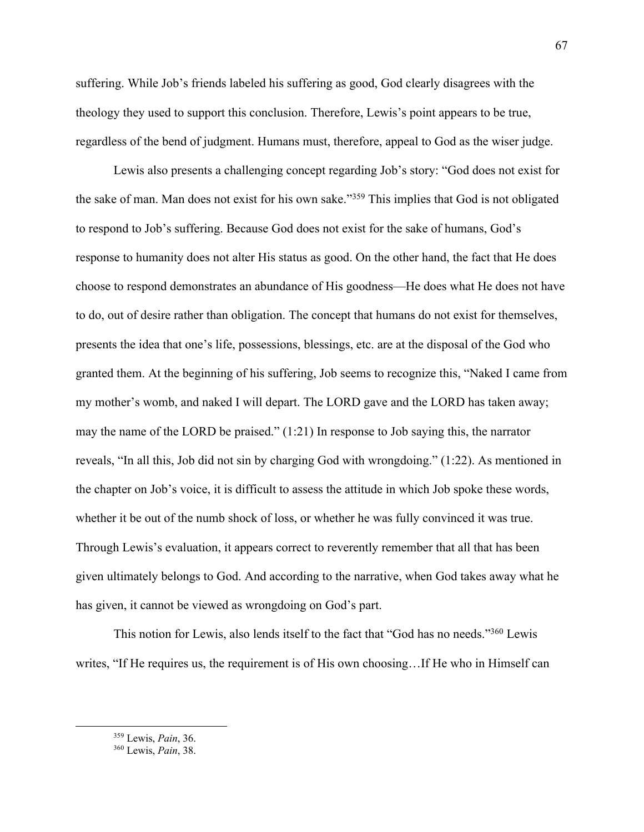suffering. While Job's friends labeled his suffering as good, God clearly disagrees with the theology they used to support this conclusion. Therefore, Lewis's point appears to be true, regardless of the bend of judgment. Humans must, therefore, appeal to God as the wiser judge.

Lewis also presents a challenging concept regarding Job's story: "God does not exist for the sake of man. Man does not exist for his own sake."359 This implies that God is not obligated to respond to Job's suffering. Because God does not exist for the sake of humans, God's response to humanity does not alter His status as good. On the other hand, the fact that He does choose to respond demonstrates an abundance of His goodness—He does what He does not have to do, out of desire rather than obligation. The concept that humans do not exist for themselves, presents the idea that one's life, possessions, blessings, etc. are at the disposal of the God who granted them. At the beginning of his suffering, Job seems to recognize this, "Naked I came from my mother's womb, and naked I will depart. The LORD gave and the LORD has taken away; may the name of the LORD be praised." (1:21) In response to Job saying this, the narrator reveals, "In all this, Job did not sin by charging God with wrongdoing." (1:22). As mentioned in the chapter on Job's voice, it is difficult to assess the attitude in which Job spoke these words, whether it be out of the numb shock of loss, or whether he was fully convinced it was true. Through Lewis's evaluation, it appears correct to reverently remember that all that has been given ultimately belongs to God. And according to the narrative, when God takes away what he has given, it cannot be viewed as wrongdoing on God's part.

This notion for Lewis, also lends itself to the fact that "God has no needs."<sup>360</sup> Lewis writes, "If He requires us, the requirement is of His own choosing...If He who in Himself can

<sup>359</sup> Lewis, *Pain*, 36.

<sup>360</sup> Lewis, *Pain*, 38.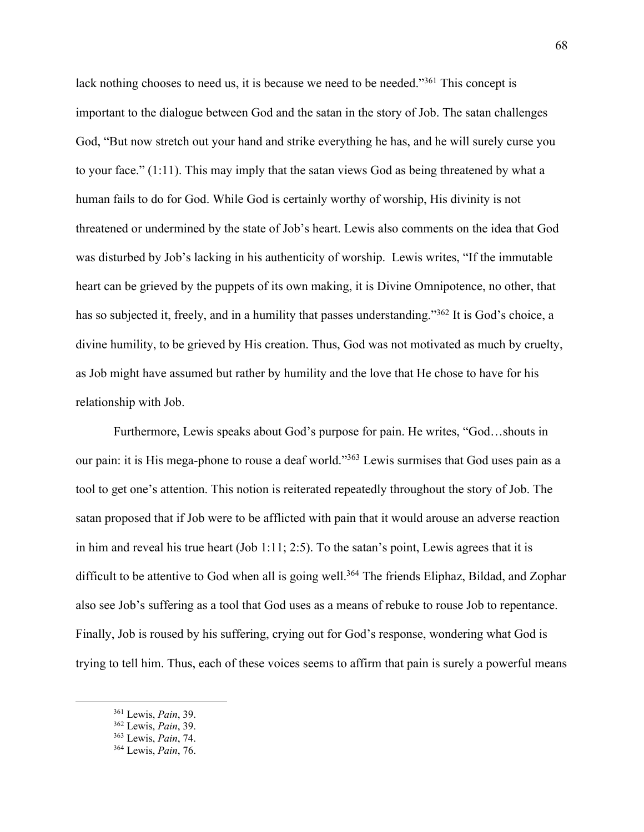lack nothing chooses to need us, it is because we need to be needed."<sup>361</sup> This concept is important to the dialogue between God and the satan in the story of Job. The satan challenges God, "But now stretch out your hand and strike everything he has, and he will surely curse you to your face." (1:11). This may imply that the satan views God as being threatened by what a human fails to do for God. While God is certainly worthy of worship, His divinity is not threatened or undermined by the state of Job's heart. Lewis also comments on the idea that God was disturbed by Job's lacking in his authenticity of worship. Lewis writes, "If the immutable heart can be grieved by the puppets of its own making, it is Divine Omnipotence, no other, that has so subjected it, freely, and in a humility that passes understanding."<sup>362</sup> It is God's choice, a divine humility, to be grieved by His creation. Thus, God was not motivated as much by cruelty, as Job might have assumed but rather by humility and the love that He chose to have for his relationship with Job.

Furthermore, Lewis speaks about God's purpose for pain. He writes, "God…shouts in our pain: it is His mega-phone to rouse a deaf world."363 Lewis surmises that God uses pain as a tool to get one's attention. This notion is reiterated repeatedly throughout the story of Job. The satan proposed that if Job were to be afflicted with pain that it would arouse an adverse reaction in him and reveal his true heart (Job 1:11; 2:5). To the satan's point, Lewis agrees that it is difficult to be attentive to God when all is going well.<sup>364</sup> The friends Eliphaz, Bildad, and Zophar also see Job's suffering as a tool that God uses as a means of rebuke to rouse Job to repentance. Finally, Job is roused by his suffering, crying out for God's response, wondering what God is trying to tell him. Thus, each of these voices seems to affirm that pain is surely a powerful means

<sup>361</sup> Lewis, *Pain*, 39.

<sup>362</sup> Lewis, *Pain*, 39.

<sup>363</sup> Lewis, *Pain*, 74.

<sup>364</sup> Lewis, *Pain*, 76.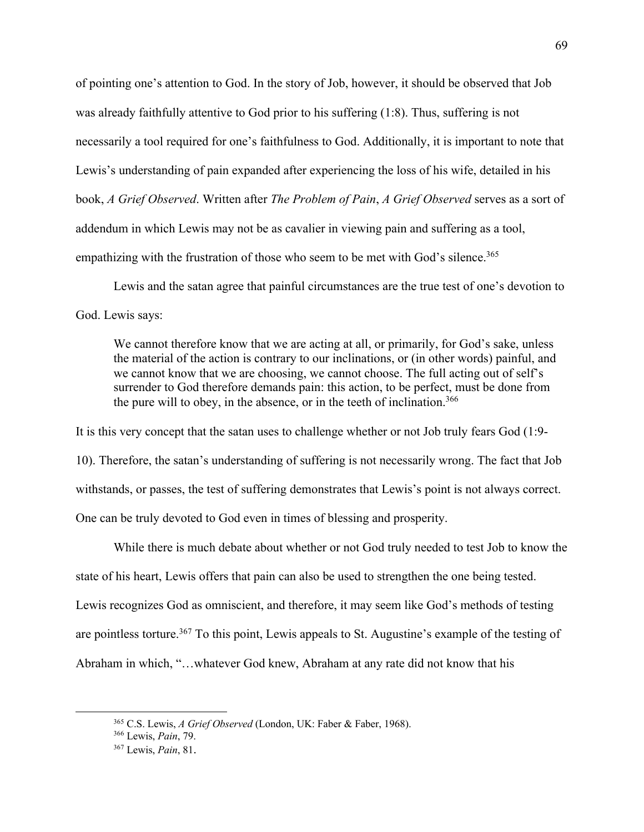of pointing one's attention to God. In the story of Job, however, it should be observed that Job was already faithfully attentive to God prior to his suffering (1:8). Thus, suffering is not necessarily a tool required for one's faithfulness to God. Additionally, it is important to note that Lewis's understanding of pain expanded after experiencing the loss of his wife, detailed in his book, *A Grief Observed*. Written after *The Problem of Pain*, *A Grief Observed* serves as a sort of addendum in which Lewis may not be as cavalier in viewing pain and suffering as a tool, empathizing with the frustration of those who seem to be met with God's silence.<sup>365</sup>

Lewis and the satan agree that painful circumstances are the true test of one's devotion to God. Lewis says:

We cannot therefore know that we are acting at all, or primarily, for God's sake, unless the material of the action is contrary to our inclinations, or (in other words) painful, and we cannot know that we are choosing, we cannot choose. The full acting out of self's surrender to God therefore demands pain: this action, to be perfect, must be done from the pure will to obey, in the absence, or in the teeth of inclination.<sup>366</sup>

It is this very concept that the satan uses to challenge whether or not Job truly fears God (1:9- 10). Therefore, the satan's understanding of suffering is not necessarily wrong. The fact that Job withstands, or passes, the test of suffering demonstrates that Lewis's point is not always correct. One can be truly devoted to God even in times of blessing and prosperity.

While there is much debate about whether or not God truly needed to test Job to know the state of his heart, Lewis offers that pain can also be used to strengthen the one being tested. Lewis recognizes God as omniscient, and therefore, it may seem like God's methods of testing are pointless torture.<sup>367</sup> To this point, Lewis appeals to St. Augustine's example of the testing of Abraham in which, "…whatever God knew, Abraham at any rate did not know that his

<sup>365</sup> C.S. Lewis, *A Grief Observed* (London, UK: Faber & Faber, 1968).

<sup>366</sup> Lewis, *Pain*, 79.

<sup>367</sup> Lewis, *Pain*, 81.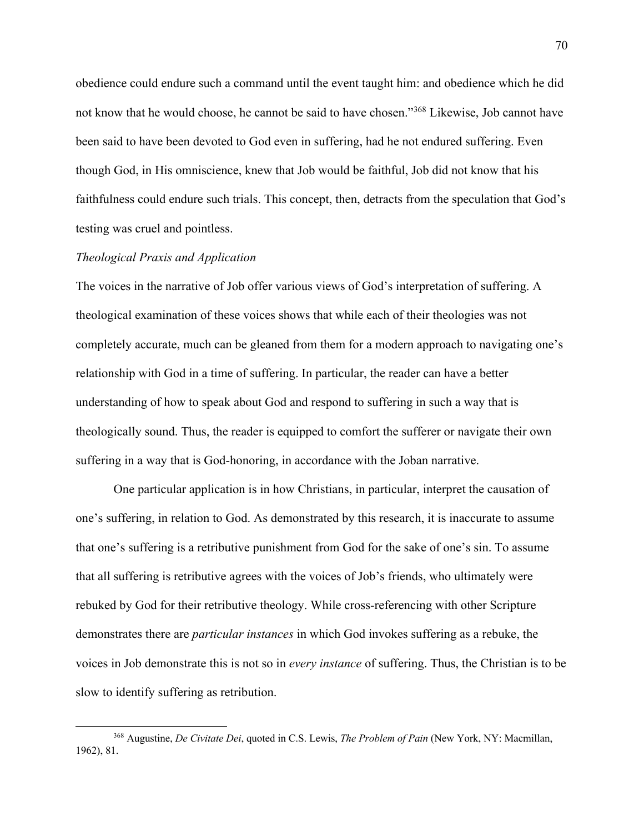obedience could endure such a command until the event taught him: and obedience which he did not know that he would choose, he cannot be said to have chosen."368 Likewise, Job cannot have been said to have been devoted to God even in suffering, had he not endured suffering. Even though God, in His omniscience, knew that Job would be faithful, Job did not know that his faithfulness could endure such trials. This concept, then, detracts from the speculation that God's testing was cruel and pointless.

# *Theological Praxis and Application*

The voices in the narrative of Job offer various views of God's interpretation of suffering. A theological examination of these voices shows that while each of their theologies was not completely accurate, much can be gleaned from them for a modern approach to navigating one's relationship with God in a time of suffering. In particular, the reader can have a better understanding of how to speak about God and respond to suffering in such a way that is theologically sound. Thus, the reader is equipped to comfort the sufferer or navigate their own suffering in a way that is God-honoring, in accordance with the Joban narrative.

One particular application is in how Christians, in particular, interpret the causation of one's suffering, in relation to God. As demonstrated by this research, it is inaccurate to assume that one's suffering is a retributive punishment from God for the sake of one's sin. To assume that all suffering is retributive agrees with the voices of Job's friends, who ultimately were rebuked by God for their retributive theology. While cross-referencing with other Scripture demonstrates there are *particular instances* in which God invokes suffering as a rebuke, the voices in Job demonstrate this is not so in *every instance* of suffering. Thus, the Christian is to be slow to identify suffering as retribution.

<sup>368</sup> Augustine, *De Civitate Dei*, quoted in C.S. Lewis, *The Problem of Pain* (New York, NY: Macmillan, 1962), 81.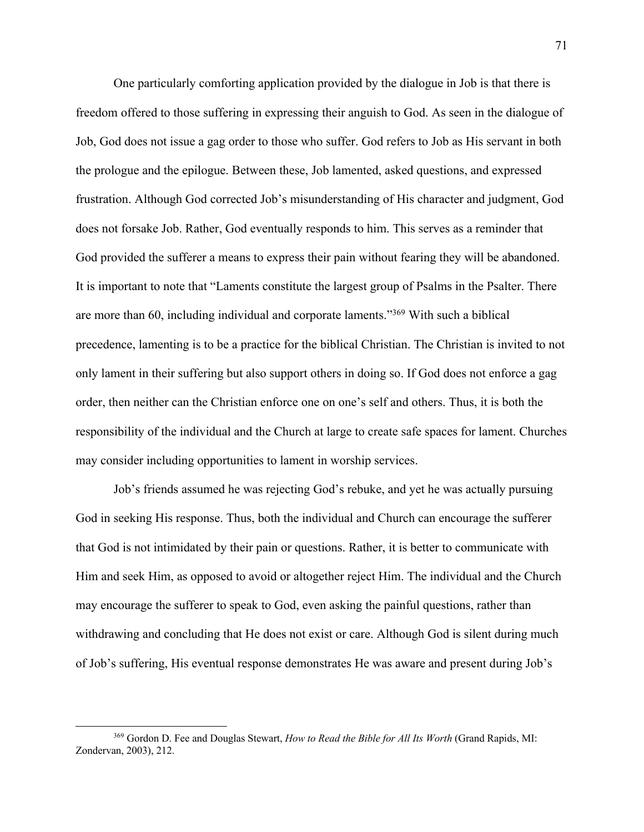One particularly comforting application provided by the dialogue in Job is that there is freedom offered to those suffering in expressing their anguish to God. As seen in the dialogue of Job, God does not issue a gag order to those who suffer. God refers to Job as His servant in both the prologue and the epilogue. Between these, Job lamented, asked questions, and expressed frustration. Although God corrected Job's misunderstanding of His character and judgment, God does not forsake Job. Rather, God eventually responds to him. This serves as a reminder that God provided the sufferer a means to express their pain without fearing they will be abandoned. It is important to note that "Laments constitute the largest group of Psalms in the Psalter. There are more than 60, including individual and corporate laments."369 With such a biblical precedence, lamenting is to be a practice for the biblical Christian. The Christian is invited to not only lament in their suffering but also support others in doing so. If God does not enforce a gag order, then neither can the Christian enforce one on one's self and others. Thus, it is both the responsibility of the individual and the Church at large to create safe spaces for lament. Churches may consider including opportunities to lament in worship services.

Job's friends assumed he was rejecting God's rebuke, and yet he was actually pursuing God in seeking His response. Thus, both the individual and Church can encourage the sufferer that God is not intimidated by their pain or questions. Rather, it is better to communicate with Him and seek Him, as opposed to avoid or altogether reject Him. The individual and the Church may encourage the sufferer to speak to God, even asking the painful questions, rather than withdrawing and concluding that He does not exist or care. Although God is silent during much of Job's suffering, His eventual response demonstrates He was aware and present during Job's

<sup>369</sup> Gordon D. Fee and Douglas Stewart, *How to Read the Bible for All Its Worth* (Grand Rapids, MI: Zondervan, 2003), 212.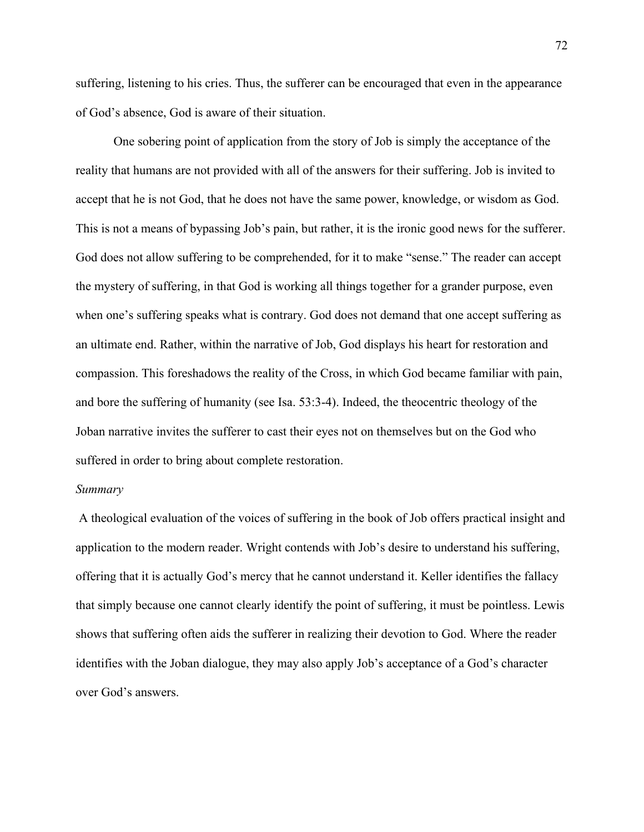suffering, listening to his cries. Thus, the sufferer can be encouraged that even in the appearance of God's absence, God is aware of their situation.

One sobering point of application from the story of Job is simply the acceptance of the reality that humans are not provided with all of the answers for their suffering. Job is invited to accept that he is not God, that he does not have the same power, knowledge, or wisdom as God. This is not a means of bypassing Job's pain, but rather, it is the ironic good news for the sufferer. God does not allow suffering to be comprehended, for it to make "sense." The reader can accept the mystery of suffering, in that God is working all things together for a grander purpose, even when one's suffering speaks what is contrary. God does not demand that one accept suffering as an ultimate end. Rather, within the narrative of Job, God displays his heart for restoration and compassion. This foreshadows the reality of the Cross, in which God became familiar with pain, and bore the suffering of humanity (see Isa. 53:3-4). Indeed, the theocentric theology of the Joban narrative invites the sufferer to cast their eyes not on themselves but on the God who suffered in order to bring about complete restoration.

### *Summary*

A theological evaluation of the voices of suffering in the book of Job offers practical insight and application to the modern reader. Wright contends with Job's desire to understand his suffering, offering that it is actually God's mercy that he cannot understand it. Keller identifies the fallacy that simply because one cannot clearly identify the point of suffering, it must be pointless. Lewis shows that suffering often aids the sufferer in realizing their devotion to God. Where the reader identifies with the Joban dialogue, they may also apply Job's acceptance of a God's character over God's answers.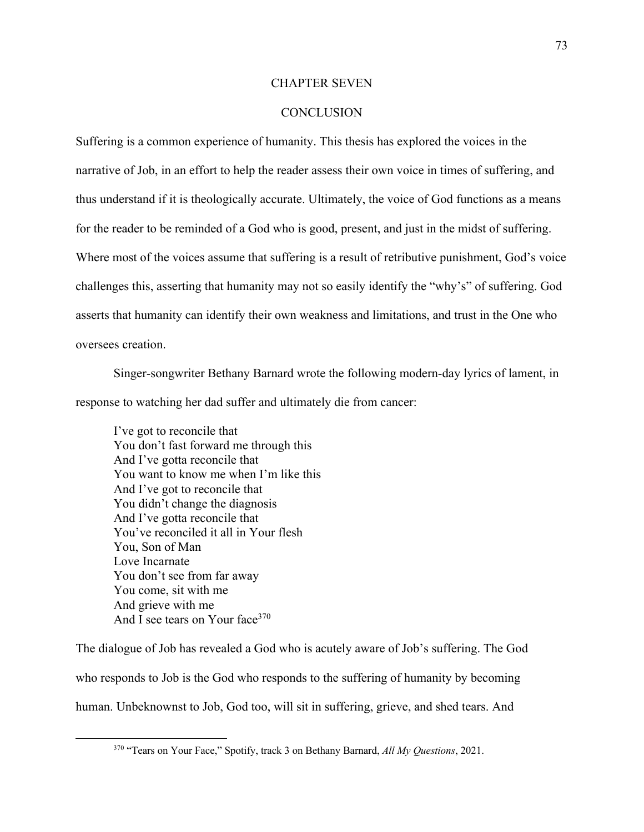## CHAPTER SEVEN

## **CONCLUSION**

Suffering is a common experience of humanity. This thesis has explored the voices in the narrative of Job, in an effort to help the reader assess their own voice in times of suffering, and thus understand if it is theologically accurate. Ultimately, the voice of God functions as a means for the reader to be reminded of a God who is good, present, and just in the midst of suffering. Where most of the voices assume that suffering is a result of retributive punishment, God's voice challenges this, asserting that humanity may not so easily identify the "why's" of suffering. God asserts that humanity can identify their own weakness and limitations, and trust in the One who oversees creation.

Singer-songwriter Bethany Barnard wrote the following modern-day lyrics of lament, in response to watching her dad suffer and ultimately die from cancer:

I've got to reconcile that You don't fast forward me through this And I've gotta reconcile that You want to know me when I'm like this And I've got to reconcile that You didn't change the diagnosis And I've gotta reconcile that You've reconciled it all in Your flesh You, Son of Man Love Incarnate You don't see from far away You come, sit with me And grieve with me And I see tears on Your face<sup>370</sup>

The dialogue of Job has revealed a God who is acutely aware of Job's suffering. The God who responds to Job is the God who responds to the suffering of humanity by becoming human. Unbeknownst to Job, God too, will sit in suffering, grieve, and shed tears. And

<sup>370</sup> "Tears on Your Face," Spotify, track 3 on Bethany Barnard, *All My Questions*, 2021.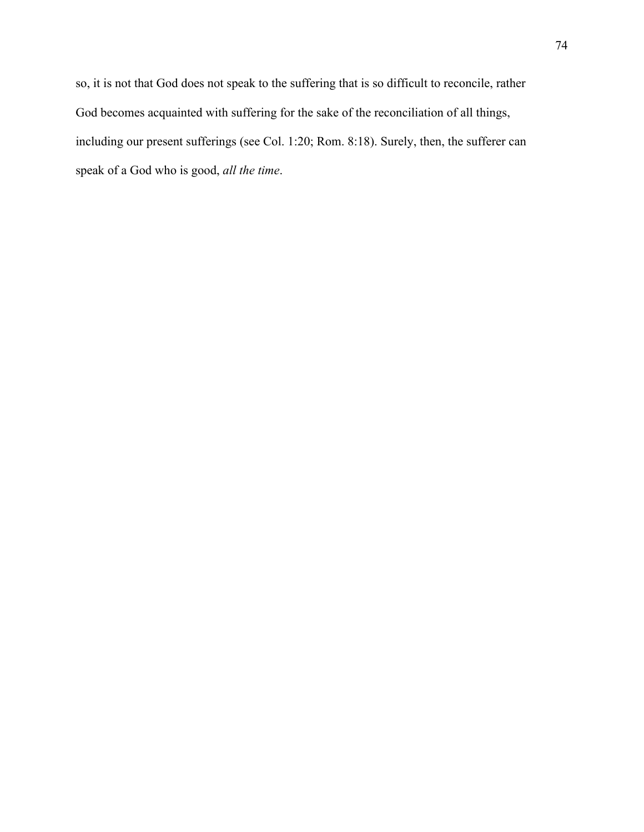so, it is not that God does not speak to the suffering that is so difficult to reconcile, rather God becomes acquainted with suffering for the sake of the reconciliation of all things, including our present sufferings (see Col. 1:20; Rom. 8:18). Surely, then, the sufferer can speak of a God who is good, *all the time*.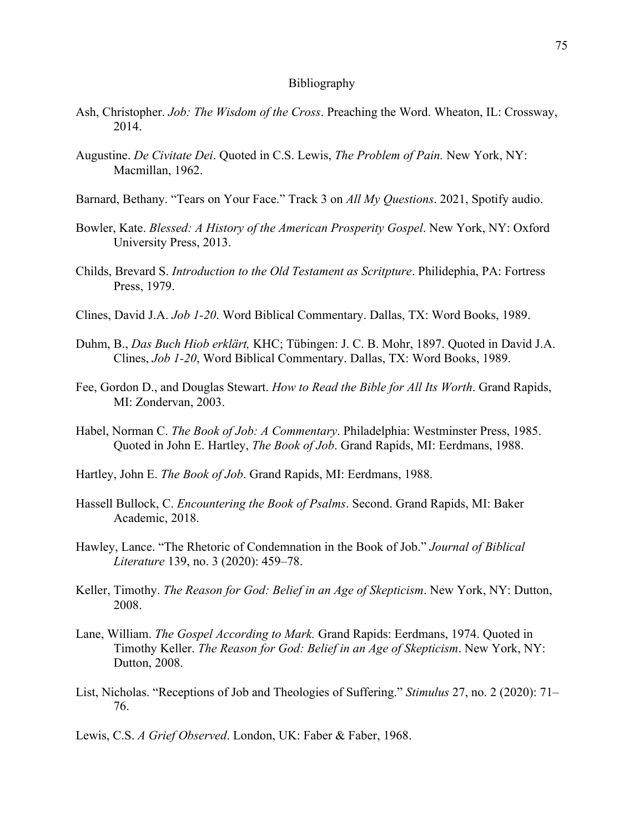#### Bibliography

- Ash, Christopher. *Job: The Wisdom of the Cross*. Preaching the Word. Wheaton, IL: Crossway, 2014.
- Augustine. *De Civitate Dei*. Quoted in C.S. Lewis, *The Problem of Pain.* New York, NY: Macmillan, 1962.
- Barnard, Bethany. "Tears on Your Face." Track 3 on *All My Questions*. 2021, Spotify audio.
- Bowler, Kate. *Blessed: A History of the American Prosperity Gospel*. New York, NY: Oxford University Press, 2013.
- Childs, Brevard S. *Introduction to the Old Testament as Scritpture*. Philidephia, PA: Fortress Press, 1979.
- Clines, David J.A. *Job 1-20*. Word Biblical Commentary. Dallas, TX: Word Books, 1989.
- Duhm, B., *Das Buch Hiob erklärt,* KHC; Tübingen: J. C. B. Mohr, 1897. Quoted in David J.A. Clines, *Job 1-20*, Word Biblical Commentary. Dallas, TX: Word Books, 1989.
- Fee, Gordon D., and Douglas Stewart. *How to Read the Bible for All Its Worth*. Grand Rapids, MI: Zondervan, 2003.
- Habel, Norman C. *The Book of Job: A Commentary*. Philadelphia: Westminster Press, 1985. Quoted in John E. Hartley, *The Book of Job*. Grand Rapids, MI: Eerdmans, 1988.
- Hartley, John E. *The Book of Job*. Grand Rapids, MI: Eerdmans, 1988.
- Hassell Bullock, C. *Encountering the Book of Psalms*. Second. Grand Rapids, MI: Baker Academic, 2018.
- Hawley, Lance. "The Rhetoric of Condemnation in the Book of Job." *Journal of Biblical Literature* 139, no. 3 (2020): 459–78.
- Keller, Timothy. *The Reason for God: Belief in an Age of Skepticism*. New York, NY: Dutton, 2008.
- Lane, William. *The Gospel According to Mark.* Grand Rapids: Eerdmans, 1974. Quoted in Timothy Keller. *The Reason for God: Belief in an Age of Skepticism*. New York, NY: Dutton, 2008.
- List, Nicholas. "Receptions of Job and Theologies of Suffering." *Stimulus* 27, no. 2 (2020): 71– 76.
- Lewis, C.S. *A Grief Observed*. London, UK: Faber & Faber, 1968.